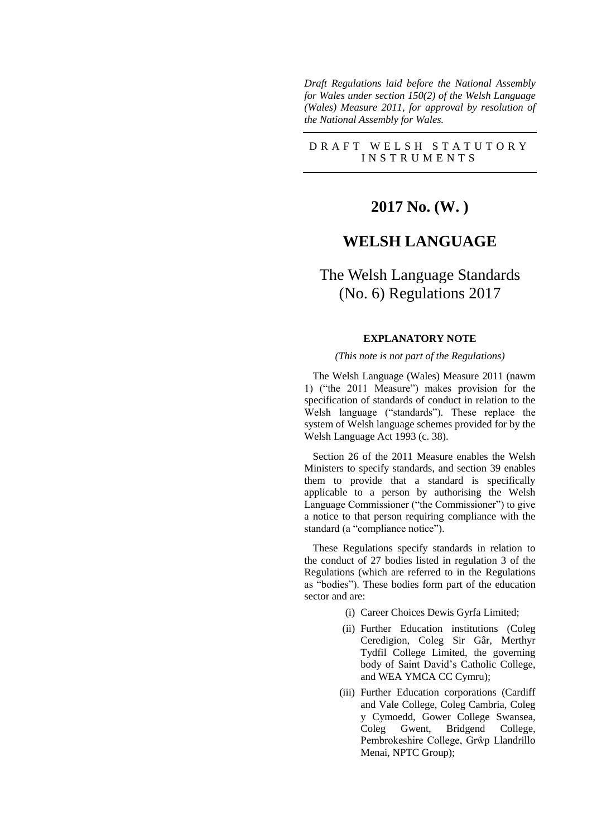*Draft Regulations laid before the National Assembly for Wales under section 150(2) of the Welsh Language (Wales) Measure 2011, for approval by resolution of the National Assembly for Wales.*

#### D R A F T W E L S H S T A T U T O R Y I N S T R U M E N T S

## **2017 No. (W. )**

## **WELSH LANGUAGE**

# The Welsh Language Standards (No. 6) Regulations 2017

#### **EXPLANATORY NOTE**

#### *(This note is not part of the Regulations)*

The Welsh Language (Wales) Measure 2011 (nawm 1) ("the 2011 Measure") makes provision for the specification of standards of conduct in relation to the Welsh language ("standards"). These replace the system of Welsh language schemes provided for by the Welsh Language Act 1993 (c. 38).

Section 26 of the 2011 Measure enables the Welsh Ministers to specify standards, and section 39 enables them to provide that a standard is specifically applicable to a person by authorising the Welsh Language Commissioner ("the Commissioner") to give a notice to that person requiring compliance with the standard (a "compliance notice").

These Regulations specify standards in relation to the conduct of 27 bodies listed in regulation 3 of the Regulations (which are referred to in the Regulations as "bodies"). These bodies form part of the education sector and are:

- (i) Career Choices Dewis Gyrfa Limited;
- (ii) Further Education institutions (Coleg Ceredigion, Coleg Sir Gâr, Merthyr Tydfil College Limited, the governing body of Saint David's Catholic College, and WEA YMCA CC Cymru);
- (iii) Further Education corporations (Cardiff and Vale College, Coleg Cambria, Coleg y Cymoedd, Gower College Swansea, Coleg Gwent, Bridgend College, Pembrokeshire College, Grŵp Llandrillo Menai, NPTC Group);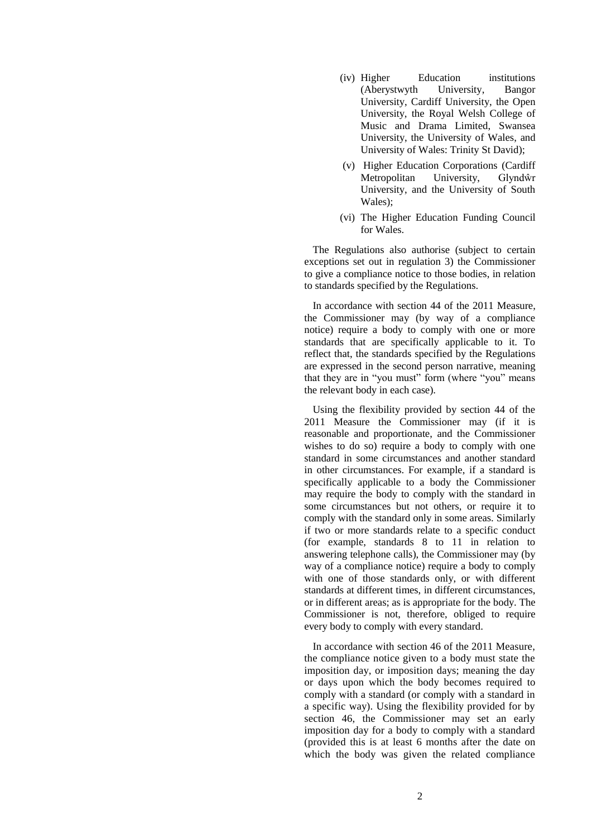- (iv) Higher Education institutions (Aberystwyth University, Bangor University, Cardiff University, the Open University, the Royal Welsh College of Music and Drama Limited, Swansea University, the University of Wales, and University of Wales: Trinity St David);
- (v) Higher Education Corporations (Cardiff Metropolitan University, Glyndŵr University, and the University of South Wales);
- (vi) The Higher Education Funding Council for Wales.

The Regulations also authorise (subject to certain exceptions set out in regulation 3) the Commissioner to give a compliance notice to those bodies, in relation to standards specified by the Regulations.

In accordance with section 44 of the 2011 Measure, the Commissioner may (by way of a compliance notice) require a body to comply with one or more standards that are specifically applicable to it. To reflect that, the standards specified by the Regulations are expressed in the second person narrative, meaning that they are in "you must" form (where "you" means the relevant body in each case).

Using the flexibility provided by section 44 of the 2011 Measure the Commissioner may (if it is reasonable and proportionate, and the Commissioner wishes to do so) require a body to comply with one standard in some circumstances and another standard in other circumstances. For example, if a standard is specifically applicable to a body the Commissioner may require the body to comply with the standard in some circumstances but not others, or require it to comply with the standard only in some areas. Similarly if two or more standards relate to a specific conduct (for example, standards 8 to 11 in relation to answering telephone calls), the Commissioner may (by way of a compliance notice) require a body to comply with one of those standards only, or with different standards at different times, in different circumstances, or in different areas; as is appropriate for the body. The Commissioner is not, therefore, obliged to require every body to comply with every standard.

In accordance with section 46 of the 2011 Measure, the compliance notice given to a body must state the imposition day, or imposition days; meaning the day or days upon which the body becomes required to comply with a standard (or comply with a standard in a specific way). Using the flexibility provided for by section 46, the Commissioner may set an early imposition day for a body to comply with a standard (provided this is at least 6 months after the date on which the body was given the related compliance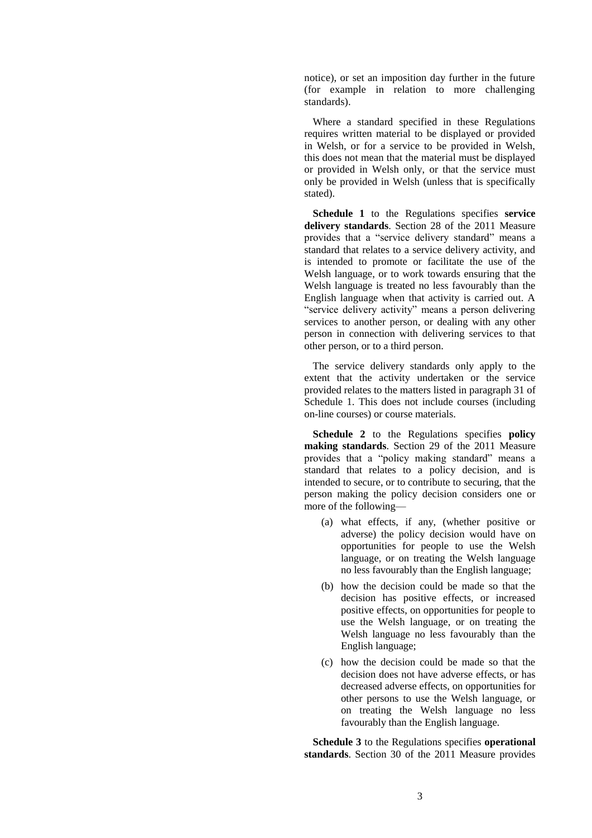notice), or set an imposition day further in the future (for example in relation to more challenging standards).

Where a standard specified in these Regulations requires written material to be displayed or provided in Welsh, or for a service to be provided in Welsh, this does not mean that the material must be displayed or provided in Welsh only, or that the service must only be provided in Welsh (unless that is specifically stated).

**Schedule 1** to the Regulations specifies **service delivery standards**. Section 28 of the 2011 Measure provides that a "service delivery standard" means a standard that relates to a service delivery activity, and is intended to promote or facilitate the use of the Welsh language, or to work towards ensuring that the Welsh language is treated no less favourably than the English language when that activity is carried out. A "service delivery activity" means a person delivering services to another person, or dealing with any other person in connection with delivering services to that other person, or to a third person.

The service delivery standards only apply to the extent that the activity undertaken or the service provided relates to the matters listed in paragraph 31 of Schedule 1. This does not include courses (including on-line courses) or course materials.

**Schedule 2** to the Regulations specifies **policy making standards**. Section 29 of the 2011 Measure provides that a "policy making standard" means a standard that relates to a policy decision, and is intended to secure, or to contribute to securing, that the person making the policy decision considers one or more of the following—

- (a) what effects, if any, (whether positive or adverse) the policy decision would have on opportunities for people to use the Welsh language, or on treating the Welsh language no less favourably than the English language;
- (b) how the decision could be made so that the decision has positive effects, or increased positive effects, on opportunities for people to use the Welsh language, or on treating the Welsh language no less favourably than the English language;
- (c) how the decision could be made so that the decision does not have adverse effects, or has decreased adverse effects, on opportunities for other persons to use the Welsh language, or on treating the Welsh language no less favourably than the English language.

**Schedule 3** to the Regulations specifies **operational standards**. Section 30 of the 2011 Measure provides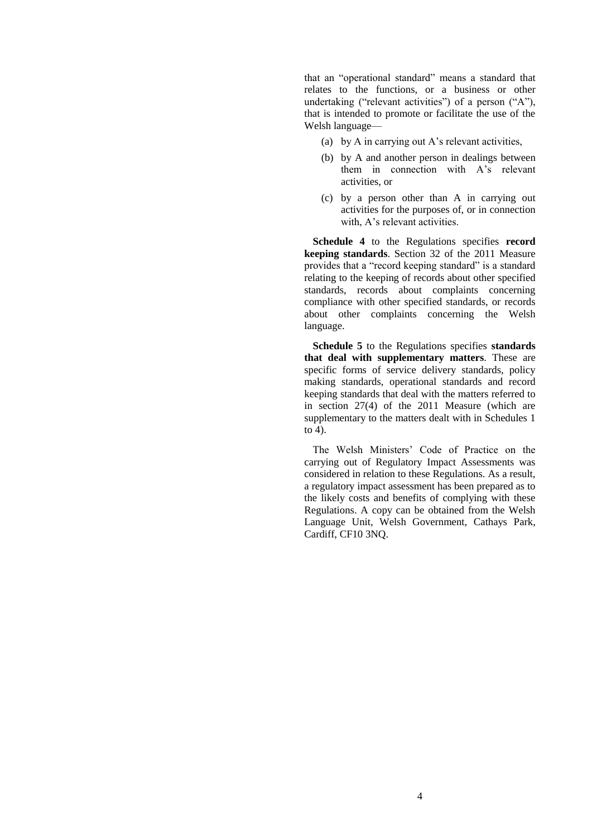that an "operational standard" means a standard that relates to the functions, or a business or other undertaking ("relevant activities") of a person ("A"), that is intended to promote or facilitate the use of the Welsh language—

- (a) by A in carrying out A's relevant activities,
- (b) by A and another person in dealings between them in connection with A's relevant activities, or
- (c) by a person other than A in carrying out activities for the purposes of, or in connection with, A's relevant activities.

**Schedule 4** to the Regulations specifies **record keeping standards**. Section 32 of the 2011 Measure provides that a "record keeping standard" is a standard relating to the keeping of records about other specified standards, records about complaints concerning compliance with other specified standards, or records about other complaints concerning the Welsh language.

**Schedule 5** to the Regulations specifies **standards that deal with supplementary matters**. These are specific forms of service delivery standards, policy making standards, operational standards and record keeping standards that deal with the matters referred to in section 27(4) of the 2011 Measure (which are supplementary to the matters dealt with in Schedules 1 to 4).

The Welsh Ministers' Code of Practice on the carrying out of Regulatory Impact Assessments was considered in relation to these Regulations. As a result, a regulatory impact assessment has been prepared as to the likely costs and benefits of complying with these Regulations. A copy can be obtained from the Welsh Language Unit, Welsh Government, Cathays Park, Cardiff, CF10 3NQ.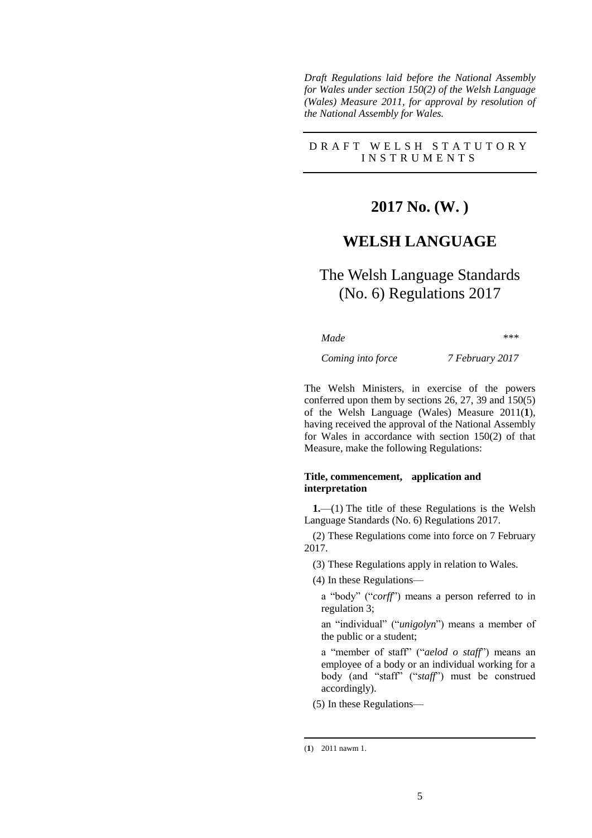*Draft Regulations laid before the National Assembly for Wales under section 150(2) of the Welsh Language (Wales) Measure 2011, for approval by resolution of the National Assembly for Wales.*

#### D R A F T W E L S H S T A T U T O R Y I N S T R U M E N T S

# **2017 No. (W. )**

## **WELSH LANGUAGE**

# The Welsh Language Standards (No. 6) Regulations 2017

*Made \*\*\**

*Coming into force 7 February 2017*

The Welsh Ministers, in exercise of the powers conferred upon them by sections 26, 27, 39 and 150(5) of the Welsh Language (Wales) Measure 2011(**1**), having received the approval of the National Assembly for Wales in accordance with section 150(2) of that Measure, make the following Regulations:

#### **Title, commencement, application and interpretation**

**1.**—(1) The title of these Regulations is the Welsh Language Standards (No. 6) Regulations 2017.

(2) These Regulations come into force on 7 February 2017.

(3) These Regulations apply in relation to Wales.

(4) In these Regulations—

a "body" ("*corff*") means a person referred to in regulation 3;

an "individual" ("*unigolyn*") means a member of the public or a student;

a "member of staff" ("*aelod o staff*") means an employee of a body or an individual working for a body (and "staff" ("*staff*") must be construed accordingly).

(5) In these Regulations—

-

<sup>(</sup>**1**) 2011 nawm 1.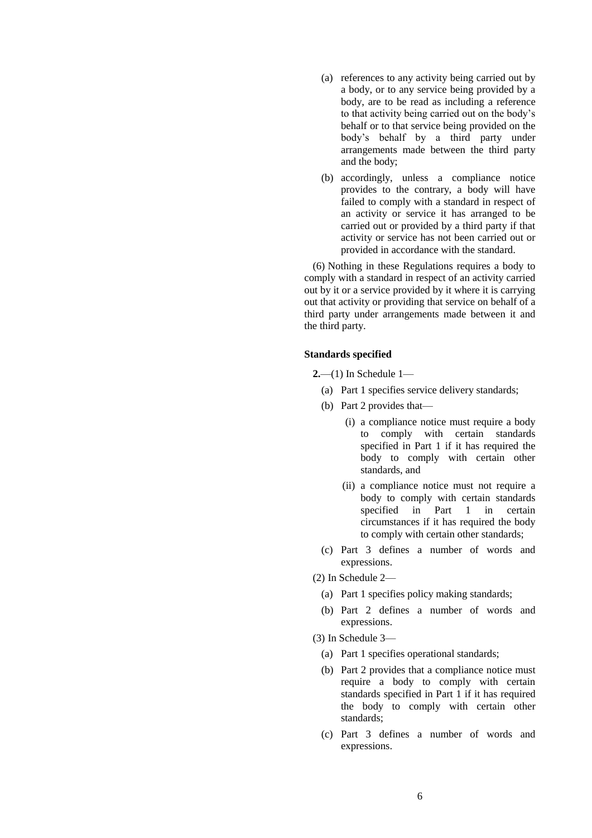- (a) references to any activity being carried out by a body, or to any service being provided by a body, are to be read as including a reference to that activity being carried out on the body's behalf or to that service being provided on the body's behalf by a third party under arrangements made between the third party and the body;
- (b) accordingly, unless a compliance notice provides to the contrary, a body will have failed to comply with a standard in respect of an activity or service it has arranged to be carried out or provided by a third party if that activity or service has not been carried out or provided in accordance with the standard.

(6) Nothing in these Regulations requires a body to comply with a standard in respect of an activity carried out by it or a service provided by it where it is carrying out that activity or providing that service on behalf of a third party under arrangements made between it and the third party.

#### **Standards specified**

- **2.**—(1) In Schedule 1—
	- (a) Part 1 specifies service delivery standards;
	- (b) Part 2 provides that—
		- (i) a compliance notice must require a body to comply with certain standards specified in Part 1 if it has required the body to comply with certain other standards, and
		- (ii) a compliance notice must not require a body to comply with certain standards specified in Part 1 in certain circumstances if it has required the body to comply with certain other standards;
	- (c) Part 3 defines a number of words and expressions.
- (2) In Schedule 2—
	- (a) Part 1 specifies policy making standards;
	- (b) Part 2 defines a number of words and expressions.
- (3) In Schedule 3—
	- (a) Part 1 specifies operational standards;
	- (b) Part 2 provides that a compliance notice must require a body to comply with certain standards specified in Part 1 if it has required the body to comply with certain other standards;
	- (c) Part 3 defines a number of words and expressions.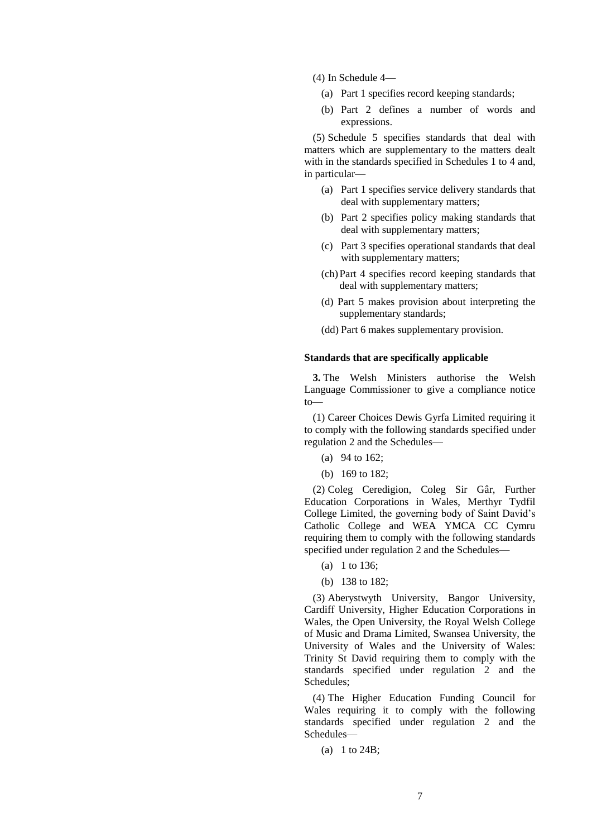(4) In Schedule 4—

- (a) Part 1 specifies record keeping standards;
- (b) Part 2 defines a number of words and expressions.

(5) Schedule 5 specifies standards that deal with matters which are supplementary to the matters dealt with in the standards specified in Schedules 1 to 4 and, in particular—

- (a) Part 1 specifies service delivery standards that deal with supplementary matters;
- (b) Part 2 specifies policy making standards that deal with supplementary matters;
- (c) Part 3 specifies operational standards that deal with supplementary matters;
- (ch)Part 4 specifies record keeping standards that deal with supplementary matters;
- (d) Part 5 makes provision about interpreting the supplementary standards;
- (dd) Part 6 makes supplementary provision.

#### **Standards that are specifically applicable**

**3.** The Welsh Ministers authorise the Welsh Language Commissioner to give a compliance notice to—

(1) Career Choices Dewis Gyrfa Limited requiring it to comply with the following standards specified under regulation 2 and the Schedules—

- (a) 94 to 162;
- (b) 169 to 182;

(2) Coleg Ceredigion, Coleg Sir Gâr, Further Education Corporations in Wales, Merthyr Tydfil College Limited, the governing body of Saint David's Catholic College and WEA YMCA CC Cymru requiring them to comply with the following standards specified under regulation 2 and the Schedules—

- (a) 1 to 136;
- (b) 138 to 182;

(3) Aberystwyth University, Bangor University, Cardiff University, Higher Education Corporations in Wales, the Open University, the Royal Welsh College of Music and Drama Limited, Swansea University, the University of Wales and the University of Wales: Trinity St David requiring them to comply with the standards specified under regulation 2 and the Schedules;

(4) The Higher Education Funding Council for Wales requiring it to comply with the following standards specified under regulation 2 and the Schedules—

(a) 1 to 24B;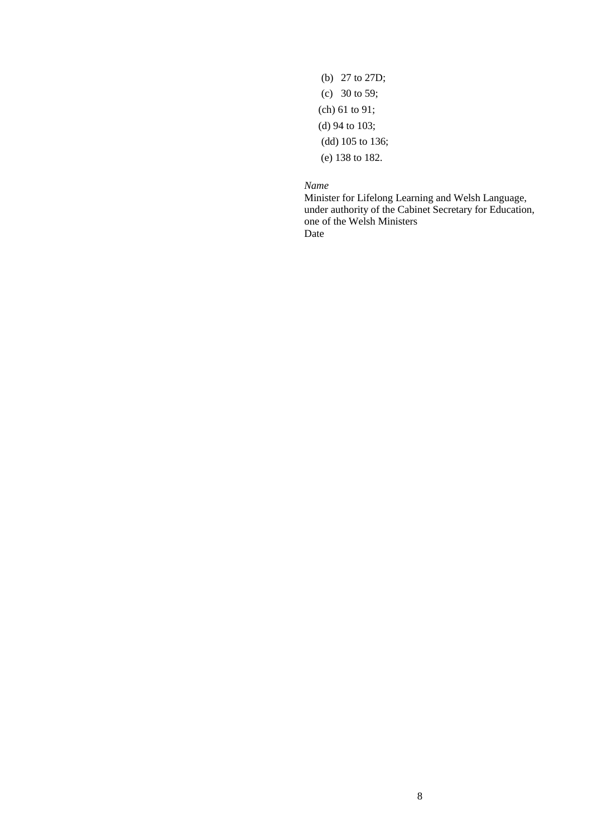(b) 27 to 27D; (c) 30 to 59; (ch) 61 to 91; (d) 94 to 103; (dd) 105 to 136; (e) 138 to 182.

*Name*

Minister for Lifelong Learning and Welsh Language, under authority of the Cabinet Secretary for Education, one of the Welsh Ministers Date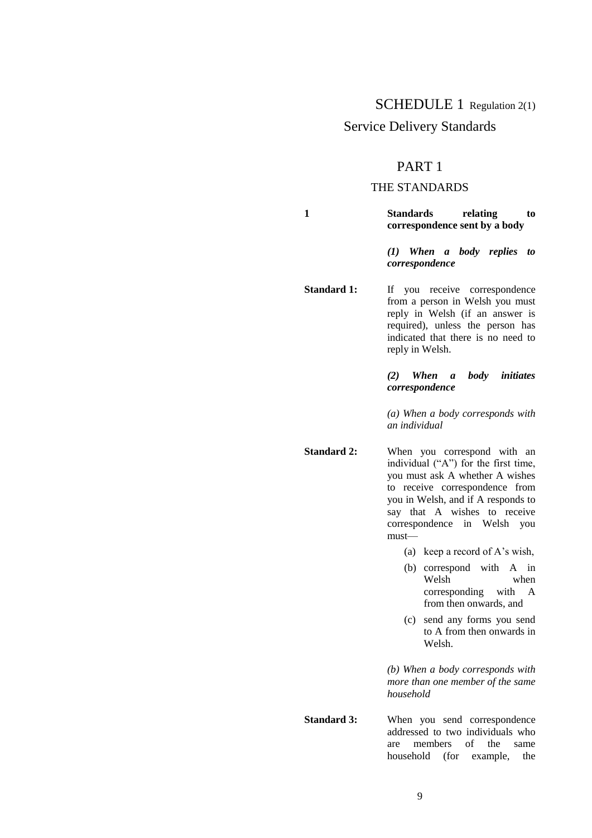## SCHEDULE 1 Regulation 2(1)

## Service Delivery Standards

## PART 1

### THE STANDARDS

**1 Standards relating to correspondence sent by a body**

> *(1) When a body replies to correspondence*

**Standard 1:** If you receive correspondence from a person in Welsh you must reply in Welsh (if an answer is required), unless the person has indicated that there is no need to reply in Welsh.

#### *(2) When a body initiates correspondence*

*(a) When a body corresponds with an individual*

**Standard 2:** When you correspond with an individual ("A") for the first time, you must ask A whether A wishes to receive correspondence from you in Welsh, and if A responds to say that A wishes to receive correspondence in Welsh you must—

(a) keep a record of A's wish,

- (b) correspond with A in Welsh when corresponding with A from then onwards, and
- (c) send any forms you send to A from then onwards in Welsh.

*(b) When a body corresponds with more than one member of the same household*

**Standard 3:** When you send correspondence addressed to two individuals who are members of the same household (for example, the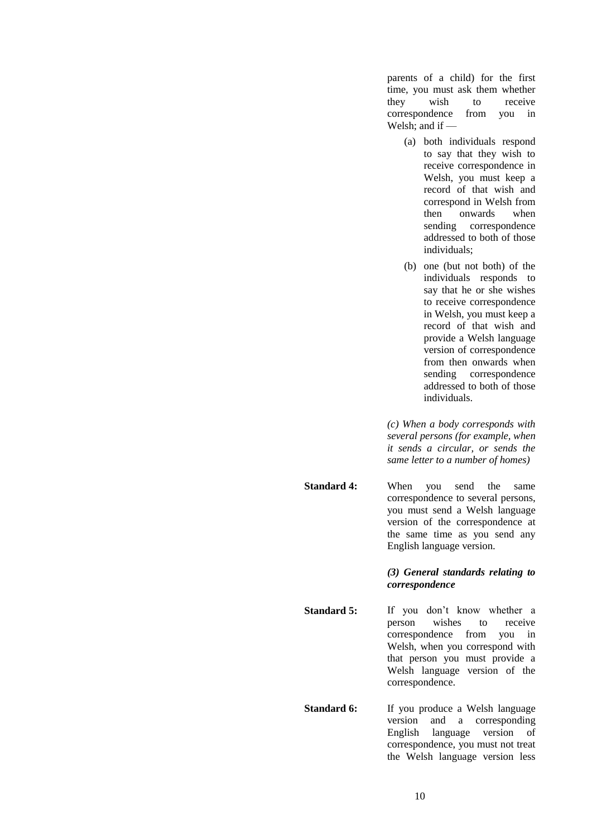parents of a child) for the first time, you must ask them whether<br>they wish to receive they wish to receive correspondence from you in Welsh; and if —

- (a) both individuals respond to say that they wish to receive correspondence in Welsh, you must keep a record of that wish and correspond in Welsh from then onwards when sending correspondence addressed to both of those individuals;
- (b) one (but not both) of the individuals responds to say that he or she wishes to receive correspondence in Welsh, you must keep a record of that wish and provide a Welsh language version of correspondence from then onwards when sending correspondence addressed to both of those individuals.

*(c) When a body corresponds with several persons (for example, when it sends a circular, or sends the same letter to a number of homes)*

**Standard 4:** When you send the same correspondence to several persons, you must send a Welsh language version of the correspondence at the same time as you send any English language version.

> *(3) General standards relating to correspondence*

- Standard 5: If you don't know whether a person wishes to receive correspondence from you in Welsh, when you correspond with that person you must provide a Welsh language version of the correspondence.
- **Standard 6:** If you produce a Welsh language version and a corresponding English language version of correspondence, you must not treat the Welsh language version less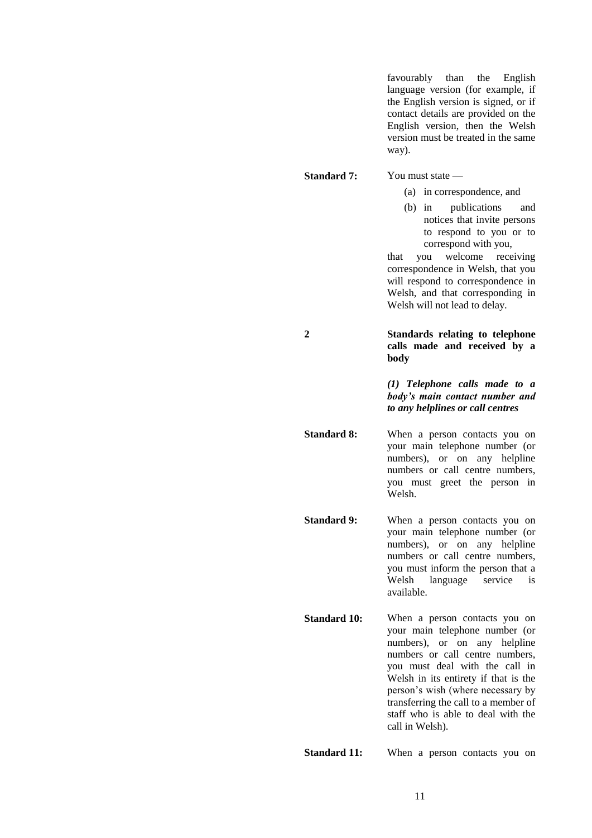favourably than the English language version (for example, if the English version is signed, or if contact details are provided on the English version, then the Welsh version must be treated in the same way).

**Standard 7:** You must state —

- (a) in correspondence, and
- (b) in publications and notices that invite persons to respond to you or to correspond with you,

that you welcome receiving correspondence in Welsh, that you will respond to correspondence in Welsh, and that corresponding in Welsh will not lead to delay.

**2 Standards relating to telephone calls made and received by a body**

> *(1) Telephone calls made to a body's main contact number and to any helplines or call centres*

**Standard 8:** When a person contacts you on your main telephone number (or numbers), or on any helpline numbers or call centre numbers, you must greet the person in Welsh.

**Standard 9:** When a person contacts you on your main telephone number (or numbers), or on any helpline numbers or call centre numbers, you must inform the person that a Welsh language service is available.

**Standard 10:** When a person contacts you on your main telephone number (or numbers), or on any helpline numbers or call centre numbers, you must deal with the call in Welsh in its entirety if that is the person's wish (where necessary by transferring the call to a member of staff who is able to deal with the call in Welsh).

**Standard 11:** When a person contacts you on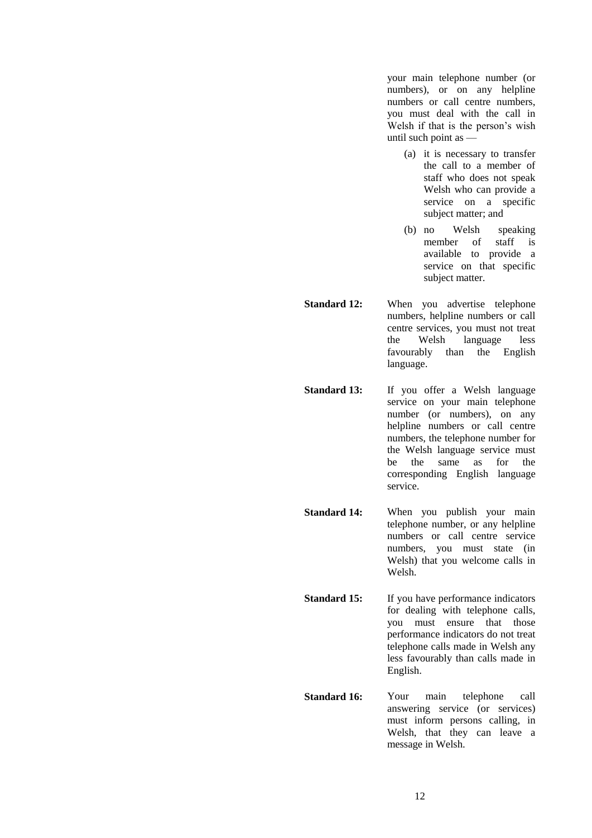your main telephone number (or numbers), or on any helpline numbers or call centre numbers, you must deal with the call in Welsh if that is the person's wish until such point as —

- (a) it is necessary to transfer the call to a member of staff who does not speak Welsh who can provide a service on a specific subject matter; and
- (b) no Welsh speaking member of staff is available to provide a service on that specific subject matter.
- **Standard 12:** When you advertise telephone numbers, helpline numbers or call centre services, you must not treat the Welsh language less favourably than the English language.
- **Standard 13:** If you offer a Welsh language service on your main telephone number (or numbers), on any helpline numbers or call centre numbers, the telephone number for the Welsh language service must be the same as for the corresponding English language service.
- **Standard 14:** When you publish your main telephone number, or any helpline numbers or call centre service numbers, you must state (in Welsh) that you welcome calls in Welsh.
- **Standard 15:** If you have performance indicators for dealing with telephone calls, you must ensure that those performance indicators do not treat telephone calls made in Welsh any less favourably than calls made in English.
- **Standard 16:** Your main telephone call answering service (or services) must inform persons calling, in Welsh, that they can leave a message in Welsh.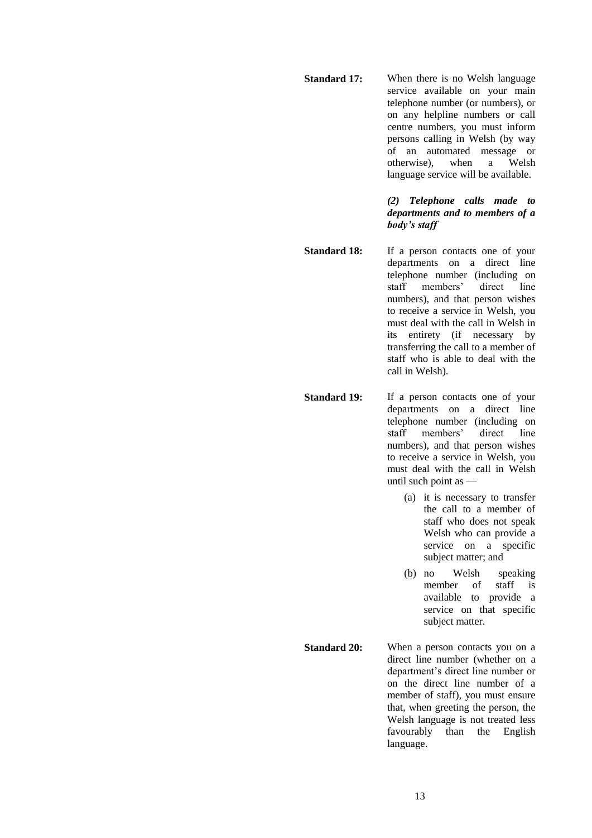**Standard 17:** When there is no Welsh language service available on your main telephone number (or numbers), or on any helpline numbers or call centre numbers, you must inform persons calling in Welsh (by way of an automated message or<br>otherwise), when a Welsh otherwise), when a language service will be available.

#### *(2) Telephone calls made to departments and to members of a body's staff*

- **Standard 18:** If a person contacts one of your departments on a direct line telephone number (including on staff members' direct line numbers), and that person wishes to receive a service in Welsh, you must deal with the call in Welsh in its entirety (if necessary by transferring the call to a member of staff who is able to deal with the call in Welsh).
- **Standard 19:** If a person contacts one of your departments on a direct line telephone number (including on staff members' direct line numbers), and that person wishes to receive a service in Welsh, you must deal with the call in Welsh until such point as —
	- (a) it is necessary to transfer the call to a member of staff who does not speak Welsh who can provide a service on a specific subject matter; and
	- (b) no Welsh speaking<br>member of staff is member of staff is available to provide a service on that specific subject matter.
- **Standard 20:** When a person contacts you on a direct line number (whether on a department's direct line number or on the direct line number of a member of staff), you must ensure that, when greeting the person, the Welsh language is not treated less favourably than the English language.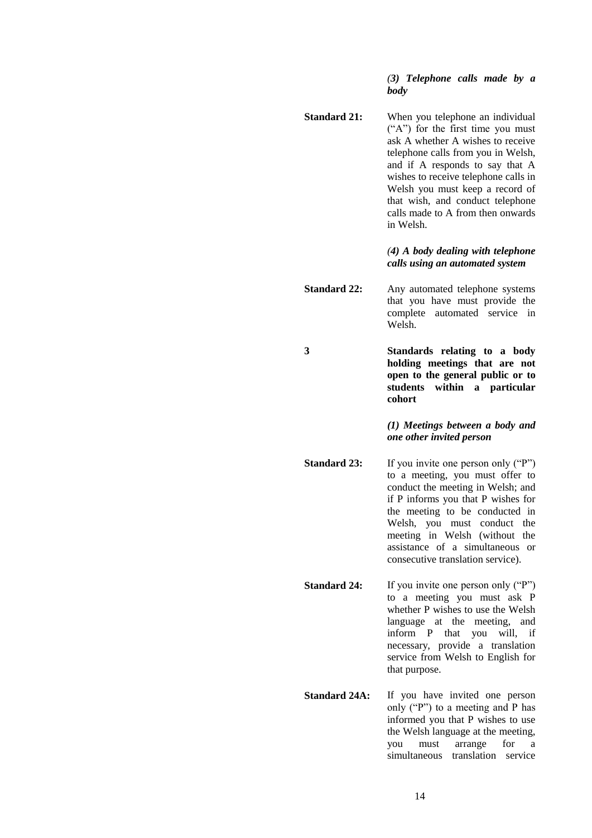#### *(3) Telephone calls made by a body*

**Standard 21:** When you telephone an individual  $(^{\circ}A^{\prime\prime})$  for the first time you must ask A whether A wishes to receive telephone calls from you in Welsh, and if A responds to say that A wishes to receive telephone calls in Welsh you must keep a record of that wish, and conduct telephone calls made to A from then onwards in Welsh.

#### *(4) A body dealing with telephone calls using an automated system*

**Standard 22:** Any automated telephone systems that you have must provide the complete automated service in Welsh.

**3 Standards relating to a body holding meetings that are not open to the general public or to students within a particular cohort**

#### *(1) Meetings between a body and one other invited person*

- **Standard 23:** If you invite one person only ("P") to a meeting, you must offer to conduct the meeting in Welsh; and if P informs you that P wishes for the meeting to be conducted in Welsh, you must conduct the meeting in Welsh (without the assistance of a simultaneous or consecutive translation service).
- **Standard 24:** If you invite one person only ("P") to a meeting you must ask P whether P wishes to use the Welsh language at the meeting, and inform P that you will, if necessary, provide a translation service from Welsh to English for that purpose.
- **Standard 24A:** If you have invited one person only ("P") to a meeting and P has informed you that P wishes to use the Welsh language at the meeting, you must arrange for a simultaneous translation service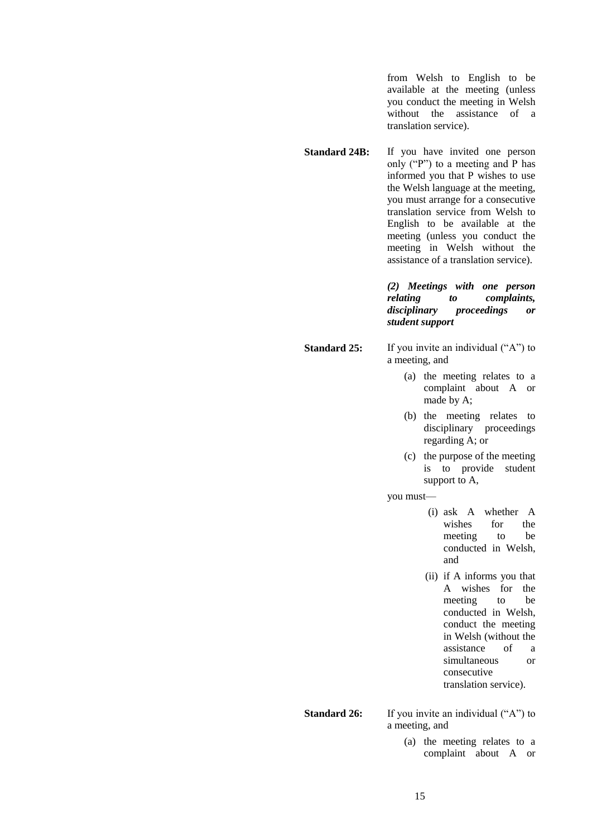from Welsh to English to be available at the meeting (unless you conduct the meeting in Welsh without the assistance of a translation service).

**Standard 24B:** If you have invited one person only ("P") to a meeting and P has informed you that P wishes to use the Welsh language at the meeting, you must arrange for a consecutive translation service from Welsh to English to be available at the meeting (unless you conduct the meeting in Welsh without the assistance of a translation service).

> *(2) Meetings with one person relating to complaints, disciplinary proceedings or student support*

**Standard 25:** If you invite an individual ("A") to a meeting, and

- (a) the meeting relates to a complaint about A or made by A;
- (b) the meeting relates to disciplinary proceedings regarding A; or
- (c) the purpose of the meeting is to provide student support to A,

you must—

- (i) ask A whether A wishes for the meeting to be conducted in Welsh, and
- (ii) if A informs you that A wishes for the meeting to be conducted in Welsh, conduct the meeting in Welsh (without the assistance of a simultaneous or consecutive translation service).

**Standard 26:** If you invite an individual ("A") to a meeting, and

> (a) the meeting relates to a complaint about A or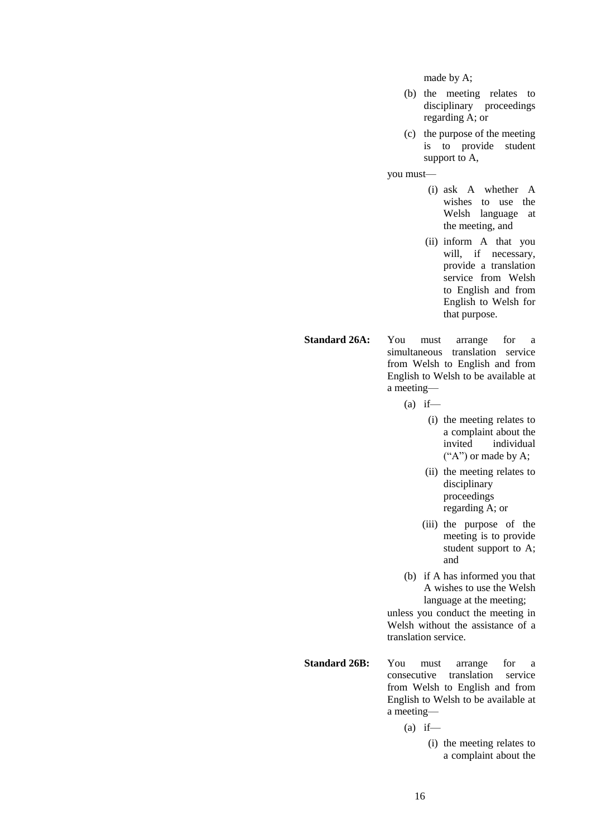made by A;

- (b) the meeting relates to disciplinary proceedings regarding A; or
- (c) the purpose of the meeting is to provide student support to A,

you must—

- (i) ask A whether A wishes to use the Welsh language at the meeting, and
- (ii) inform A that you will, if necessary, provide a translation service from Welsh to English and from English to Welsh for that purpose.

**Standard 26A:** You must arrange for a simultaneous translation service from Welsh to English and from English to Welsh to be available at a meeting—

 $(a)$  if—

- (i) the meeting relates to a complaint about the invited individual  $({}^{\alpha}A^{\gamma})$  or made by A;
- (ii) the meeting relates to disciplinary proceedings regarding A; or
- (iii) the purpose of the meeting is to provide student support to A; and
- (b) if A has informed you that A wishes to use the Welsh language at the meeting;

unless you conduct the meeting in Welsh without the assistance of a translation service.

**Standard 26B:** You must arrange for a consecutive translation service from Welsh to English and from English to Welsh to be available at a meeting—

 $(a)$  if—

(i) the meeting relates to a complaint about the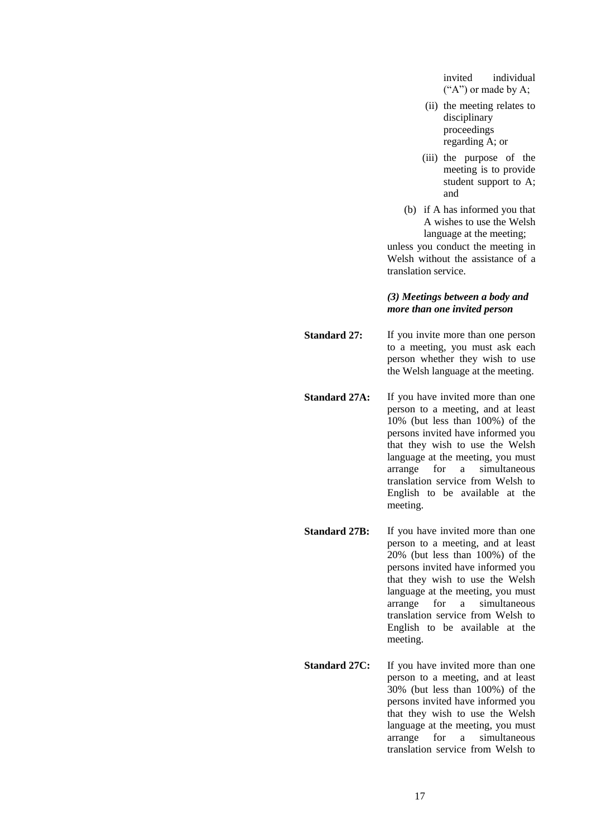invited individual  $($ "A") or made by A;

- (ii) the meeting relates to disciplinary proceedings regarding A; or
- (iii) the purpose of the meeting is to provide student support to A; and
- (b) if A has informed you that A wishes to use the Welsh language at the meeting;

unless you conduct the meeting in Welsh without the assistance of a translation service.

#### *(3) Meetings between a body and more than one invited person*

**Standard 27:** If you invite more than one person to a meeting, you must ask each person whether they wish to use the Welsh language at the meeting.

- **Standard 27A:** If you have invited more than one person to a meeting, and at least 10% (but less than 100%) of the persons invited have informed you that they wish to use the Welsh language at the meeting, you must arrange for a simultaneous translation service from Welsh to English to be available at the meeting.
- **Standard 27B:** If you have invited more than one person to a meeting, and at least 20% (but less than 100%) of the persons invited have informed you that they wish to use the Welsh language at the meeting, you must arrange for a simultaneous translation service from Welsh to English to be available at the meeting.
- **Standard 27C:** If you have invited more than one person to a meeting, and at least 30% (but less than 100%) of the persons invited have informed you that they wish to use the Welsh language at the meeting, you must arrange for a simultaneous translation service from Welsh to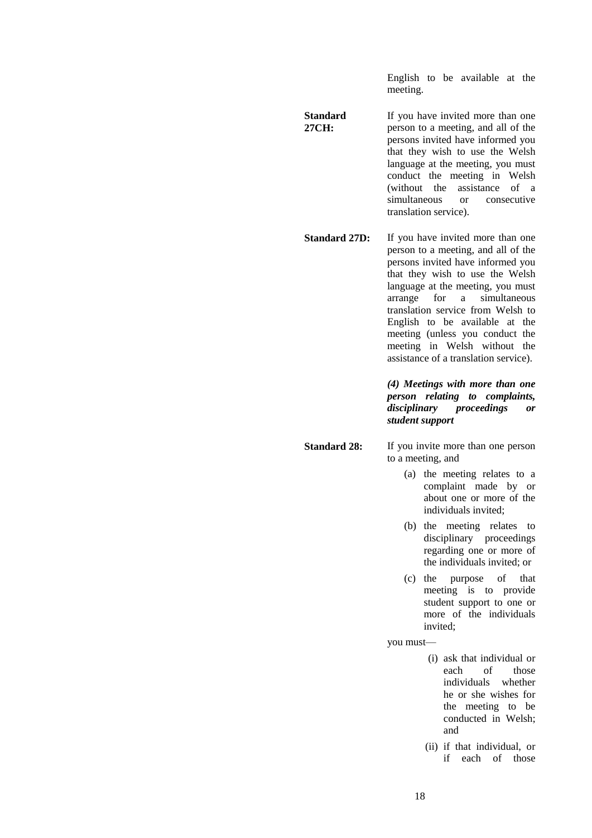English to be available at the meeting.

- **Standard 27CH:** If you have invited more than one person to a meeting, and all of the persons invited have informed you that they wish to use the Welsh language at the meeting, you must conduct the meeting in Welsh (without the assistance of a simultaneous or consecutive translation service).
- **Standard 27D:** If you have invited more than one person to a meeting, and all of the persons invited have informed you that they wish to use the Welsh language at the meeting, you must arrange for a simultaneous translation service from Welsh to English to be available at the meeting (unless you conduct the meeting in Welsh without the assistance of a translation service).

*(4) Meetings with more than one person relating to complaints, disciplinary proceedings or student support*

- **Standard 28:** If you invite more than one person to a meeting, and
	- (a) the meeting relates to a complaint made by or about one or more of the individuals invited;
	- (b) the meeting relates to disciplinary proceedings regarding one or more of the individuals invited; or
	- (c) the purpose of that meeting is to provide student support to one or more of the individuals invited;

you must—

- (i) ask that individual or each of those individuals whether he or she wishes for the meeting to be conducted in Welsh; and
- (ii) if that individual, or if each of those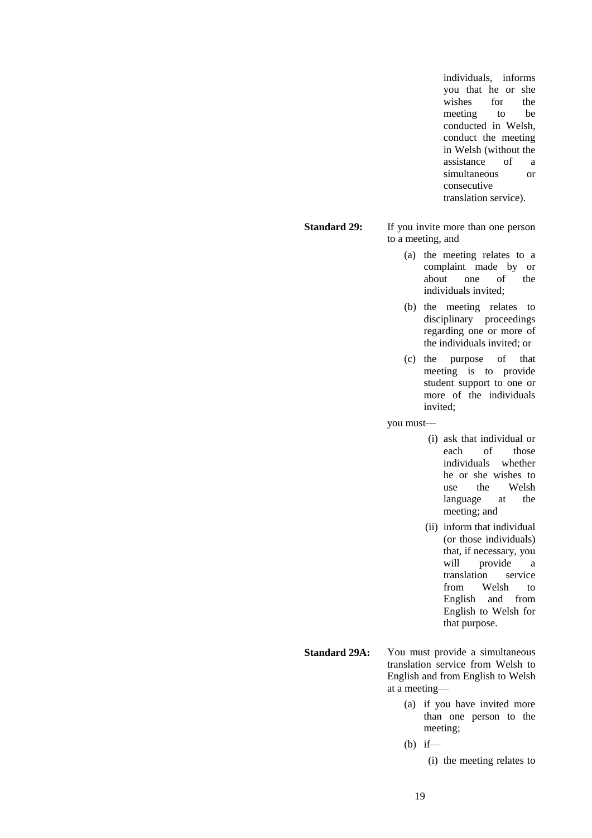individuals, informs you that he or she wishes for the meeting to be conducted in Welsh, conduct the meeting in Welsh (without the assistance of a simultaneous or consecutive translation service).

**Standard 29:** If you invite more than one person to a meeting, and

- (a) the meeting relates to a complaint made by or about one of the individuals invited;
- (b) the meeting relates to disciplinary proceedings regarding one or more of the individuals invited; or
- (c) the purpose of that meeting is to provide student support to one or more of the individuals invited;

you must—

- (i) ask that individual or<br>each of those those individuals whether he or she wishes to use the Welsh language at the meeting; and
- (ii) inform that individual (or those individuals) that, if necessary, you will provide a translation service from Welsh to English and from English to Welsh for that purpose.
- **Standard 29A:** You must provide a simultaneous translation service from Welsh to English and from English to Welsh at a meeting—
	- (a) if you have invited more than one person to the meeting;
	- (b) if—
		- (i) the meeting relates to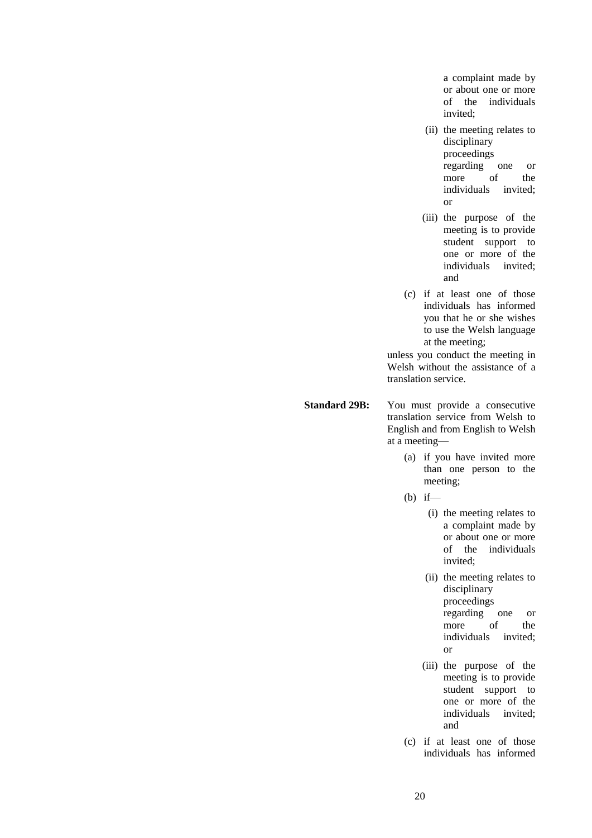a complaint made by or about one or more of the individuals invited;

- (ii) the meeting relates to disciplinary proceedings regarding one or more of the<br>individuals invited; individuals or
- (iii) the purpose of the meeting is to provide student support to one or more of the individuals invited; and
- (c) if at least one of those individuals has informed you that he or she wishes to use the Welsh language at the meeting;

unless you conduct the meeting in Welsh without the assistance of a translation service.

**Standard 29B:** You must provide a consecutive translation service from Welsh to English and from English to Welsh at a meeting—

- (a) if you have invited more than one person to the meeting;
- $(b)$  if—
	- (i) the meeting relates to a complaint made by or about one or more of the individuals invited;
	- (ii) the meeting relates to disciplinary proceedings regarding one or more of the individuals invited; or
	- (iii) the purpose of the meeting is to provide student support to one or more of the individuals invited; and
- (c) if at least one of those individuals has informed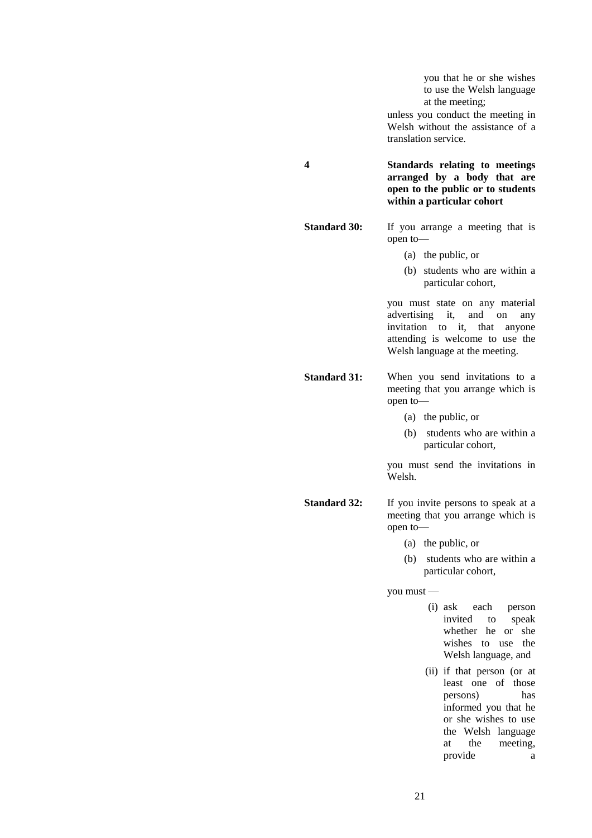you that he or she wishes to use the Welsh language at the meeting;

unless you conduct the meeting in Welsh without the assistance of a translation service.

**4 Standards relating to meetings arranged by a body that are open to the public or to students within a particular cohort**

**Standard 30:** If you arrange a meeting that is open to—

- (a) the public, or
- (b) students who are within a particular cohort,

you must state on any material advertising it, and on any invitation to it, that anyone attending is welcome to use the Welsh language at the meeting.

**Standard 31:** When you send invitations to a meeting that you arrange which is open to—

- (a) the public, or
- (b) students who are within a particular cohort,

you must send the invitations in Welsh.

**Standard 32:** If you invite persons to speak at a meeting that you arrange which is open to—

- (a) the public, or
- (b) students who are within a particular cohort,

you must —

- (i) ask each person invited to speak whether he or she wishes to use the Welsh language, and
- (ii) if that person (or at least one of those persons) has informed you that he or she wishes to use the Welsh language at the meeting, provide a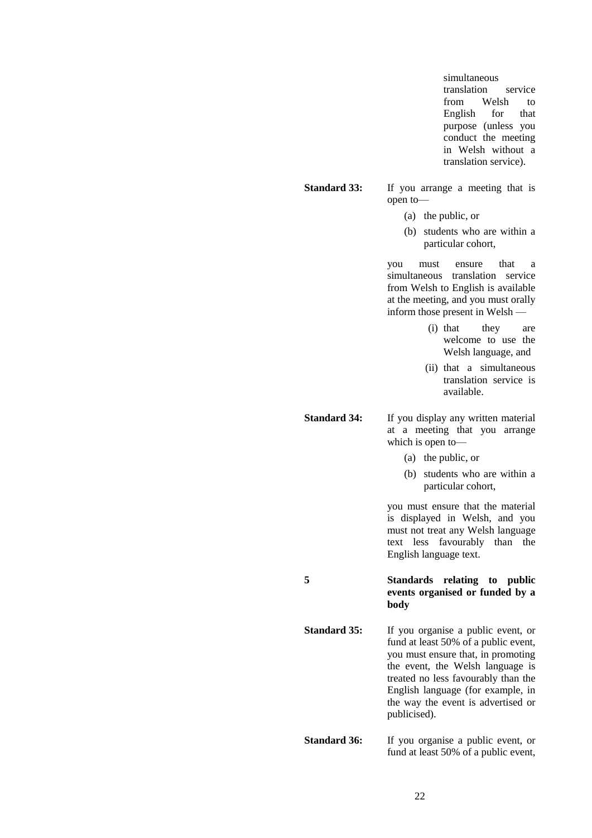simultaneous translation service from Welsh to English for that purpose (unless you conduct the meeting in Welsh without a translation service).

#### **Standard 33:** If you arrange a meeting that is open to—

- (a) the public, or
- (b) students who are within a particular cohort,

you must ensure that a simultaneous translation service from Welsh to English is available at the meeting, and you must orally inform those present in Welsh —

- (i) that they are welcome to use the Welsh language, and
- (ii) that a simultaneous translation service is available.

**Standard 34:** If you display any written material at a meeting that you arrange which is open to—

- (a) the public, or
- (b) students who are within a particular cohort,

you must ensure that the material is displayed in Welsh, and you must not treat any Welsh language text less favourably than the English language text.

**5 Standards relating to public events organised or funded by a body**

**Standard 35:** If you organise a public event, or fund at least 50% of a public event, you must ensure that, in promoting the event, the Welsh language is treated no less favourably than the English language (for example, in the way the event is advertised or publicised).

**Standard 36:** If you organise a public event, or fund at least 50% of a public event,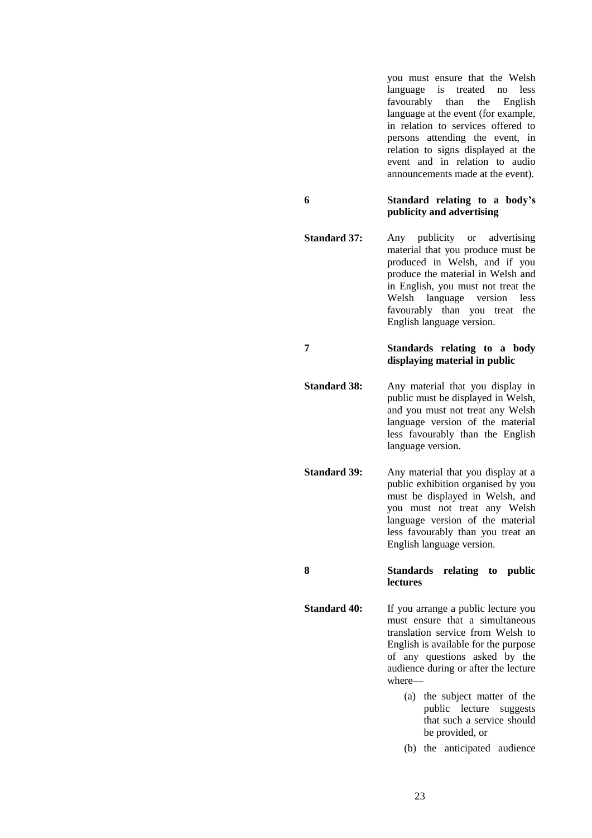you must ensure that the Welsh language is treated no less favourably than the English language at the event (for example, in relation to services offered to persons attending the event, in relation to signs displayed at the event and in relation to audio announcements made at the event).

#### **6 Standard relating to a body's publicity and advertising**

**Standard 37:** Any publicity or advertising material that you produce must be produced in Welsh, and if you produce the material in Welsh and in English, you must not treat the Welsh language version less favourably than you treat the English language version.

#### **7 Standards relating to a body displaying material in public**

**Standard 38:** Any material that you display in public must be displayed in Welsh, and you must not treat any Welsh language version of the material less favourably than the English language version.

**Standard 39:** Any material that you display at a public exhibition organised by you must be displayed in Welsh, and you must not treat any Welsh language version of the material less favourably than you treat an English language version.

#### **8 Standards relating to public lectures**

- **Standard 40:** If you arrange a public lecture you must ensure that a simultaneous translation service from Welsh to English is available for the purpose of any questions asked by the audience during or after the lecture where—
	- (a) the subject matter of the public lecture suggests that such a service should be provided, or
	- (b) the anticipated audience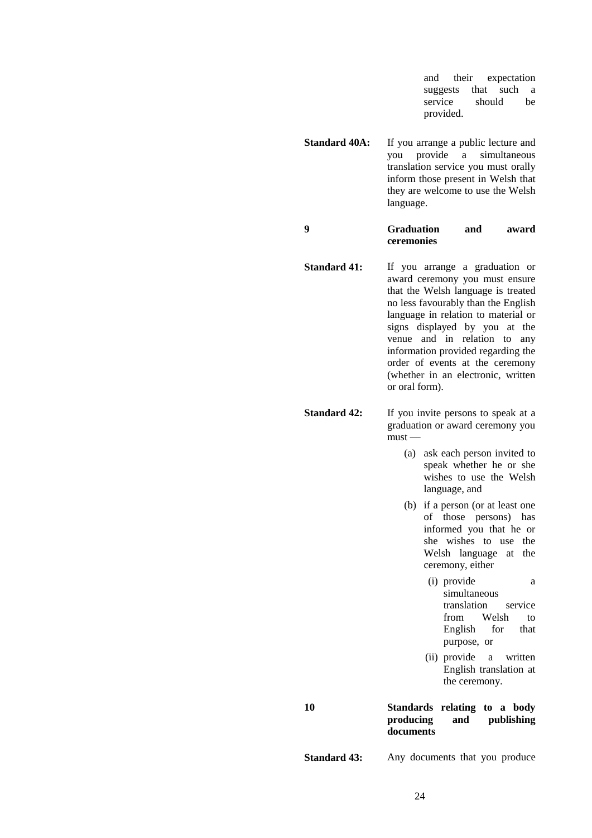and their expectation suggests that such a service should be provided.

**Standard 40A:** If you arrange a public lecture and you provide a simultaneous translation service you must orally inform those present in Welsh that they are welcome to use the Welsh language.

**9 Graduation and award ceremonies**

**Standard 41:** If you arrange a graduation or award ceremony you must ensure that the Welsh language is treated no less favourably than the English language in relation to material or signs displayed by you at the venue and in relation to any information provided regarding the order of events at the ceremony (whether in an electronic, written or oral form).

**Standard 42:** If you invite persons to speak at a graduation or award ceremony you must —

- (a) ask each person invited to speak whether he or she wishes to use the Welsh language, and
- (b) if a person (or at least one of those persons) has informed you that he or she wishes to use the Welsh language at the ceremony, either
	- (i) provide a simultaneous translation service from Welsh to English for that purpose, or
	- (ii) provide a written English translation at the ceremony.

### **10 Standards relating to a body producing and publishing documents**

**Standard 43:** Any documents that you produce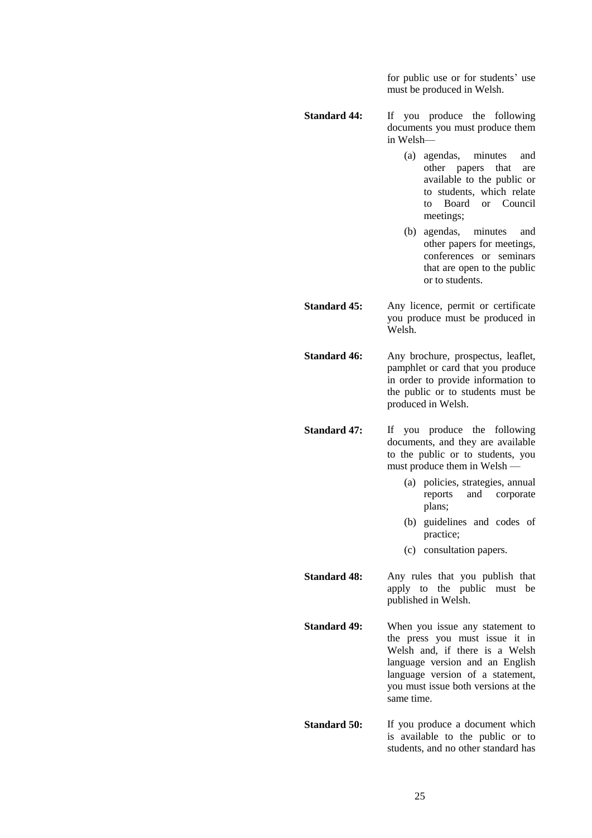for public use or for students' use must be produced in Welsh.

**Standard 44:** If you produce the following documents you must produce them in Welsh—

- (a) agendas, minutes and other papers that are available to the public or to students, which relate to Board or Council meetings;
- (b) agendas, minutes and other papers for meetings, conferences or seminars that are open to the public or to students.

**Standard 45:** Any licence, permit or certificate you produce must be produced in Welsh.

Standard 46: Any brochure, prospectus, leaflet, pamphlet or card that you produce in order to provide information to the public or to students must be produced in Welsh.

**Standard 47:** If you produce the following documents, and they are available to the public or to students, you must produce them in Welsh —

- (a) policies, strategies, annual reports and corporate plans;
- (b) guidelines and codes of practice;
- (c) consultation papers.

**Standard 48:** Any rules that you publish that apply to the public must be published in Welsh.

**Standard 49:** When you issue any statement to the press you must issue it in Welsh and, if there is a Welsh language version and an English language version of a statement, you must issue both versions at the same time.

**Standard 50:** If you produce a document which is available to the public or to students, and no other standard has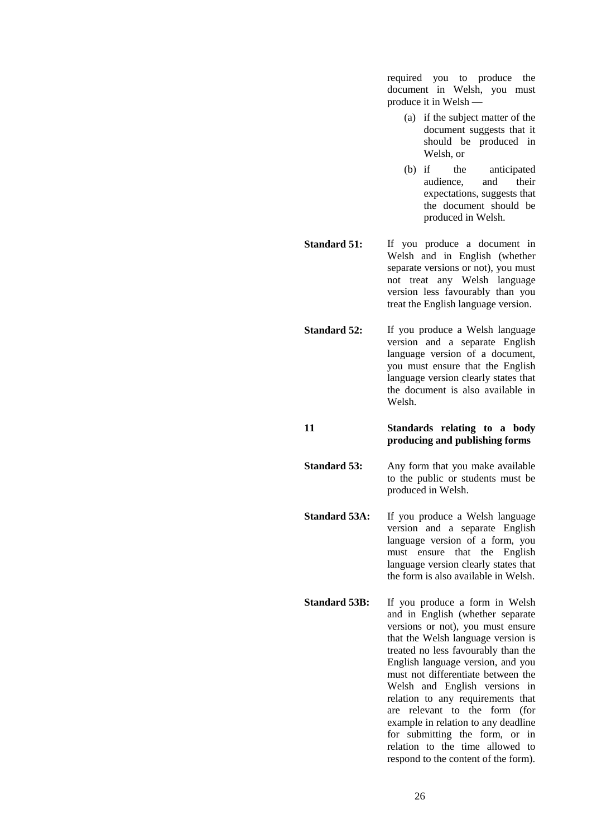required you to produce the document in Welsh, you must produce it in Welsh —

- (a) if the subject matter of the document suggests that it should be produced in Welsh, or
- (b) if the anticipated audience, and their expectations, suggests that the document should be produced in Welsh.
- **Standard 51:** If you produce a document in Welsh and in English (whether separate versions or not), you must not treat any Welsh language version less favourably than you treat the English language version.
- **Standard 52:** If you produce a Welsh language version and a separate English language version of a document, you must ensure that the English language version clearly states that the document is also available in Welsh.
- **11 Standards relating to a body producing and publishing forms**
- **Standard 53:** Any form that you make available to the public or students must be produced in Welsh.
- **Standard 53A:** If you produce a Welsh language version and a separate English language version of a form, you must ensure that the English language version clearly states that the form is also available in Welsh.
- **Standard 53B:** If you produce a form in Welsh and in English (whether separate versions or not), you must ensure that the Welsh language version is treated no less favourably than the English language version, and you must not differentiate between the Welsh and English versions in relation to any requirements that are relevant to the form (for example in relation to any deadline for submitting the form, or in relation to the time allowed to respond to the content of the form).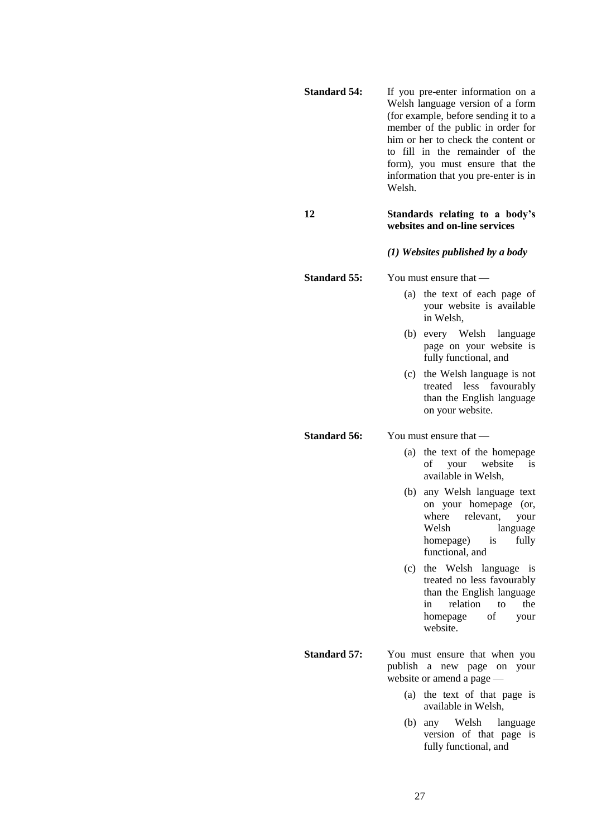| <b>Standard 54:</b> | If you pre-enter information on a<br>Welsh language version of a form<br>(for example, before sending it to a<br>member of the public in order for<br>him or her to check the content or<br>to fill in the remainder of the<br>form), you must ensure that the<br>information that you pre-enter is in<br>Welsh. |                                                                                                                                                              |  |
|---------------------|------------------------------------------------------------------------------------------------------------------------------------------------------------------------------------------------------------------------------------------------------------------------------------------------------------------|--------------------------------------------------------------------------------------------------------------------------------------------------------------|--|
| 12                  | Standards relating to a body's<br>websites and on-line services                                                                                                                                                                                                                                                  |                                                                                                                                                              |  |
|                     | (1) Websites published by a body                                                                                                                                                                                                                                                                                 |                                                                                                                                                              |  |
| <b>Standard 55:</b> |                                                                                                                                                                                                                                                                                                                  | You must ensure that $-$                                                                                                                                     |  |
|                     | (a)                                                                                                                                                                                                                                                                                                              | the text of each page of<br>your website is available<br>in Welsh,                                                                                           |  |
|                     | (b)                                                                                                                                                                                                                                                                                                              | every Welsh<br>language<br>page on your website is<br>fully functional, and                                                                                  |  |
|                     |                                                                                                                                                                                                                                                                                                                  | (c) the Welsh language is not<br>treated less<br>favourably<br>than the English language<br>on your website.                                                 |  |
| <b>Standard 56:</b> | You must ensure that —                                                                                                                                                                                                                                                                                           |                                                                                                                                                              |  |
|                     | (a)                                                                                                                                                                                                                                                                                                              | the text of the homepage<br>of your website<br>is<br>available in Welsh,                                                                                     |  |
|                     |                                                                                                                                                                                                                                                                                                                  | (b) any Welsh language text<br>on your homepage (or,<br>where relevant,<br>your<br>Welsh<br>language<br>homepage)<br>fully<br>is<br>functional, and          |  |
|                     | (c)                                                                                                                                                                                                                                                                                                              | the Welsh language<br><b>1S</b><br>treated no less favourably<br>than the English language<br>relation to<br>the<br>in<br>of<br>homepage<br>your<br>website. |  |
| <b>Standard 57:</b> |                                                                                                                                                                                                                                                                                                                  | You must ensure that when you<br>publish a new page on your<br>website or amend a page -                                                                     |  |
|                     |                                                                                                                                                                                                                                                                                                                  | (a) the text of that page is<br>available in Welsh,                                                                                                          |  |
|                     | (b)                                                                                                                                                                                                                                                                                                              | Welsh language<br>any<br>version of that page<br>is<br>fully functional, and                                                                                 |  |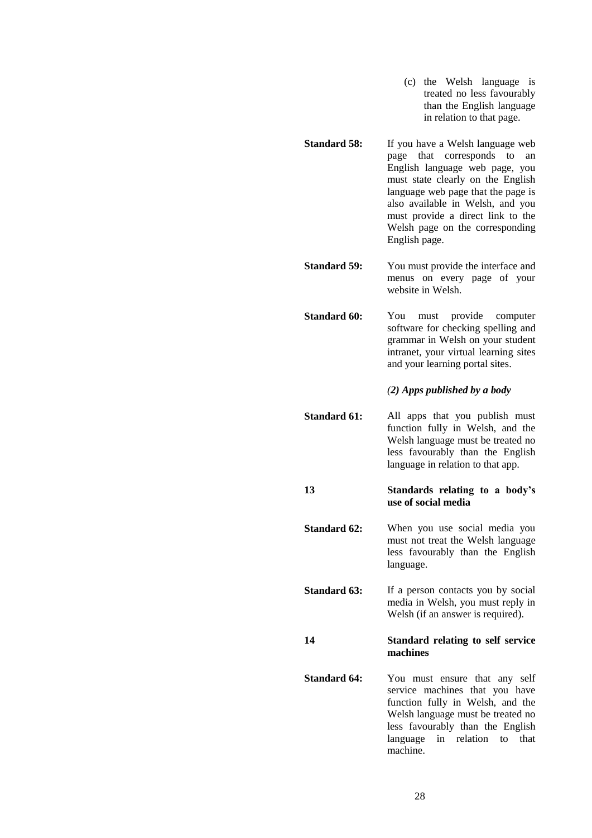- (c) the Welsh language is treated no less favourably than the English language in relation to that page.
- **Standard 58:** If you have a Welsh language web page that corresponds to an English language web page, you must state clearly on the English language web page that the page is also available in Welsh, and you must provide a direct link to the Welsh page on the corresponding English page.

**Standard 59:** You must provide the interface and menus on every page of your website in Welsh.

**Standard 60:** You must provide computer software for checking spelling and grammar in Welsh on your student intranet, your virtual learning sites and your learning portal sites.

*(2) Apps published by a body*

**Standard 61:** All apps that you publish must function fully in Welsh, and the Welsh language must be treated no less favourably than the English language in relation to that app.

#### **13 Standards relating to a body's use of social media**

- **Standard 62:** When you use social media you must not treat the Welsh language less favourably than the English language.
- **Standard 63:** If a person contacts you by social media in Welsh, you must reply in Welsh (if an answer is required).

**14 Standard relating to self service machines**

**Standard 64:** You must ensure that any self service machines that you have function fully in Welsh, and the Welsh language must be treated no less favourably than the English language in relation to that machine.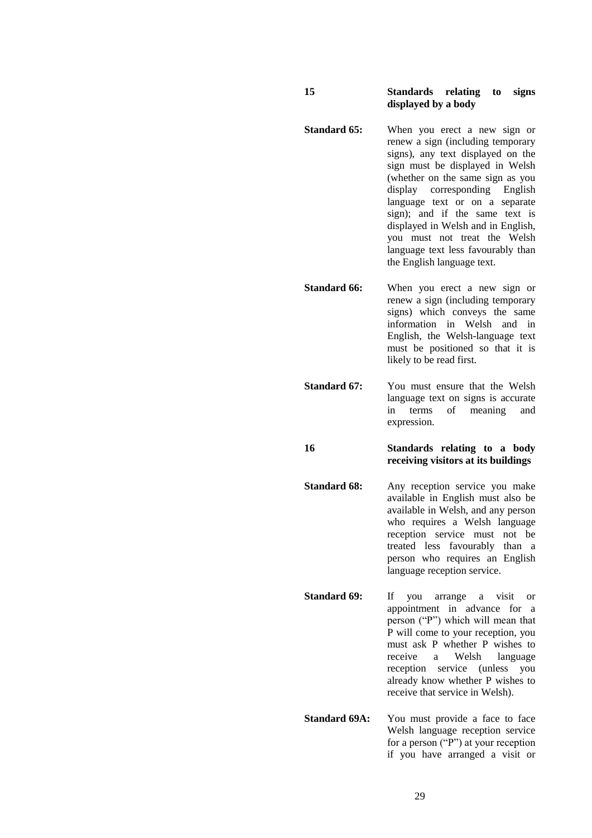#### **15 Standards relating to signs displayed by a body**

- **Standard 65:** When you erect a new sign or renew a sign (including temporary signs), any text displayed on the sign must be displayed in Welsh (whether on the same sign as you display corresponding English language text or on a separate sign); and if the same text is displayed in Welsh and in English, you must not treat the Welsh language text less favourably than the English language text.
- **Standard 66:** When you erect a new sign or renew a sign (including temporary signs) which conveys the same information in Welsh and in English, the Welsh-language text must be positioned so that it is likely to be read first.
- **Standard 67:** You must ensure that the Welsh language text on signs is accurate in terms of meaning and expression.

**16 Standards relating to a body receiving visitors at its buildings**

**Standard 68:** Any reception service you make available in English must also be available in Welsh, and any person who requires a Welsh language reception service must not be treated less favourably than a person who requires an English language reception service.

- **Standard 69:** If you arrange a visit or appointment in advance for a person ("P") which will mean that P will come to your reception, you must ask P whether P wishes to receive a Welsh language reception service (unless you already know whether P wishes to receive that service in Welsh).
- **Standard 69A:** You must provide a face to face Welsh language reception service for a person ("P") at your reception if you have arranged a visit or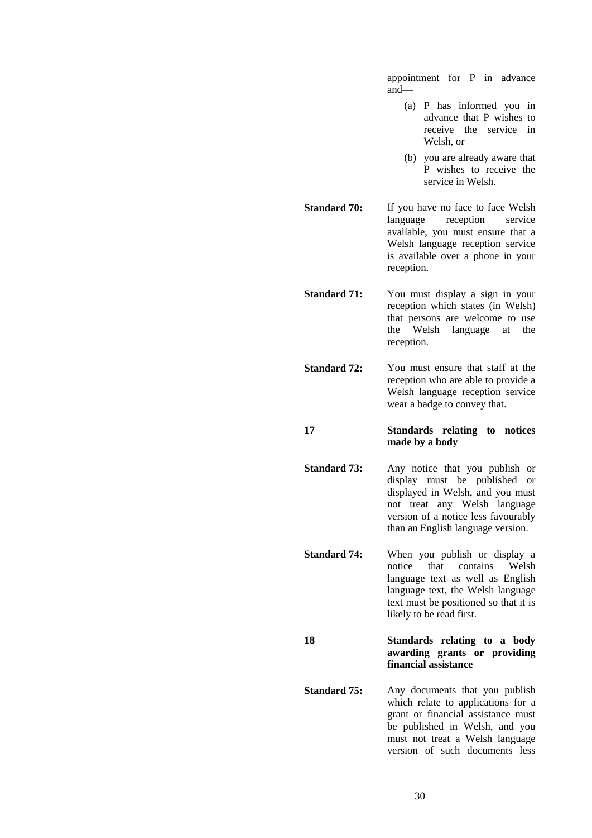appointment for P in advance and—

- (a) P has informed you in advance that P wishes to receive the service in Welsh, or
- (b) you are already aware that P wishes to receive the service in Welsh.

**Standard 70:** If you have no face to face Welsh language reception service available, you must ensure that a Welsh language reception service is available over a phone in your reception.

**Standard 71:** You must display a sign in your reception which states (in Welsh) that persons are welcome to use the Welsh language at the reception.

**Standard 72:** You must ensure that staff at the reception who are able to provide a Welsh language reception service wear a badge to convey that.

**17 Standards relating to notices made by a body**

**Standard 73:** Any notice that you publish or display must be published or displayed in Welsh, and you must not treat any Welsh language version of a notice less favourably than an English language version.

**Standard 74:** When you publish or display a notice that contains Welsh language text as well as English language text, the Welsh language text must be positioned so that it is likely to be read first.

**18 Standards relating to a body awarding grants or providing financial assistance**

**Standard 75:** Any documents that you publish which relate to applications for a grant or financial assistance must be published in Welsh, and you must not treat a Welsh language version of such documents less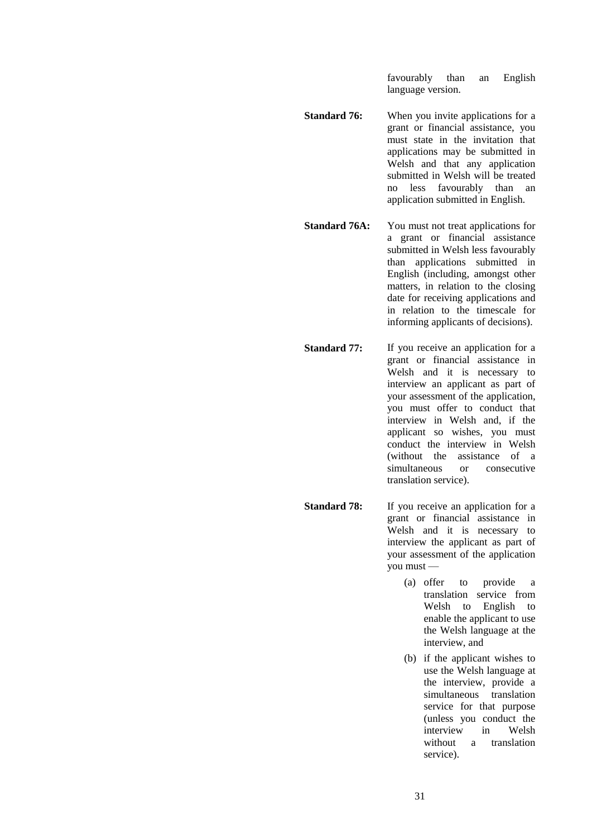favourably than an English language version.

- **Standard 76:** When you invite applications for a grant or financial assistance, you must state in the invitation that applications may be submitted in Welsh and that any application submitted in Welsh will be treated no less favourably than an application submitted in English.
- **Standard 76A:** You must not treat applications for a grant or financial assistance submitted in Welsh less favourably than applications submitted in English (including, amongst other matters, in relation to the closing date for receiving applications and in relation to the timescale for informing applicants of decisions).
- **Standard 77:** If you receive an application for a grant or financial assistance in Welsh and it is necessary to interview an applicant as part of your assessment of the application, you must offer to conduct that interview in Welsh and, if the applicant so wishes, you must conduct the interview in Welsh (without the assistance of a simultaneous or consecutive translation service).
- **Standard 78:** If you receive an application for a grant or financial assistance in Welsh and it is necessary to interview the applicant as part of your assessment of the application you must —
	- (a) offer to provide a translation service from Welsh to English to enable the applicant to use the Welsh language at the interview, and
	- (b) if the applicant wishes to use the Welsh language at the interview, provide a simultaneous translation service for that purpose (unless you conduct the interview in Welsh without a translation service).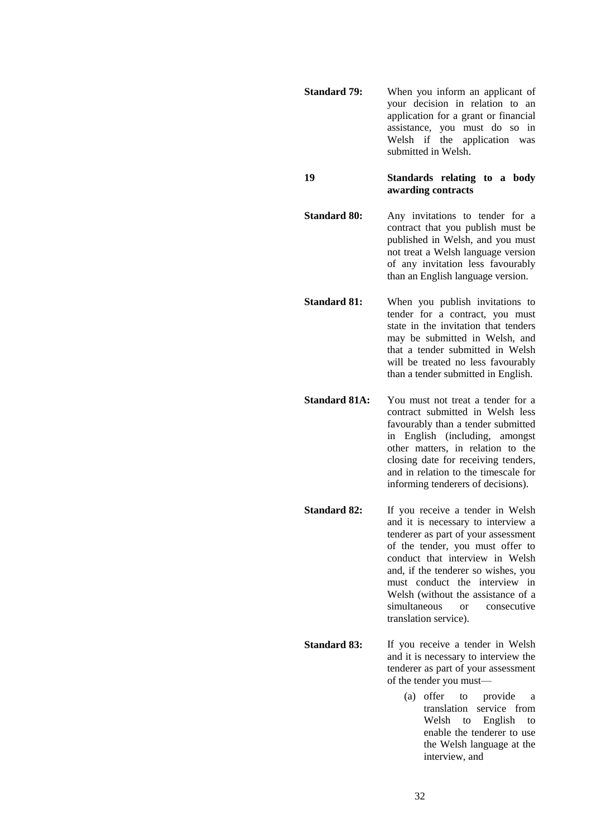**Standard 79:** When you inform an applicant of your decision in relation to an application for a grant or financial assistance, you must do so in Welsh if the application was submitted in Welsh.

**19 Standards relating to a body awarding contracts**

**Standard 80:** Any invitations to tender for a contract that you publish must be published in Welsh, and you must not treat a Welsh language version of any invitation less favourably than an English language version.

**Standard 81:** When you publish invitations to tender for a contract, you must state in the invitation that tenders may be submitted in Welsh, and that a tender submitted in Welsh will be treated no less favourably than a tender submitted in English.

**Standard 81A:** You must not treat a tender for a contract submitted in Welsh less favourably than a tender submitted in English (including, amongst other matters, in relation to the closing date for receiving tenders, and in relation to the timescale for informing tenderers of decisions).

**Standard 82:** If you receive a tender in Welsh and it is necessary to interview a tenderer as part of your assessment of the tender, you must offer to conduct that interview in Welsh and, if the tenderer so wishes, you must conduct the interview in Welsh (without the assistance of a simultaneous or consecutive translation service).

**Standard 83:** If you receive a tender in Welsh and it is necessary to interview the tenderer as part of your assessment of the tender you must—

> (a) offer to provide a translation service from Welsh to English to enable the tenderer to use the Welsh language at the interview, and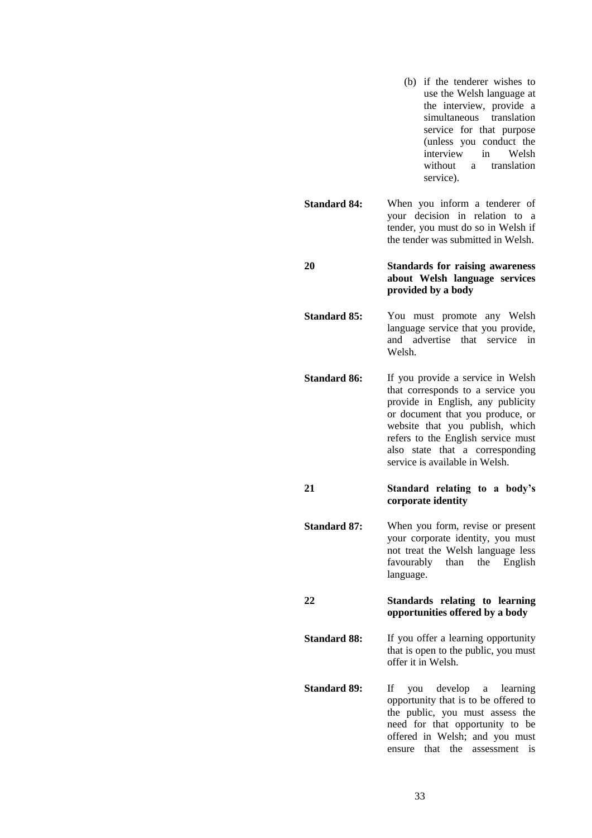(b) if the tenderer wishes to use the Welsh language at the interview, provide a simultaneous translation service for that purpose (unless you conduct the interview in Welsh without a translation service). **Standard 84:** When you inform a tenderer of your decision in relation to a tender, you must do so in Welsh if the tender was submitted in Welsh. **20 Standards for raising awareness about Welsh language services provided by a body Standard 85:** You must promote any Welsh language service that you provide, and advertise that service in Welsh. **Standard 86:** If you provide a service in Welsh that corresponds to a service you provide in English, any publicity or document that you produce, or website that you publish, which refers to the English service must also state that a corresponding service is available in Welsh. **21 Standard relating to a body's corporate identity Standard 87:** When you form, revise or present your corporate identity, you must not treat the Welsh language less favourably than the English language. **22 Standards relating to learning opportunities offered by a body Standard 88:** If you offer a learning opportunity that is open to the public, you must offer it in Welsh. **Standard 89:** If you develop a learning opportunity that is to be offered to the public, you must assess the need for that opportunity to be offered in Welsh; and you must ensure that the assessment is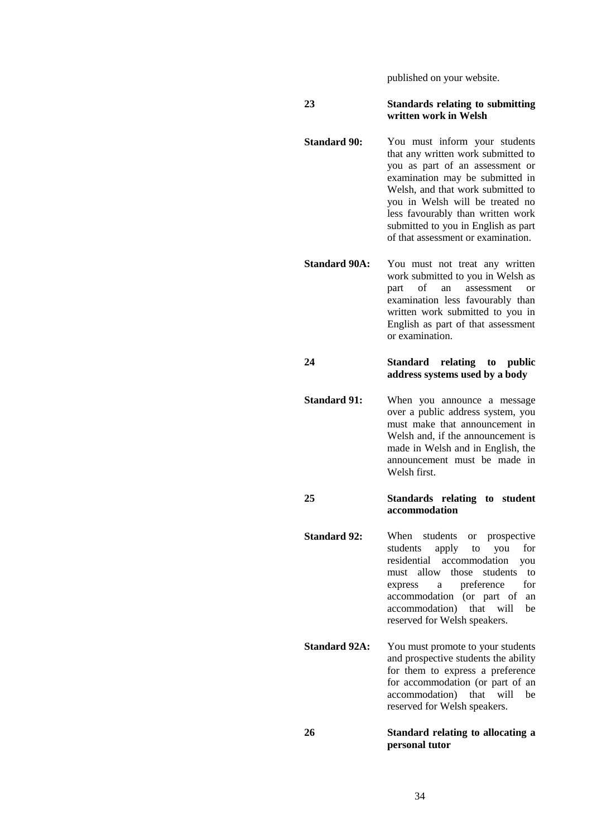published on your website.

#### **23 Standards relating to submitting written work in Welsh**

- **Standard 90:** You must inform your students that any written work submitted to you as part of an assessment or examination may be submitted in Welsh, and that work submitted to you in Welsh will be treated no less favourably than written work submitted to you in English as part of that assessment or examination.
- **Standard 90A:** You must not treat any written work submitted to you in Welsh as part of an assessment or examination less favourably than written work submitted to you in English as part of that assessment or examination.

**24 Standard relating to public address systems used by a body**

**Standard 91:** When you announce a message over a public address system, you must make that announcement in Welsh and, if the announcement is made in Welsh and in English, the announcement must be made in Welsh first.

#### **25 Standards relating to student accommodation**

- **Standard 92:** When students or prospective students apply to you for residential accommodation you must allow those students to express a preference for accommodation (or part of an accommodation) that will be reserved for Welsh speakers.
- **Standard 92A:** You must promote to your students and prospective students the ability for them to express a preference for accommodation (or part of an accommodation) that will be reserved for Welsh speakers.

#### **26 Standard relating to allocating a personal tutor**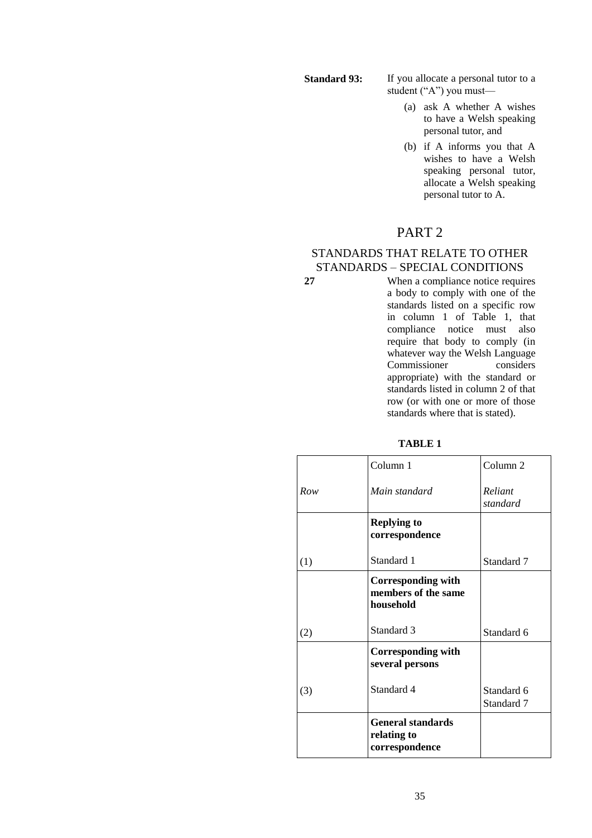**Standard 93:** If you allocate a personal tutor to a student ("A") you must—

- (a) ask A whether A wishes to have a Welsh speaking personal tutor, and
- (b) if A informs you that A wishes to have a Welsh speaking personal tutor, allocate a Welsh speaking personal tutor to A.

# PART 2

## STANDARDS THAT RELATE TO OTHER STANDARDS – SPECIAL CONDITIONS

**27** When a compliance notice requires a body to comply with one of the standards listed on a specific row in column 1 of Table 1, that compliance notice must also require that body to comply (in whatever way the Welsh Language<br>Commissioner considers Commissioner appropriate) with the standard or standards listed in column 2 of that row (or with one or more of those standards where that is stated).

**TABLE 1**

|     | Column 1                                                      | Column <sub>2</sub>      |
|-----|---------------------------------------------------------------|--------------------------|
| Row | Main standard                                                 | Reliant<br>standard      |
|     | <b>Replying to</b><br>correspondence                          |                          |
| (1) | Standard 1                                                    | Standard 7               |
|     | <b>Corresponding with</b><br>members of the same<br>household |                          |
| (2) | Standard 3                                                    | Standard 6               |
|     | <b>Corresponding with</b><br>several persons                  |                          |
| (3) | Standard 4                                                    | Standard 6<br>Standard 7 |
|     | <b>General standards</b><br>relating to<br>correspondence     |                          |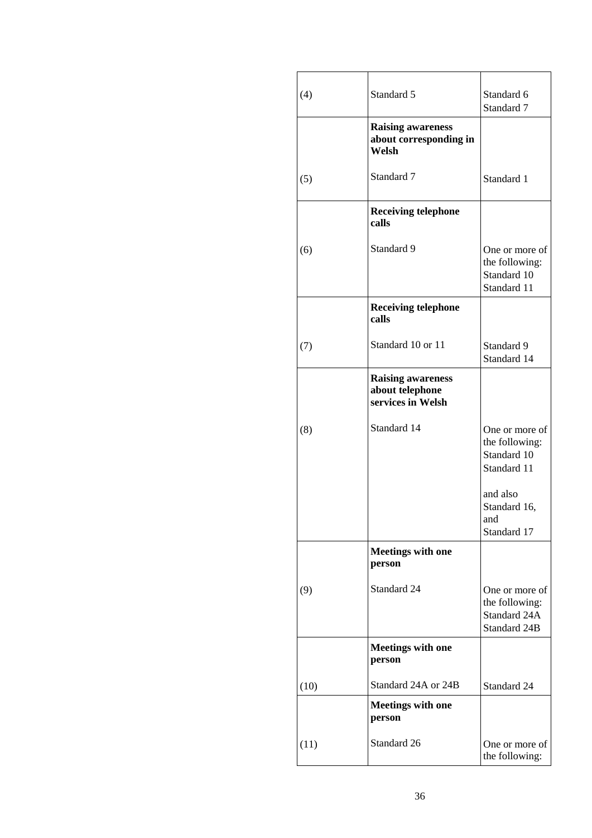| (4)  | Standard 5                                                       | Standard 6<br>Standard 7                                         |
|------|------------------------------------------------------------------|------------------------------------------------------------------|
|      | <b>Raising awareness</b><br>about corresponding in<br>Welsh      |                                                                  |
| (5)  | Standard 7                                                       | Standard 1                                                       |
|      | <b>Receiving telephone</b><br>calls                              |                                                                  |
| (6)  | Standard 9                                                       | One or more of<br>the following:<br>Standard 10<br>Standard 11   |
|      | <b>Receiving telephone</b><br>calls                              |                                                                  |
| (7)  | Standard 10 or 11                                                | Standard 9<br>Standard 14                                        |
|      | <b>Raising awareness</b><br>about telephone<br>services in Welsh |                                                                  |
| (8)  | Standard 14                                                      | One or more of<br>the following:<br>Standard 10<br>Standard 11   |
|      |                                                                  | and also<br>Standard 16,<br>and<br>Standard 17                   |
|      | <b>Meetings with one</b><br>person                               |                                                                  |
| (9)  | Standard 24                                                      | One or more of<br>the following:<br>Standard 24A<br>Standard 24B |
|      | <b>Meetings with one</b><br>person                               |                                                                  |
| (10) | Standard 24A or 24B                                              | Standard 24                                                      |
|      | <b>Meetings with one</b><br>person                               |                                                                  |
| (11) | Standard 26                                                      | One or more of<br>the following:                                 |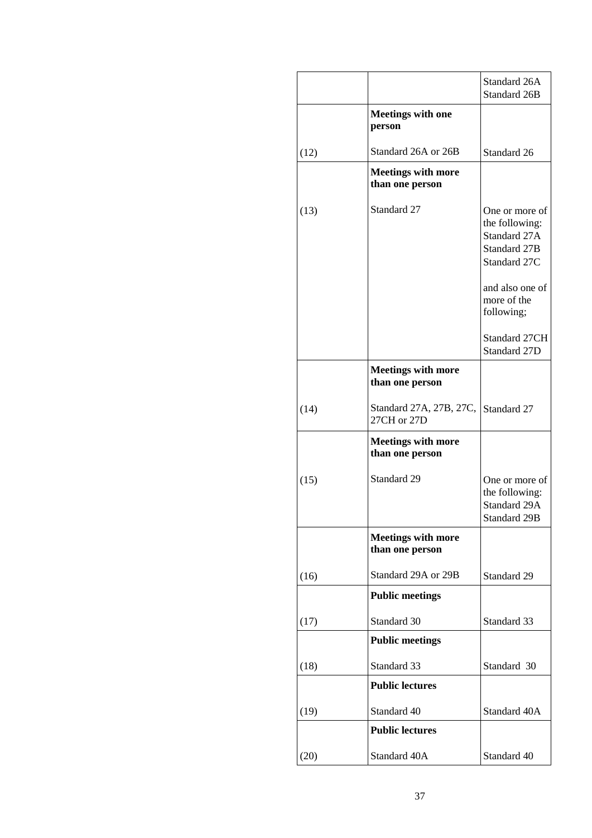|      |                                              | Standard 26A<br>Standard 26B                                                     |
|------|----------------------------------------------|----------------------------------------------------------------------------------|
|      | <b>Meetings with one</b><br>person           |                                                                                  |
| (12) | Standard 26A or 26B                          | Standard 26                                                                      |
|      | <b>Meetings with more</b><br>than one person |                                                                                  |
| (13) | Standard 27                                  | One or more of<br>the following:<br>Standard 27A<br>Standard 27B<br>Standard 27C |
|      |                                              | and also one of<br>more of the<br>following;                                     |
|      |                                              | Standard 27CH<br>Standard 27D                                                    |
|      | <b>Meetings with more</b><br>than one person |                                                                                  |
| (14) | Standard 27A, 27B, 27C,<br>27CH or 27D       | Standard 27                                                                      |
|      | <b>Meetings with more</b><br>than one person |                                                                                  |
| (15) | Standard 29                                  | One or more of<br>the following:<br>Standard 29A<br><b>Standard 29B</b>          |
|      | <b>Meetings with more</b><br>than one person |                                                                                  |
| (16) | Standard 29A or 29B                          | Standard 29                                                                      |
|      | <b>Public meetings</b>                       |                                                                                  |
| (17) | Standard 30                                  | Standard 33                                                                      |
|      | <b>Public meetings</b>                       |                                                                                  |
| (18) | Standard 33                                  | Standard 30                                                                      |
|      | <b>Public lectures</b>                       |                                                                                  |
| (19) | Standard 40                                  | Standard 40A                                                                     |
|      | <b>Public lectures</b>                       |                                                                                  |
| (20) | Standard 40A                                 | Standard 40                                                                      |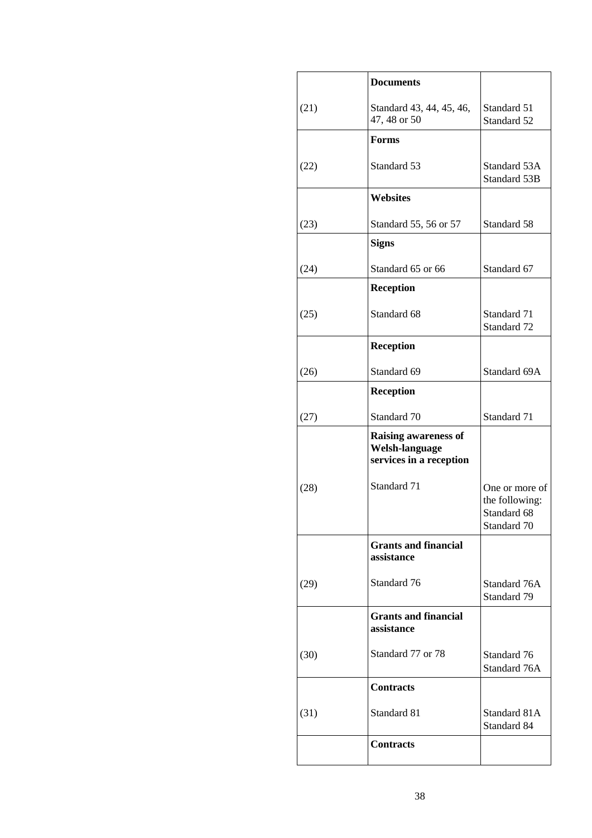|      | <b>Documents</b>                                                         |                                                                |
|------|--------------------------------------------------------------------------|----------------------------------------------------------------|
| (21) | Standard 43, 44, 45, 46,<br>47, 48 or 50                                 | Standard 51<br>Standard 52                                     |
|      | Forms                                                                    |                                                                |
| (22) | Standard 53                                                              | Standard 53A<br>Standard 53B                                   |
|      | <b>Websites</b>                                                          |                                                                |
| (23) | Standard 55, 56 or 57                                                    | Standard 58                                                    |
|      | <b>Signs</b>                                                             |                                                                |
| (24) | Standard 65 or 66                                                        | Standard 67                                                    |
|      | <b>Reception</b>                                                         |                                                                |
| (25) | Standard 68                                                              | Standard 71<br>Standard 72                                     |
|      | <b>Reception</b>                                                         |                                                                |
| (26) | Standard 69                                                              | Standard 69A                                                   |
|      | <b>Reception</b>                                                         |                                                                |
| (27) | Standard 70                                                              | Standard 71                                                    |
|      | <b>Raising awareness of</b><br>Welsh-language<br>services in a reception |                                                                |
| (28) | Standard 71                                                              | One or more of<br>the following:<br>Standard 68<br>Standard 70 |
|      | <b>Grants and financial</b><br>assistance                                |                                                                |
| (29) | Standard 76                                                              | Standard 76A<br>Standard 79                                    |
|      | <b>Grants and financial</b><br>assistance                                |                                                                |
| (30) | Standard 77 or 78                                                        | Standard 76<br>Standard 76A                                    |
|      | <b>Contracts</b>                                                         |                                                                |
| (31) | Standard 81                                                              | Standard 81A<br>Standard 84                                    |
|      | <b>Contracts</b>                                                         |                                                                |
|      |                                                                          |                                                                |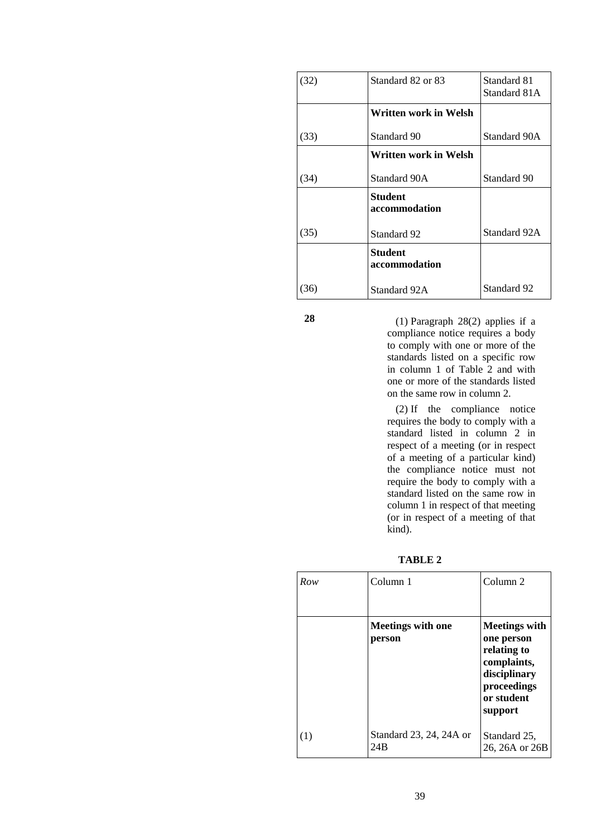| (32) | Standard 82 or 83               | Standard 81<br>Standard 81A |
|------|---------------------------------|-----------------------------|
|      | Written work in Welsh           |                             |
| (33) | Standard 90                     | Standard 90A                |
|      | Written work in Welsh           |                             |
| (34) | Standard 90A                    | Standard 90                 |
|      | <b>Student</b><br>accommodation |                             |
| (35) | Standard 92                     | Standard 92A                |
|      | <b>Student</b><br>accommodation |                             |
| 36)  | Standard 92A                    | Standard 92                 |

**28** (1) Paragraph 28(2) applies if a compliance notice requires a body to comply with one or more of the standards listed on a specific row in column 1 of Table 2 and with one or more of the standards listed on the same row in column 2.

> (2) If the compliance notice requires the body to comply with a standard listed in column 2 in respect of a meeting (or in respect of a meeting of a particular kind) the compliance notice must not require the body to comply with a standard listed on the same row in column 1 in respect of that meeting (or in respect of a meeting of that kind).

**TABLE 2**

| Row | Column 1                           | Column 2                                                                                                                 |
|-----|------------------------------------|--------------------------------------------------------------------------------------------------------------------------|
|     | <b>Meetings with one</b><br>person | <b>Meetings with</b><br>one person<br>relating to<br>complaints,<br>disciplinary<br>proceedings<br>or student<br>support |
| (1) | Standard 23, 24, 24A or<br>24B     | Standard 25,<br>26, 26A or 26B                                                                                           |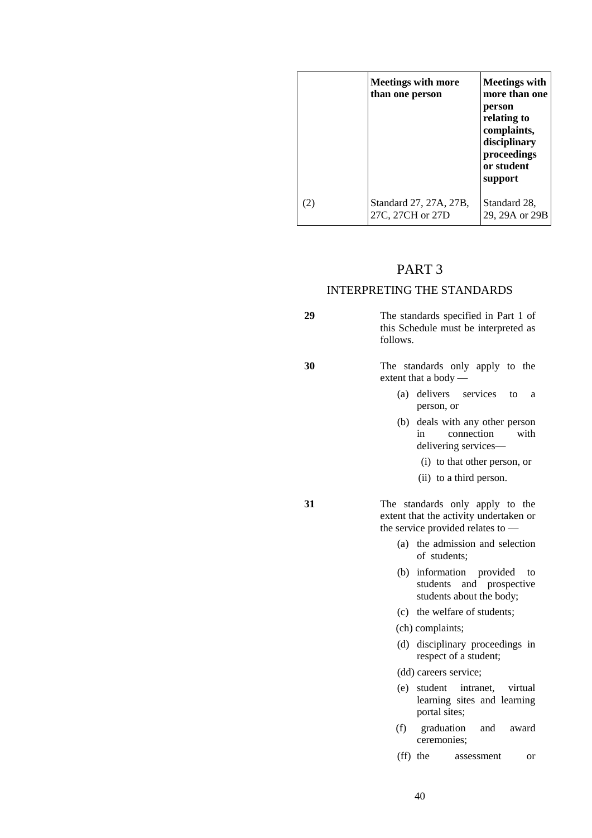|     | <b>Meetings with more</b><br>than one person | <b>Meetings with</b><br>more than one<br>person<br>relating to<br>complaints,<br>disciplinary<br>proceedings<br>or student<br>support |
|-----|----------------------------------------------|---------------------------------------------------------------------------------------------------------------------------------------|
| (2) | Standard 27, 27A, 27B,<br>27C, 27CH or 27D   | Standard 28,<br>29, 29A or 29B                                                                                                        |

### PART 3

## INTERPRETING THE STANDARDS

**29** The standards specified in Part 1 of this Schedule must be interpreted as follows.

**30** The standards only apply to the extent that a body —

- (a) delivers services to a person, or
- (b) deals with any other person in connection with delivering services—
	- (i) to that other person, or
	- (ii) to a third person.

**31** The standards only apply to the extent that the activity undertaken or the service provided relates to —

- (a) the admission and selection of students;
- (b) information provided to students and prospective students about the body;
- (c) the welfare of students;
- (ch) complaints;
- (d) disciplinary proceedings in respect of a student;

(dd) careers service;

- (e) student intranet, virtual learning sites and learning portal sites;
- (f) graduation and award ceremonies;
- (ff) the assessment or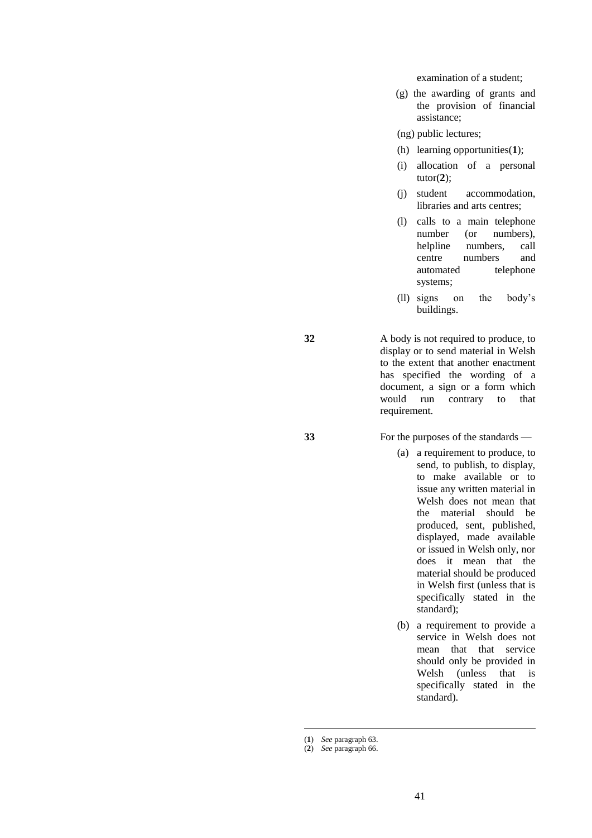examination of a student;

(g) the awarding of grants and the provision of financial assistance;

(ng) public lectures;

- (h) learning opportunities(**1**);
- (i) allocation of a personal tutor(**2**);
- (j) student accommodation, libraries and arts centres;
- (l) calls to a main telephone number (or numbers), helpline numbers, call<br>centre numbers and numbers and automated telephone systems;
- (ll) signs on the body's buildings.

**32** A body is not required to produce, to display or to send material in Welsh to the extent that another enactment has specified the wording of a document, a sign or a form which would run contrary to that requirement.

**33** For the purposes of the standards —

- (a) a requirement to produce, to send, to publish, to display, to make available or to issue any written material in Welsh does not mean that the material should be produced, sent, published, displayed, made available or issued in Welsh only, nor does it mean that the material should be produced in Welsh first (unless that is specifically stated in the standard);
- (b) a requirement to provide a service in Welsh does not mean that that service should only be provided in Welsh (unless that is specifically stated in the standard).

<u>.</u>

<sup>(</sup>**1**) *See* paragraph 63.

<sup>(</sup>**2**) *See* paragraph 66.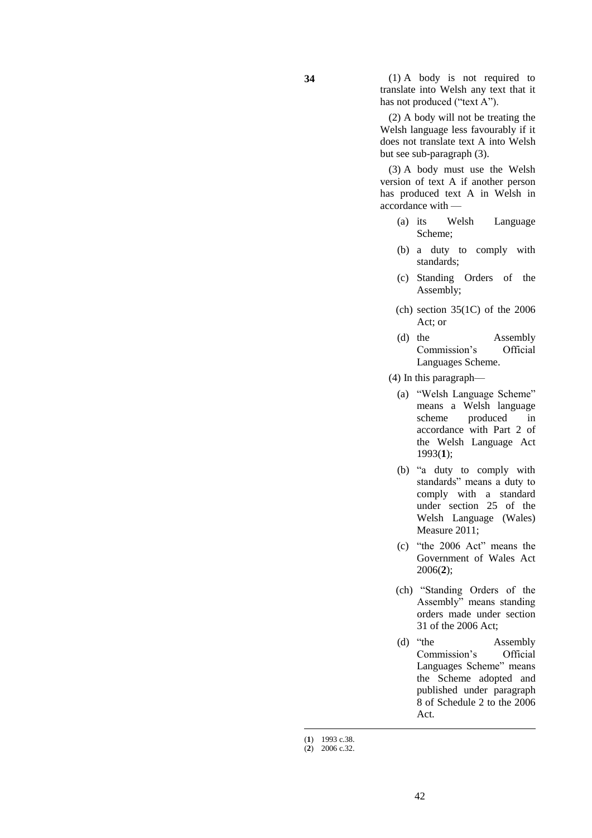**34** (1) A body is not required to translate into Welsh any text that it has not produced ("text A").

> (2) A body will not be treating the Welsh language less favourably if it does not translate text A into Welsh but see sub-paragraph (3).

> (3) A body must use the Welsh version of text A if another person has produced text A in Welsh in accordance with —

- (a) its Welsh Language Scheme;
- (b) a duty to comply with standards;
- (c) Standing Orders of the Assembly;
- (ch) section  $35(1)$  of the  $2006$ Act; or
- (d) the Assembly Commission's Official Languages Scheme.
- (4) In this paragraph—
	- (a) "Welsh Language Scheme" means a Welsh language scheme produced in accordance with Part 2 of the Welsh Language Act 1993(**1**);
	- (b) "a duty to comply with standards" means a duty to comply with a standard under section 25 of the Welsh Language (Wales) Measure 2011;
	- (c) "the 2006 Act" means the Government of Wales Act 2006(**2**);
	- (ch) "Standing Orders of the Assembly" means standing orders made under section 31 of the 2006 Act;
	- (d) "the Assembly Commission's Official Languages Scheme" means the Scheme adopted and published under paragraph 8 of Schedule 2 to the 2006 Act.

<u>.</u>

<sup>(</sup>**1**) 1993 c.38.

<sup>(</sup>**2**) 2006 c.32.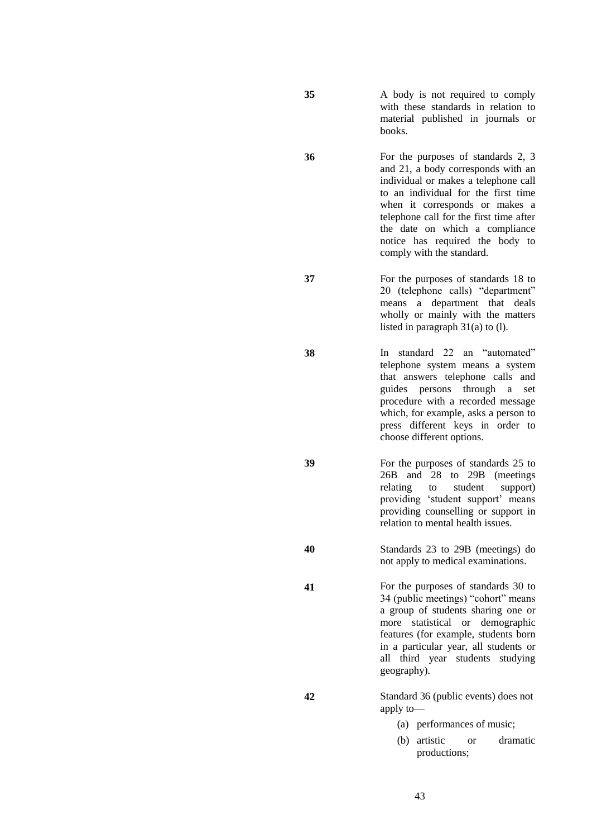**35** A body is not required to comply with these standards in relation to material published in journals or books.

**36** For the purposes of standards 2, 3 and 21, a body corresponds with an individual or makes a telephone call to an individual for the first time when it corresponds or makes a telephone call for the first time after the date on which a compliance notice has required the body to comply with the standard.

**37** For the purposes of standards 18 to 20 (telephone calls) "department" means a department that deals wholly or mainly with the matters listed in paragraph 31(a) to (l).

**38** In standard 22 an "automated" telephone system means a system that answers telephone calls and guides persons through a set procedure with a recorded message which, for example, asks a person to press different keys in order to choose different options.

**39** For the purposes of standards 25 to 26B and 28 to 29B (meetings relating to student support) providing 'student support' means providing counselling or support in relation to mental health issues.

**40** Standards 23 to 29B (meetings) do not apply to medical examinations.

**41** For the purposes of standards 30 to 34 (public meetings) "cohort" means a group of students sharing one or more statistical or demographic features (for example, students born in a particular year, all students or all third year students studying geography).

**42** Standard 36 (public events) does not apply to—

- (a) performances of music;
- (b) artistic or dramatic productions;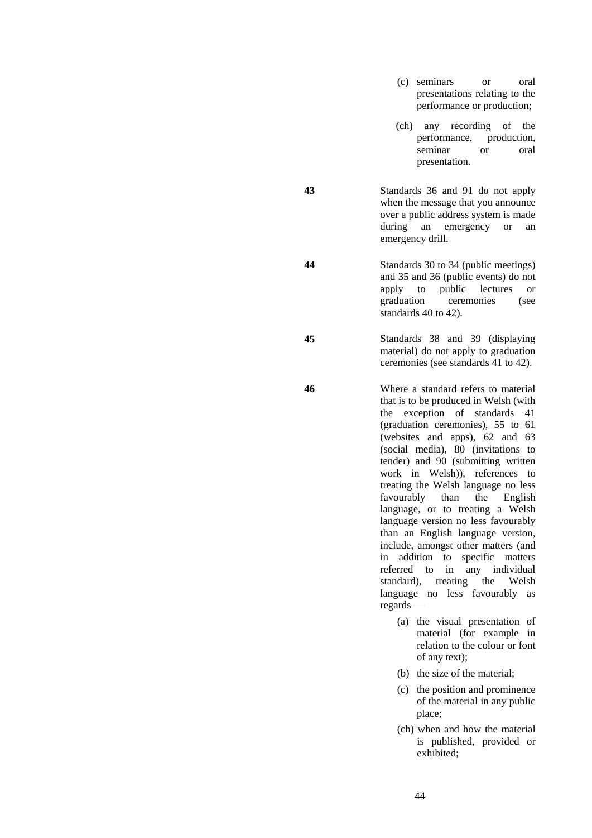- (c) seminars or oral presentations relating to the performance or production;
- (ch) any recording of the performance, production, production, seminar or oral presentation.
- **43** Standards 36 and 91 do not apply when the message that you announce over a public address system is made during an emergency or an emergency drill.
- **44** Standards 30 to 34 (public meetings) and 35 and 36 (public events) do not apply to public lectures or graduation ceremonies (see standards 40 to 42).
- **45** Standards 38 and 39 (displaying material) do not apply to graduation ceremonies (see standards 41 to 42).
- **46** Where a standard refers to material that is to be produced in Welsh (with the exception of standards 41 (graduation ceremonies), 55 to 61 (websites and apps), 62 and 63 (social media), 80 (invitations to tender) and 90 (submitting written work in Welsh)), references to treating the Welsh language no less favourably than the English language, or to treating a Welsh language version no less favourably than an English language version, include, amongst other matters (and in addition to specific matters referred to in any individual standard), treating the Welsh language no less favourably as regards —
	- (a) the visual presentation of material (for example in relation to the colour or font of any text);
	- (b) the size of the material;
	- (c) the position and prominence of the material in any public place;
	- (ch) when and how the material is published, provided or exhibited;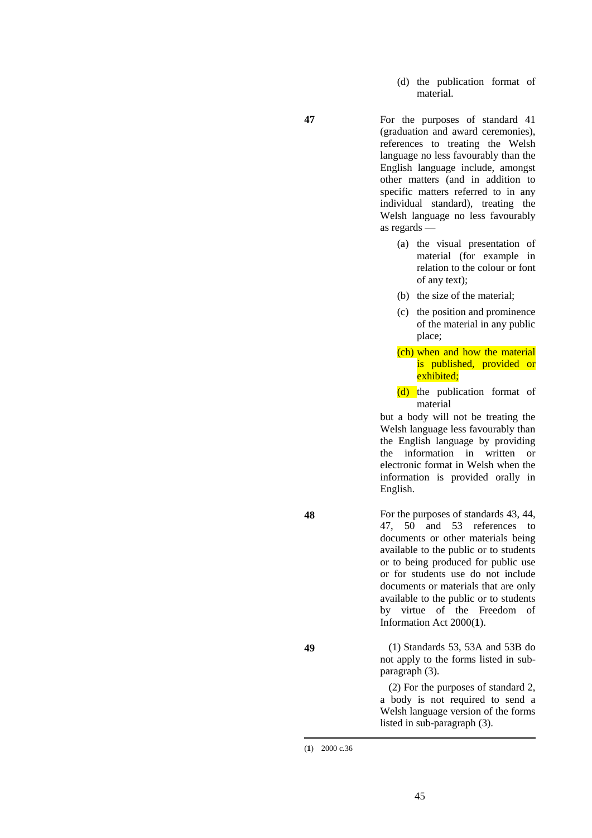(d) the publication format of material.

**47** For the purposes of standard 41 (graduation and award ceremonies), references to treating the Welsh language no less favourably than the English language include, amongst other matters (and in addition to specific matters referred to in any individual standard), treating the Welsh language no less favourably as regards —

- (a) the visual presentation of material (for example in relation to the colour or font of any text);
- (b) the size of the material;
- (c) the position and prominence of the material in any public place;
- (ch) when and how the material is published, provided or exhibited;
- (d) the publication format of material

but a body will not be treating the Welsh language less favourably than the English language by providing the information in written or electronic format in Welsh when the information is provided orally in English.

**48** For the purposes of standards 43, 44, 47, 50 and 53 references to documents or other materials being available to the public or to students or to being produced for public use or for students use do not include documents or materials that are only available to the public or to students by virtue of the Freedom of Information Act 2000(**1**).

**49** (1) Standards 53, 53A and 53B do not apply to the forms listed in subparagraph (3).

> (2) For the purposes of standard 2, a body is not required to send a Welsh language version of the forms listed in sub-paragraph (3).

<sup>-</sup>(**1**) 2000 c.36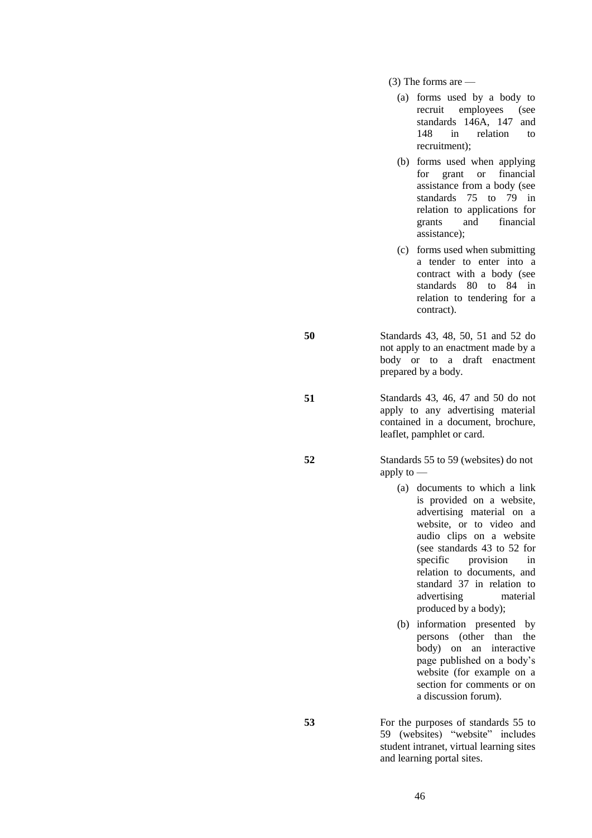(3) The forms are —

- (a) forms used by a body to recruit employees (see standards 146A, 147 and 148 in relation to recruitment);
- (b) forms used when applying for grant or financial assistance from a body (see standards 75 to 79 in relation to applications for grants and financial assistance);
- (c) forms used when submitting a tender to enter into a contract with a body (see standards 80 to 84 in relation to tendering for a contract).
- **50** Standards 43, 48, 50, 51 and 52 do not apply to an enactment made by a body or to a draft enactment prepared by a body.
- **51** Standards 43, 46, 47 and 50 do not apply to any advertising material contained in a document, brochure, leaflet, pamphlet or card.
- **52** Standards 55 to 59 (websites) do not apply to —
	- (a) documents to which a link is provided on a website, advertising material on a website, or to video and audio clips on a website (see standards 43 to 52 for specific provision in relation to documents, and standard 37 in relation to advertising material produced by a body);
	- (b) information presented by persons (other than the body) on an interactive page published on a body's website (for example on a section for comments or on a discussion forum).
- **53** For the purposes of standards 55 to 59 (websites) "website" includes student intranet, virtual learning sites and learning portal sites.

46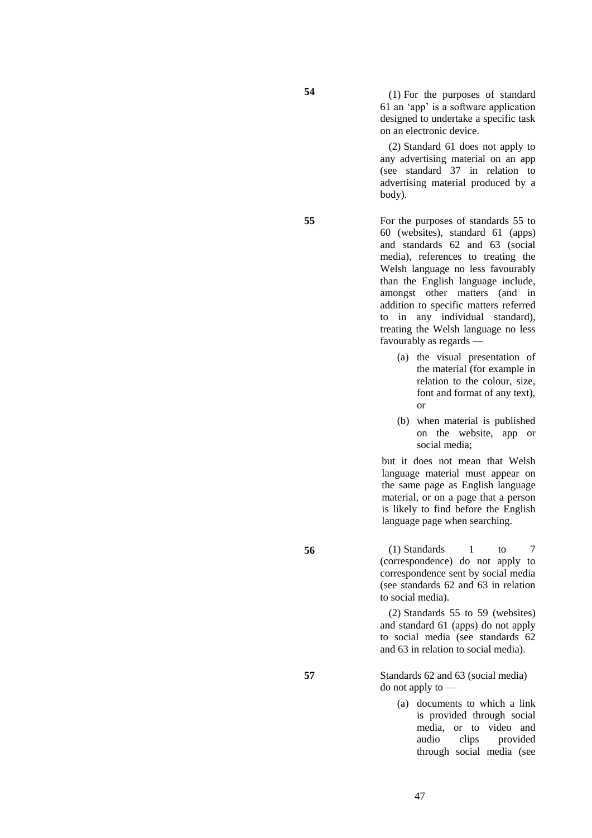**54** (1) For the purposes of standard 61 an 'app' is a software application designed to undertake a specific task on an electronic device.

> (2) Standard 61 does not apply to any advertising material on an app (see standard 37 in relation to advertising material produced by a body).

**55** For the purposes of standards 55 to 60 (websites), standard 61 (apps) and standards 62 and 63 (social media), references to treating the Welsh language no less favourably than the English language include, amongst other matters (and in addition to specific matters referred to in any individual standard), treating the Welsh language no less favourably as regards —

- (a) the visual presentation of the material (for example in relation to the colour, size, font and format of any text), or
- (b) when material is published on the website, app or social media;

but it does not mean that Welsh language material must appear on the same page as English language material, or on a page that a person is likely to find before the English language page when searching.

**56** (1) Standards 1 to 7 (correspondence) do not apply to correspondence sent by social media (see standards 62 and 63 in relation to social media).

> (2) Standards 55 to 59 (websites) and standard 61 (apps) do not apply to social media (see standards 62 and 63 in relation to social media).

**57** Standards 62 and 63 (social media) do not apply to —

> (a) documents to which a link is provided through social media, or to video and audio clips provided through social media (see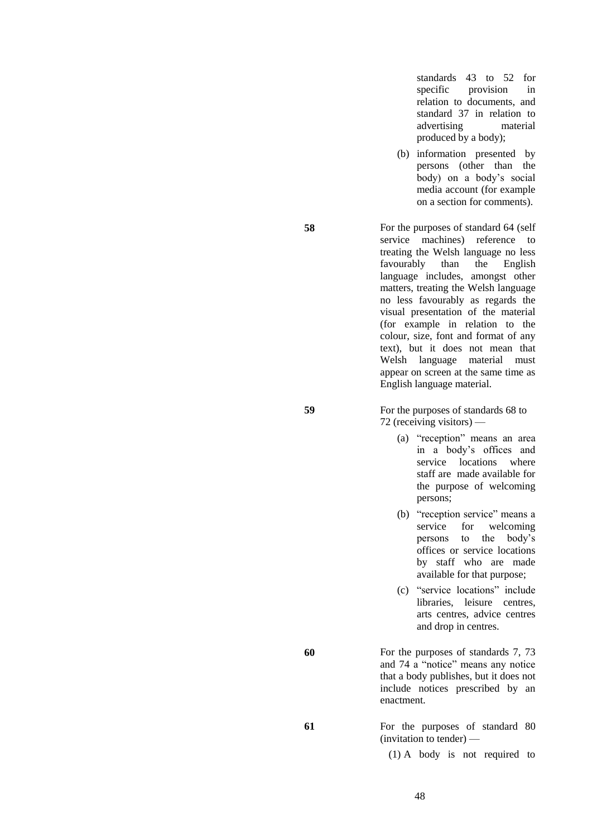standards 43 to 52 for specific provision in relation to documents, and standard 37 in relation to advertising material produced by a body);

(b) information presented by persons (other than the body) on a body's social media account (for example on a section for comments).

**58** For the purposes of standard 64 (self service machines) reference to treating the Welsh language no less favourably than the English language includes, amongst other matters, treating the Welsh language no less favourably as regards the visual presentation of the material (for example in relation to the colour, size, font and format of any text), but it does not mean that Welsh language material must appear on screen at the same time as English language material.

**59** For the purposes of standards 68 to 72 (receiving visitors) —

- (a) "reception" means an area in a body's offices and service locations where staff are made available for the purpose of welcoming persons;
- (b) "reception service" means a service for welcoming persons to the body's offices or service locations by staff who are made available for that purpose;
- (c) "service locations" include libraries, leisure centres, arts centres, advice centres and drop in centres.
- **60** For the purposes of standards 7, 73 and 74 a "notice" means any notice that a body publishes, but it does not include notices prescribed by an enactment.

**61** For the purposes of standard 80 (invitation to tender) —

(1) A body is not required to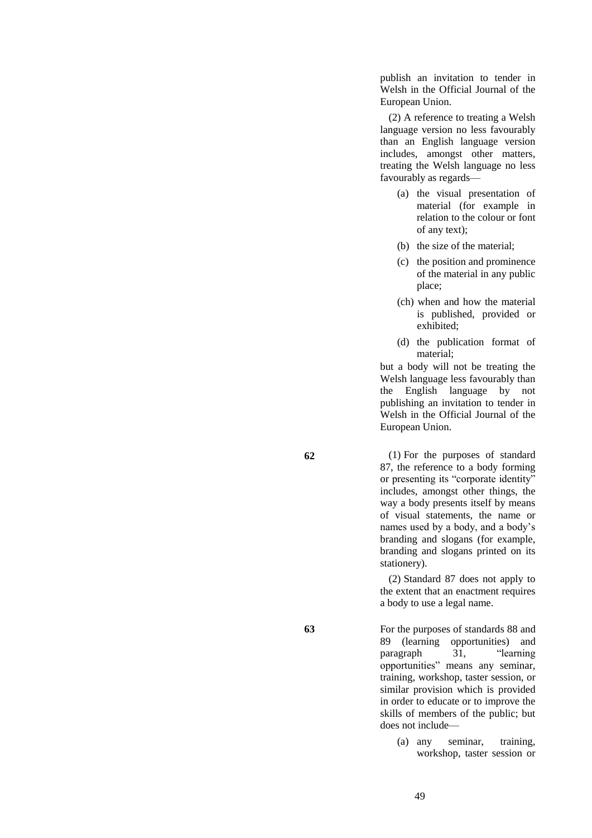publish an invitation to tender in Welsh in the Official Journal of the European Union.

(2) A reference to treating a Welsh language version no less favourably than an English language version includes, amongst other matters, treating the Welsh language no less favourably as regards—

- (a) the visual presentation of material (for example in relation to the colour or font of any text);
- (b) the size of the material;
- (c) the position and prominence of the material in any public place;
- (ch) when and how the material is published, provided or exhibited;
- (d) the publication format of material;

but a body will not be treating the Welsh language less favourably than the English language by not publishing an invitation to tender in Welsh in the Official Journal of the European Union.

**62** (1) For the purposes of standard 87, the reference to a body forming or presenting its "corporate identity" includes, amongst other things, the way a body presents itself by means of visual statements, the name or names used by a body, and a body's branding and slogans (for example, branding and slogans printed on its stationery).

> (2) Standard 87 does not apply to the extent that an enactment requires a body to use a legal name.

**63** For the purposes of standards 88 and 89 (learning opportunities) and paragraph 31, "learning opportunities" means any seminar, training, workshop, taster session, or similar provision which is provided in order to educate or to improve the skills of members of the public; but does not include—

> (a) any seminar, training, workshop, taster session or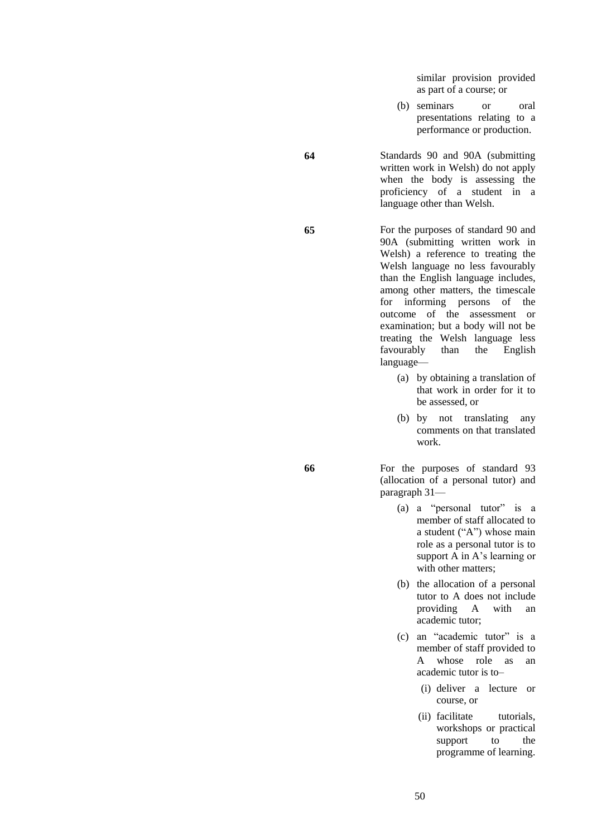similar provision provided as part of a course; or

- (b) seminars or oral presentations relating to a performance or production.
- **64** Standards 90 and 90A (submitting written work in Welsh) do not apply when the body is assessing the proficiency of a student in a language other than Welsh.

**65** For the purposes of standard 90 and 90A (submitting written work in Welsh) a reference to treating the Welsh language no less favourably than the English language includes, among other matters, the timescale for informing persons of the outcome of the assessment or examination; but a body will not be treating the Welsh language less favourably than the English language—

- (a) by obtaining a translation of that work in order for it to be assessed, or
- (b) by not translating any comments on that translated work.

**66** For the purposes of standard 93 (allocation of a personal tutor) and paragraph 31—

- (a) a "personal tutor" is a member of staff allocated to a student ("A") whose main role as a personal tutor is to support A in A's learning or with other matters;
- (b) the allocation of a personal tutor to A does not include providing A with an academic tutor;
- (c) an "academic tutor" is a member of staff provided to A whose role as an academic tutor is to–
	- (i) deliver a lecture or course, or
	- (ii) facilitate tutorials, workshops or practical support to the programme of learning.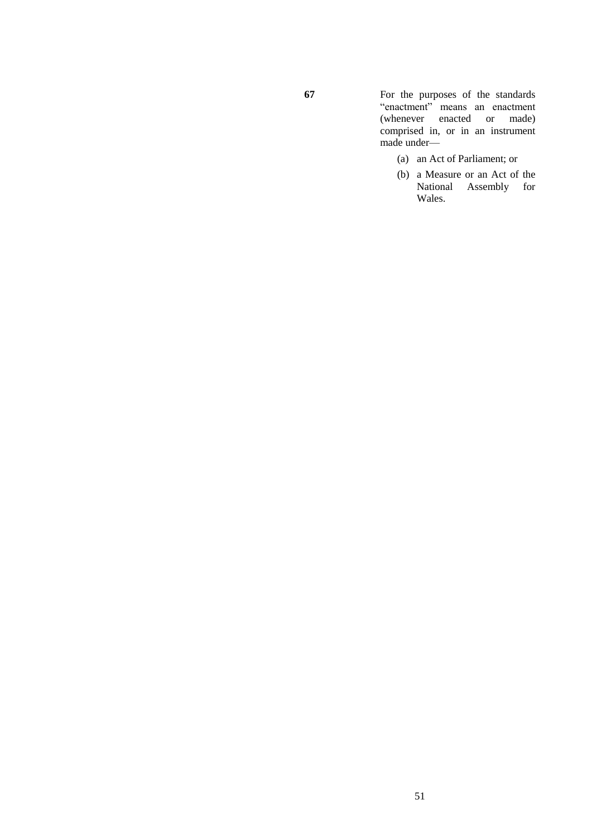**67** For the purposes of the standards "enactment" means an enactment (whenever enacted or made) comprised in, or in an instrument made under—

- (a) an Act of Parliament; or
- (b) a Measure or an Act of the National Assembly for Wales.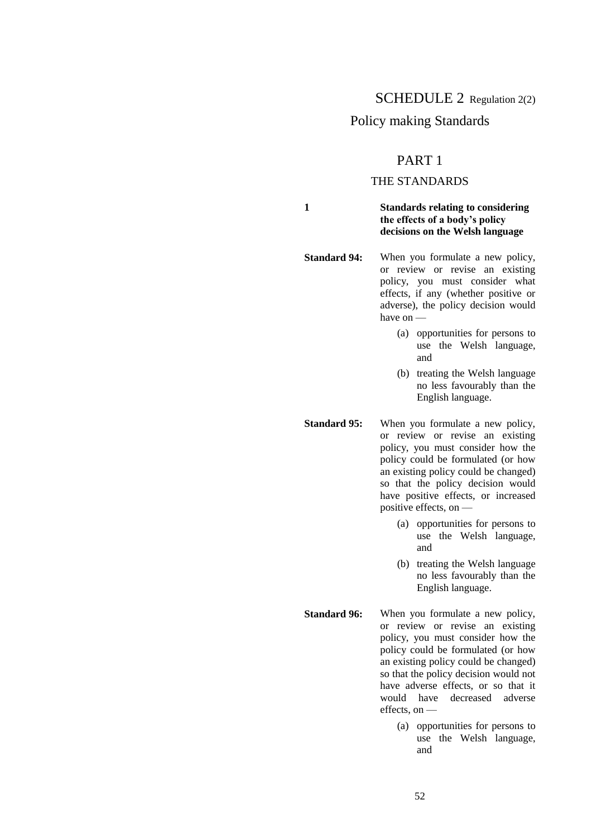## SCHEDULE 2 Regulation 2(2)

## Policy making Standards

## PART 1

## THE STANDARDS

**1 Standards relating to considering the effects of a body's policy decisions on the Welsh language**

**Standard 94:** When you formulate a new policy, or review or revise an existing policy, you must consider what effects, if any (whether positive or adverse), the policy decision would have on —

- (a) opportunities for persons to use the Welsh language, and
- (b) treating the Welsh language no less favourably than the English language.
- **Standard 95:** When you formulate a new policy, or review or revise an existing policy, you must consider how the policy could be formulated (or how an existing policy could be changed) so that the policy decision would have positive effects, or increased positive effects, on —
	- (a) opportunities for persons to use the Welsh language, and
	- (b) treating the Welsh language no less favourably than the English language.

**Standard 96:** When you formulate a new policy, or review or revise an existing policy, you must consider how the policy could be formulated (or how an existing policy could be changed) so that the policy decision would not have adverse effects, or so that it would have decreased adverse effects, on —

> (a) opportunities for persons to use the Welsh language, and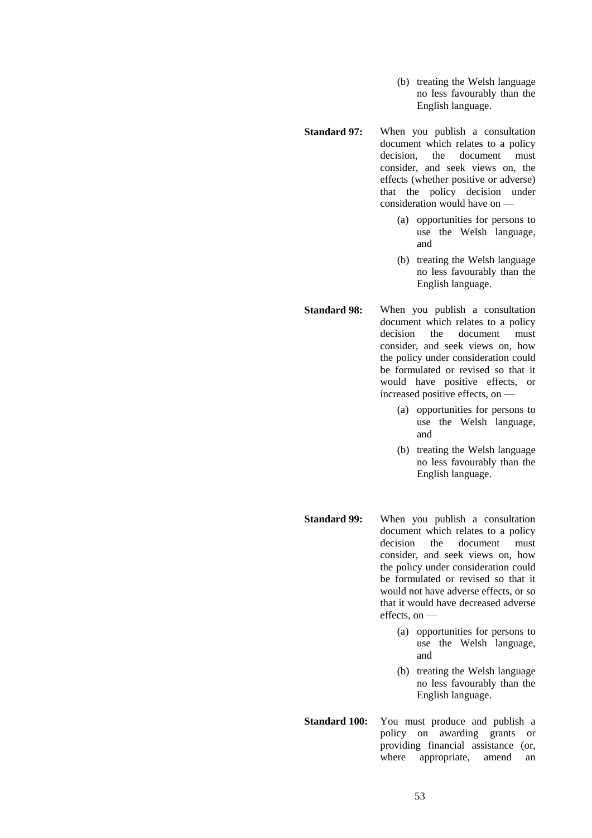- (b) treating the Welsh language no less favourably than the English language.
- **Standard 97:** When you publish a consultation document which relates to a policy decision, the document must consider, and seek views on, the effects (whether positive or adverse) that the policy decision under consideration would have on —
	- (a) opportunities for persons to use the Welsh language, and
	- (b) treating the Welsh language no less favourably than the English language.
- **Standard 98:** When you publish a consultation document which relates to a policy decision the document must consider, and seek views on, how the policy under consideration could be formulated or revised so that it would have positive effects, or increased positive effects, on —
	- (a) opportunities for persons to use the Welsh language, and
	- (b) treating the Welsh language no less favourably than the English language.
- **Standard 99:** When you publish a consultation document which relates to a policy decision the document must consider, and seek views on, how the policy under consideration could be formulated or revised so that it would not have adverse effects, or so that it would have decreased adverse effects, on —
	- (a) opportunities for persons to use the Welsh language, and
	- (b) treating the Welsh language no less favourably than the English language.
- **Standard 100:** You must produce and publish a policy on awarding grants or providing financial assistance (or, where appropriate, amend an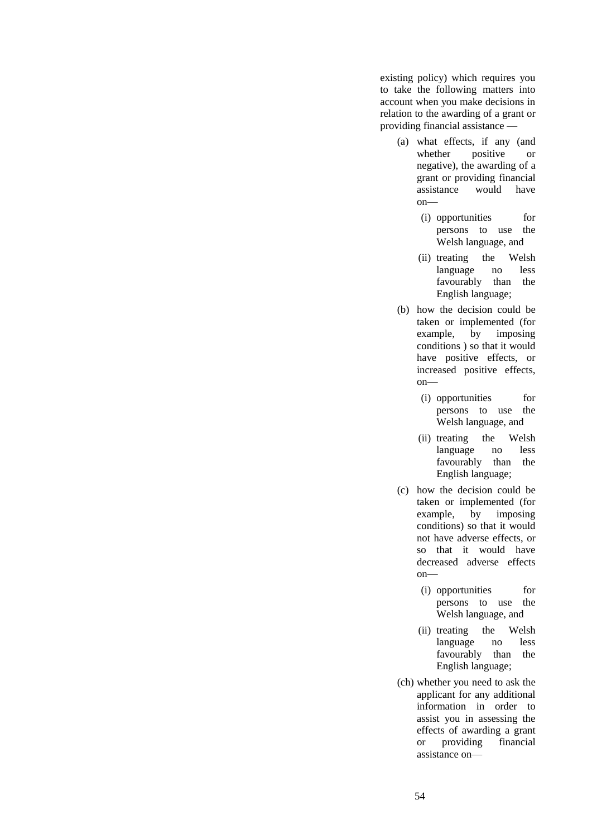existing policy) which requires you to take the following matters into account when you make decisions in relation to the awarding of a grant or providing financial assistance —

- (a) what effects, if any (and whether positive or negative), the awarding of a grant or providing financial assistance would have on—
	- (i) opportunities for persons to use the Welsh language, and
	- (ii) treating the Welsh language no less favourably than the English language;
- (b) how the decision could be taken or implemented (for example, by imposing conditions ) so that it would have positive effects, or increased positive effects, on—
	- (i) opportunities for persons to use the Welsh language, and
	- (ii) treating the Welsh language no less favourably than the English language;
- (c) how the decision could be taken or implemented (for example, by imposing conditions) so that it would not have adverse effects, or so that it would have decreased adverse effects  $on$ —
	- (i) opportunities for persons to use the Welsh language, and
	- (ii) treating the Welsh language no less favourably than the English language;
- (ch) whether you need to ask the applicant for any additional information in order to assist you in assessing the effects of awarding a grant or providing financial assistance on—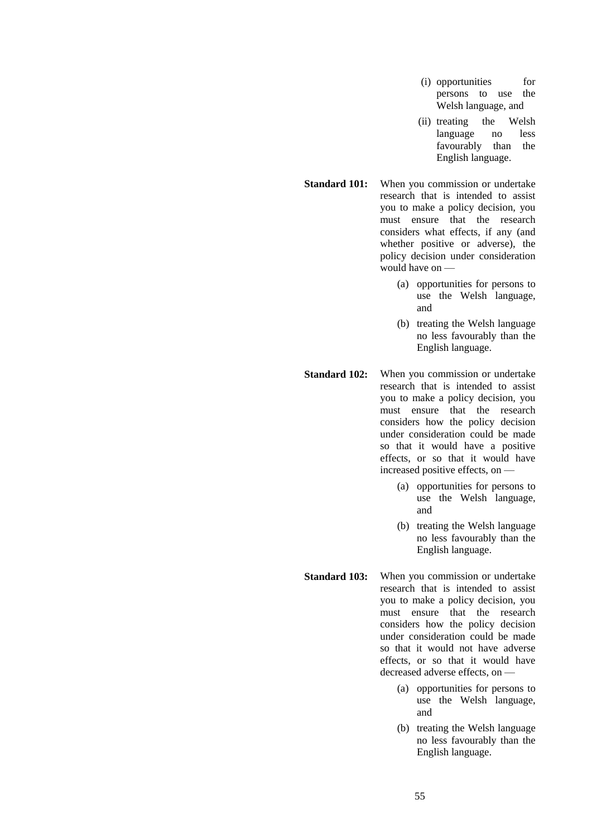- (i) opportunities for persons to use the Welsh language, and
- (ii) treating the Welsh language no less favourably than the English language.
- **Standard 101:** When you commission or undertake research that is intended to assist you to make a policy decision, you must ensure that the research considers what effects, if any (and whether positive or adverse), the policy decision under consideration would have on —
	- (a) opportunities for persons to use the Welsh language, and
	- (b) treating the Welsh language no less favourably than the English language.
- **Standard 102:** When you commission or undertake research that is intended to assist you to make a policy decision, you must ensure that the research considers how the policy decision under consideration could be made so that it would have a positive effects, or so that it would have increased positive effects, on —
	- (a) opportunities for persons to use the Welsh language, and
	- (b) treating the Welsh language no less favourably than the English language.
- **Standard 103:** When you commission or undertake research that is intended to assist you to make a policy decision, you must ensure that the research considers how the policy decision under consideration could be made so that it would not have adverse effects, or so that it would have decreased adverse effects, on —
	- (a) opportunities for persons to use the Welsh language, and
	- (b) treating the Welsh language no less favourably than the English language.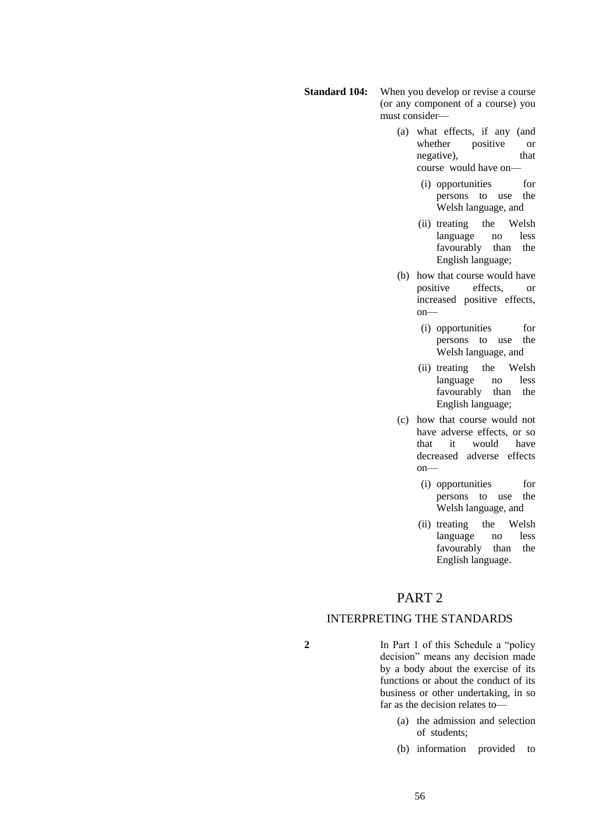- **Standard 104:** When you develop or revise a course (or any component of a course) you must consider—
	- (a) what effects, if any (and whether positive or negative), that course would have on—
		- (i) opportunities for persons to use the Welsh language, and
		- (ii) treating the Welsh<br>language no less language no favourably than the English language;
	- (b) how that course would have positive effects, or increased positive effects, on—
		- (i) opportunities for persons to use the Welsh language, and
		- (ii) treating the Welsh language no less favourably than the English language;
	- (c) how that course would not have adverse effects, or so that it would have decreased adverse effects on—
		- (i) opportunities for persons to use the Welsh language, and
		- (ii) treating the Welsh language no less favourably than the English language.

# PART 2

## INTERPRETING THE STANDARDS

**2** In Part 1 of this Schedule a "policy decision" means any decision made by a body about the exercise of its functions or about the conduct of its business or other undertaking, in so far as the decision relates to—

- (a) the admission and selection of students;
- (b) information provided to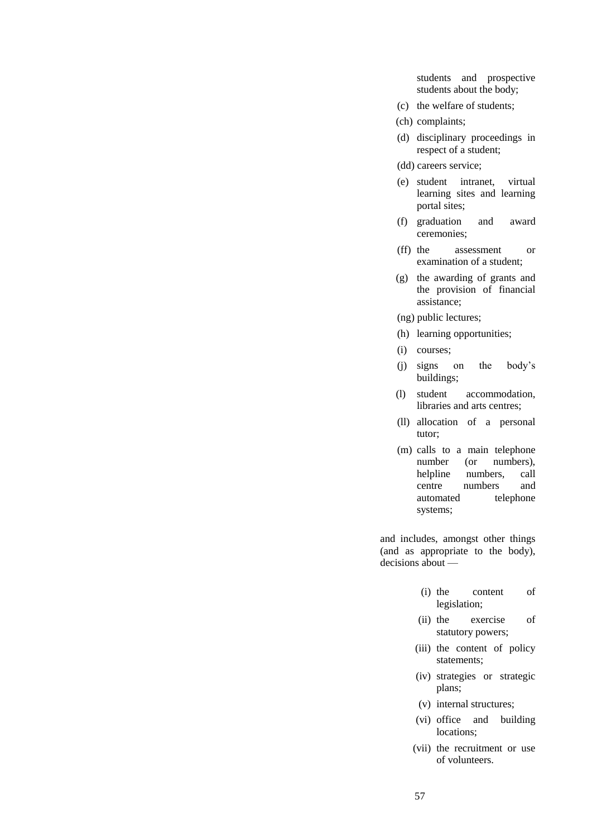students and prospective students about the body;

- (c) the welfare of students;
- (ch) complaints;
- (d) disciplinary proceedings in respect of a student;
- (dd) careers service;
- (e) student intranet, virtual learning sites and learning portal sites;
- (f) graduation and award ceremonies;
- (ff) the assessment or examination of a student;
- (g) the awarding of grants and the provision of financial assistance;
- (ng) public lectures;
- (h) learning opportunities;
- (i) courses;
- (j) signs on the body's buildings;
- (l) student accommodation, libraries and arts centres;
- (ll) allocation of a personal tutor;
- (m) calls to a main telephone number (or numbers), helpline numbers, call centre numbers and automated telephone systems;

and includes, amongst other things (and as appropriate to the body), decisions about —

- (i) the content of legislation;
- (ii) the exercise of statutory powers;
- (iii) the content of policy statements;
- (iv) strategies or strategic plans;
- (v) internal structures;
- (vi) office and building locations;
- (vii) the recruitment or use of volunteers.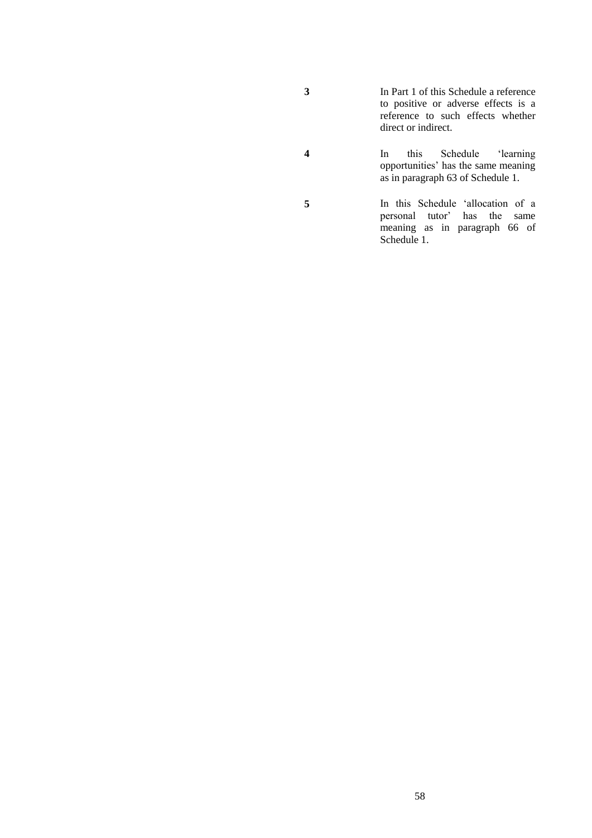- **3** In Part 1 of this Schedule a reference to positive or adverse effects is a reference to such effects whether direct or indirect.
- **4** In this Schedule 'learning opportunities' has the same meaning as in paragraph 63 of Schedule 1.
- **5** In this Schedule 'allocation of a personal tutor' has the same meaning as in paragraph 66 of Schedule 1.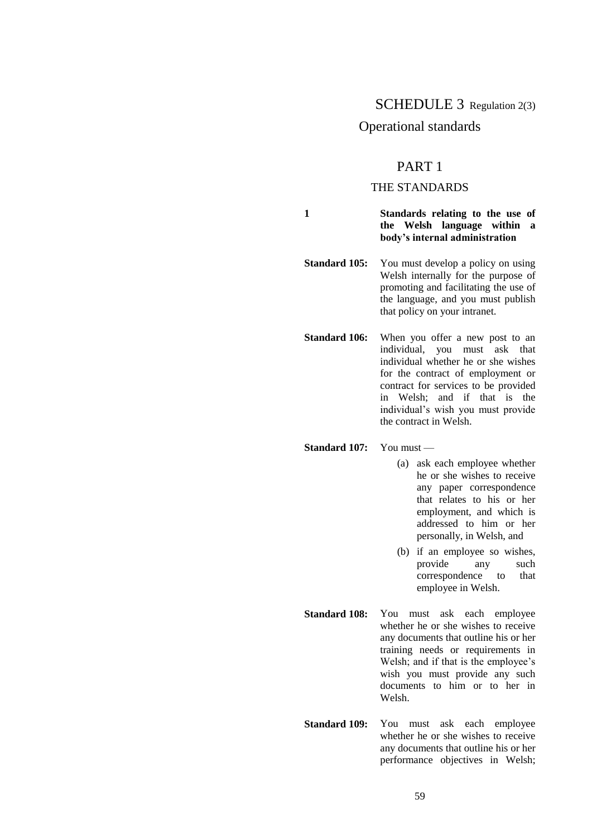## SCHEDULE 3 Regulation 2(3)

## Operational standards

## PART 1

## THE STANDARDS

**1 Standards relating to the use of the Welsh language within a body's internal administration**

**Standard 105:** You must develop a policy on using Welsh internally for the purpose of promoting and facilitating the use of the language, and you must publish that policy on your intranet.

**Standard 106:** When you offer a new post to an individual, you must ask that individual whether he or she wishes for the contract of employment or contract for services to be provided in Welsh; and if that is the individual's wish you must provide the contract in Welsh.

#### **Standard 107:** You must —

- (a) ask each employee whether he or she wishes to receive any paper correspondence that relates to his or her employment, and which is addressed to him or her personally, in Welsh, and
- (b) if an employee so wishes, provide any such correspondence to that employee in Welsh.
- **Standard 108:** You must ask each employee whether he or she wishes to receive any documents that outline his or her training needs or requirements in Welsh; and if that is the employee's wish you must provide any such documents to him or to her in Welsh.
- **Standard 109:** You must ask each employee whether he or she wishes to receive any documents that outline his or her performance objectives in Welsh;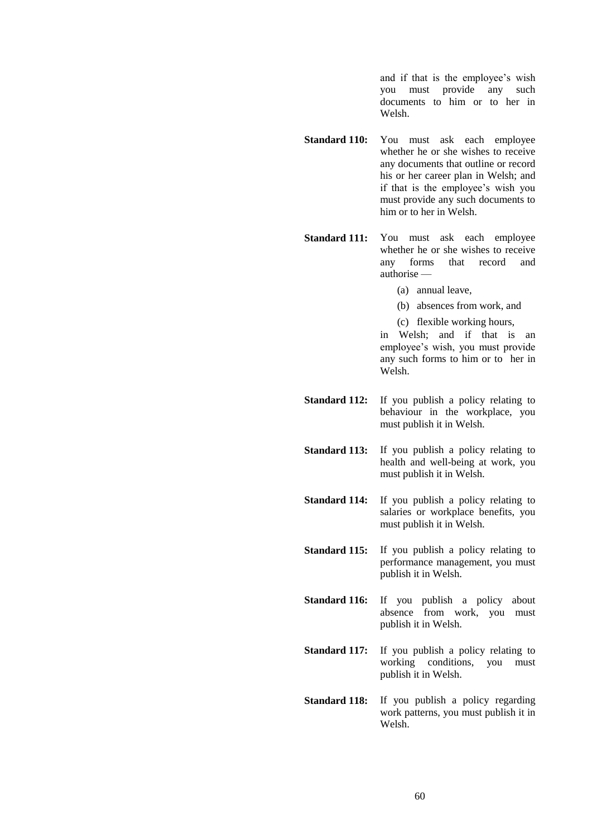and if that is the employee's wish you must provide any such documents to him or to her in Welsh.

**Standard 110:** You must ask each employee whether he or she wishes to receive any documents that outline or record his or her career plan in Welsh; and if that is the employee's wish you must provide any such documents to him or to her in Welsh.

**Standard 111:** You must ask each employee whether he or she wishes to receive any forms that record and authorise —

- (a) annual leave,
- (b) absences from work, and
- (c) flexible working hours,

in Welsh; and if that is an employee's wish, you must provide any such forms to him or to her in Welsh.

- **Standard 112:** If you publish a policy relating to behaviour in the workplace, you must publish it in Welsh.
- **Standard 113:** If you publish a policy relating to health and well-being at work, you must publish it in Welsh.

**Standard 114:** If you publish a policy relating to salaries or workplace benefits, you must publish it in Welsh.

- **Standard 115:** If you publish a policy relating to performance management, you must publish it in Welsh.
- **Standard 116:** If you publish a policy about absence from work, you must publish it in Welsh.
- **Standard 117:** If you publish a policy relating to working conditions, you must publish it in Welsh.
- **Standard 118:** If you publish a policy regarding work patterns, you must publish it in Welsh.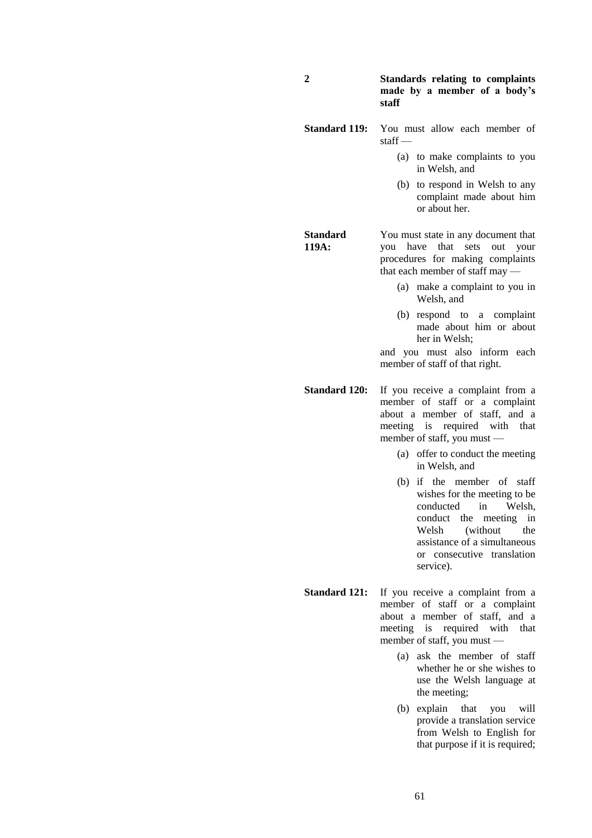#### **2 Standards relating to complaints made by a member of a body's staff**

- **Standard 119:** You must allow each member of staff —
	- (a) to make complaints to you in Welsh, and
	- (b) to respond in Welsh to any complaint made about him or about her.

**Standard 119A:** You must state in any document that you have that sets out your procedures for making complaints that each member of staff may —

- (a) make a complaint to you in Welsh, and
- (b) respond to a complaint made about him or about her in Welsh;

and you must also inform each member of staff of that right.

**Standard 120:** If you receive a complaint from a member of staff or a complaint about a member of staff, and a meeting is required with that member of staff, you must —

- (a) offer to conduct the meeting in Welsh, and
- (b) if the member of staff wishes for the meeting to be conducted in Welsh, conduct the meeting in Welsh (without the assistance of a simultaneous or consecutive translation service).
- **Standard 121:** If you receive a complaint from a member of staff or a complaint about a member of staff, and a meeting is required with that member of staff, you must —
	- (a) ask the member of staff whether he or she wishes to use the Welsh language at the meeting;
	- (b) explain that you will provide a translation service from Welsh to English for that purpose if it is required;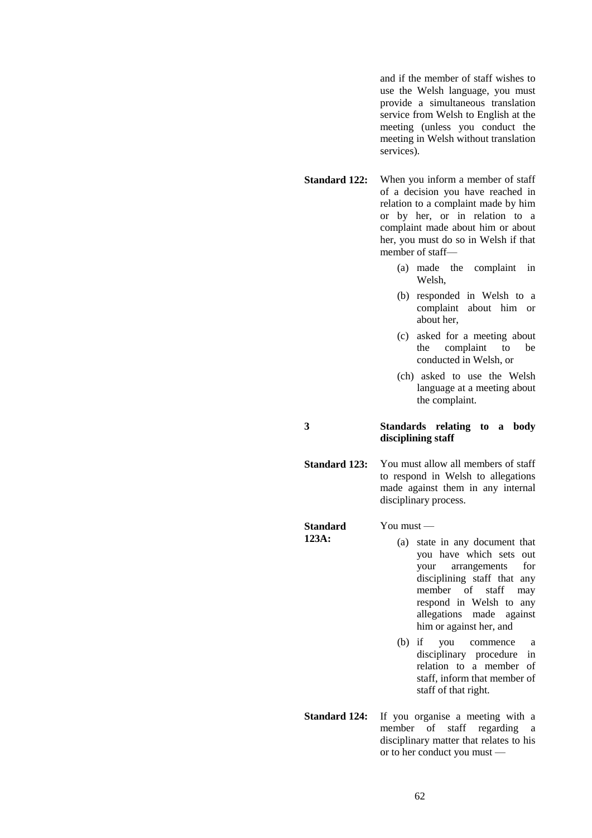and if the member of staff wishes to use the Welsh language, you must provide a simultaneous translation service from Welsh to English at the meeting (unless you conduct the meeting in Welsh without translation services).

**Standard 122:** When you inform a member of staff of a decision you have reached in relation to a complaint made by him or by her, or in relation to a complaint made about him or about her, you must do so in Welsh if that member of staff—

- (a) made the complaint in Welsh,
- (b) responded in Welsh to a complaint about him or about her,
- (c) asked for a meeting about the complaint to be conducted in Welsh, or
- (ch) asked to use the Welsh language at a meeting about the complaint.

#### **3 Standards relating to a body disciplining staff**

**Standard 123:** You must allow all members of staff to respond in Welsh to allegations made against them in any internal disciplinary process.

**Standard 123A:** You must — (a) state in any document that you have which sets out your arrangements for disciplining staff that any member of staff may respond in Welsh to any allegations made against him or against her, and (b) if you commence a

- disciplinary procedure in relation to a member of staff, inform that member of staff of that right.
- **Standard 124:** If you organise a meeting with a member of staff regarding a disciplinary matter that relates to his or to her conduct you must —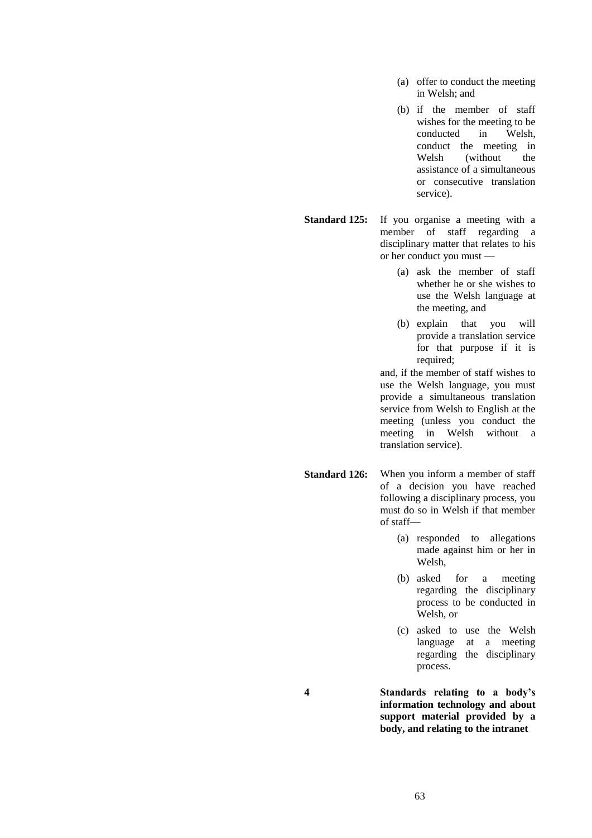- (a) offer to conduct the meeting in Welsh; and
- (b) if the member of staff wishes for the meeting to be conducted in Welsh, conduct the meeting in<br>Welsh (without the (without) assistance of a simultaneous or consecutive translation service).
- **Standard 125:** If you organise a meeting with a member of staff regarding a disciplinary matter that relates to his or her conduct you must —
	- (a) ask the member of staff whether he or she wishes to use the Welsh language at the meeting, and
	- (b) explain that you will provide a translation service for that purpose if it is required;

and, if the member of staff wishes to use the Welsh language, you must provide a simultaneous translation service from Welsh to English at the meeting (unless you conduct the meeting in Welsh without a translation service).

- **Standard 126:** When you inform a member of staff of a decision you have reached following a disciplinary process, you must do so in Welsh if that member of staff—
	- (a) responded to allegations made against him or her in Welsh,
	- (b) asked for a meeting regarding the disciplinary process to be conducted in Welsh, or
	- (c) asked to use the Welsh language at a meeting regarding the disciplinary process.
- **4 Standards relating to a body's information technology and about support material provided by a body, and relating to the intranet**

63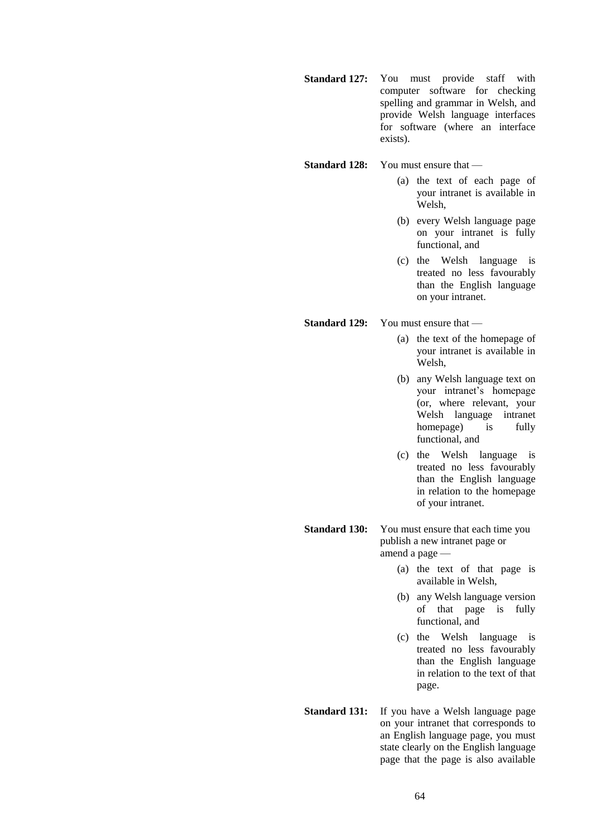**Standard 127:** You must provide staff with computer software for checking spelling and grammar in Welsh, and provide Welsh language interfaces for software (where an interface exists).

#### **Standard 128:** You must ensure that —

- (a) the text of each page of your intranet is available in Welsh,
- (b) every Welsh language page on your intranet is fully functional, and
- (c) the Welsh language is treated no less favourably than the English language on your intranet.

**Standard 129:** You must ensure that —

- (a) the text of the homepage of your intranet is available in Welsh,
- (b) any Welsh language text on your intranet's homepage (or, where relevant, your Welsh language intranet homepage) is fully functional, and
- (c) the Welsh language is treated no less favourably than the English language in relation to the homepage of your intranet.
- **Standard 130:** You must ensure that each time you publish a new intranet page or amend a page —
	- (a) the text of that page is available in Welsh,
	- (b) any Welsh language version of that page is fully functional, and
	- (c) the Welsh language is treated no less favourably than the English language in relation to the text of that page.
- **Standard 131:** If you have a Welsh language page on your intranet that corresponds to an English language page, you must state clearly on the English language page that the page is also available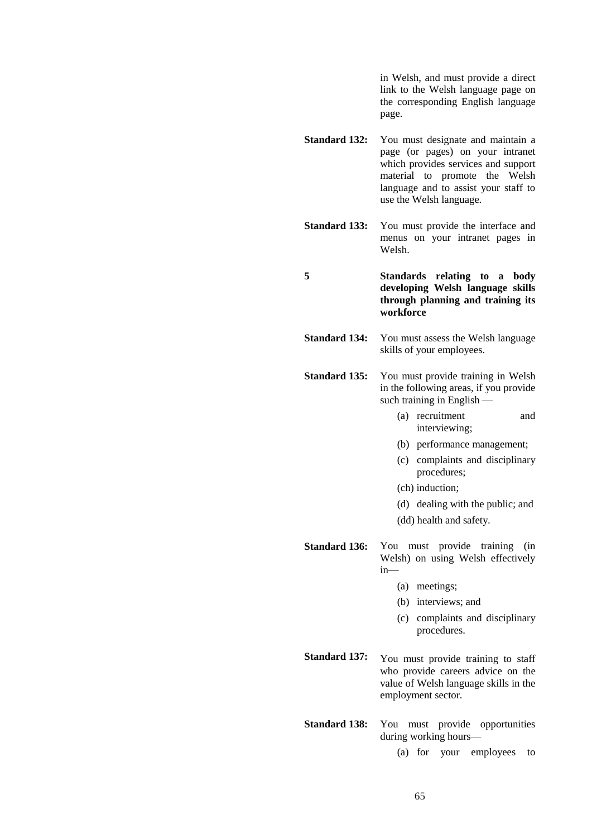in Welsh, and must provide a direct link to the Welsh language page on the corresponding English language page.

- **Standard 132:** You must designate and maintain a page (or pages) on your intranet which provides services and support material to promote the Welsh language and to assist your staff to use the Welsh language.
- **Standard 133:** You must provide the interface and menus on your intranet pages in Welsh.

**5 Standards relating to a body developing Welsh language skills through planning and training its workforce**

**Standard 134:** You must assess the Welsh language skills of your employees.

**Standard 135:** You must provide training in Welsh in the following areas, if you provide such training in English —

- (a) recruitment and interviewing;
- (b) performance management;
- (c) complaints and disciplinary procedures;
- (ch) induction;
- (d) dealing with the public; and
- (dd) health and safety.
- **Standard 136:** You must provide training (in Welsh) on using Welsh effectively in—
	- (a) meetings;
	- (b) interviews; and
	- (c) complaints and disciplinary procedures.
- **Standard 137:** You must provide training to staff who provide careers advice on the value of Welsh language skills in the employment sector.
- **Standard 138:** You must provide opportunities during working hours—

(a) for your employees to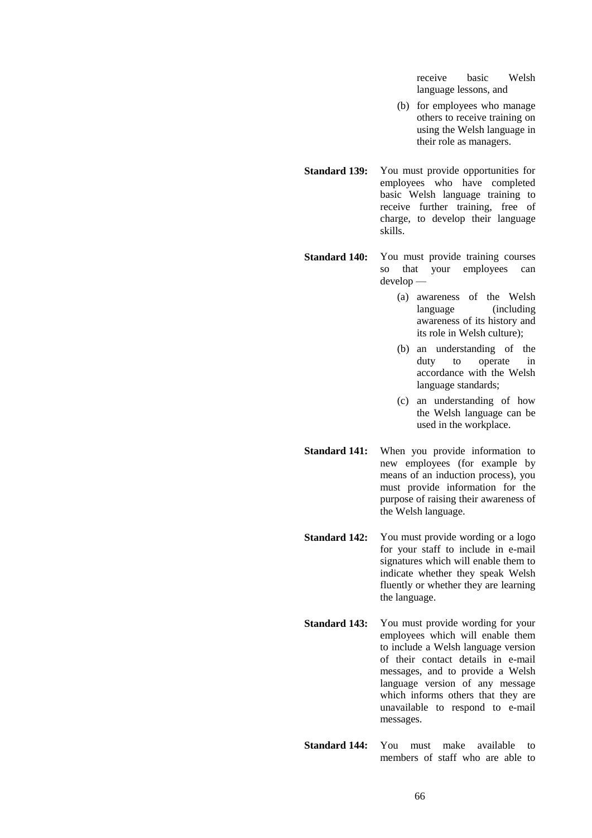receive basic Welsh language lessons, and

- (b) for employees who manage others to receive training on using the Welsh language in their role as managers.
- **Standard 139:** You must provide opportunities for employees who have completed basic Welsh language training to receive further training, free of charge, to develop their language skills.
- **Standard 140:** You must provide training courses so that your employees can develop —
	- (a) awareness of the Welsh language (including awareness of its history and its role in Welsh culture);
	- (b) an understanding of the duty to operate in accordance with the Welsh language standards;
	- (c) an understanding of how the Welsh language can be used in the workplace.
- **Standard 141:** When you provide information to new employees (for example by means of an induction process), you must provide information for the purpose of raising their awareness of the Welsh language.
- **Standard 142:** You must provide wording or a logo for your staff to include in e-mail signatures which will enable them to indicate whether they speak Welsh fluently or whether they are learning the language.
- **Standard 143:** You must provide wording for your employees which will enable them to include a Welsh language version of their contact details in e-mail messages, and to provide a Welsh language version of any message which informs others that they are unavailable to respond to e-mail messages.
- **Standard 144:** You must make available to members of staff who are able to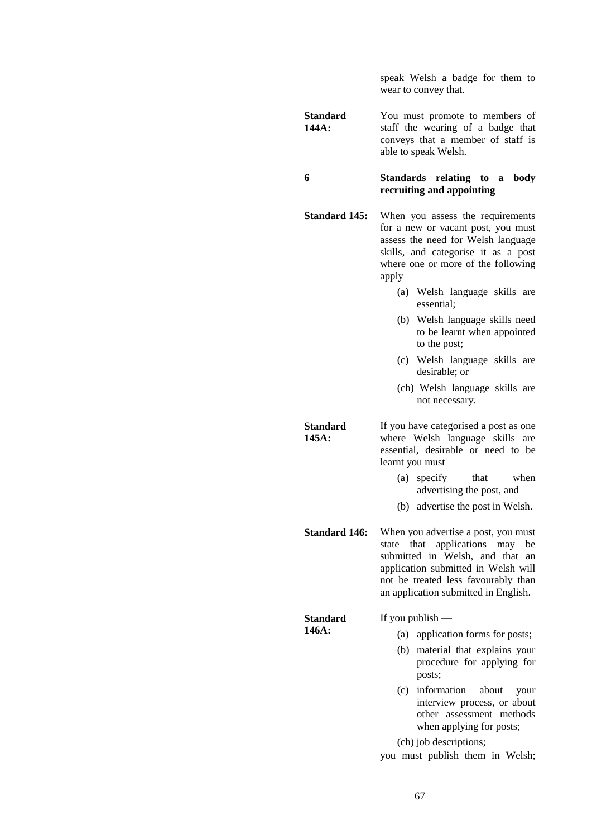speak Welsh a badge for them to wear to convey that.

**Standard 144A:** You must promote to members of staff the wearing of a badge that conveys that a member of staff is able to speak Welsh.

#### **6 Standards relating to a body recruiting and appointing**

- **Standard 145:** When you assess the requirements for a new or vacant post, you must assess the need for Welsh language skills, and categorise it as a post where one or more of the following  $apply$  —
	- (a) Welsh language skills are essential;
	- (b) Welsh language skills need to be learnt when appointed to the post;
	- (c) Welsh language skills are desirable; or
	- (ch) Welsh language skills are not necessary.

**Standard 145A:** If you have categorised a post as one where Welsh language skills are essential, desirable or need to be learnt you must —

- (a) specify that when advertising the post, and
- (b) advertise the post in Welsh.
- **Standard 146:** When you advertise a post, you must state that applications may be submitted in Welsh, and that an application submitted in Welsh will not be treated less favourably than an application submitted in English.

**Standard 146A:** If you publish — (a) application forms for posts; (b) material that explains your procedure for applying for posts; (c) information about your

interview process, or about other assessment methods when applying for posts;

(ch) job descriptions;

you must publish them in Welsh;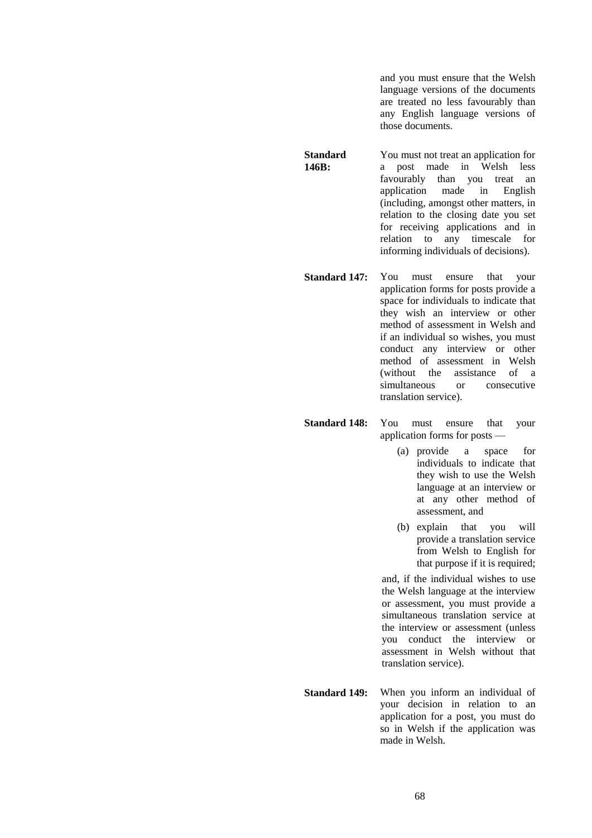and you must ensure that the Welsh language versions of the documents are treated no less favourably than any English language versions of those documents.

**Standard 146B:** You must not treat an application for a post made in Welsh less favourably than you treat an application made in English application made in English (including, amongst other matters, in relation to the closing date you set for receiving applications and in relation to any timescale for informing individuals of decisions).

**Standard 147:** You must ensure that your application forms for posts provide a space for individuals to indicate that they wish an interview or other method of assessment in Welsh and if an individual so wishes, you must conduct any interview or other method of assessment in Welsh (without the assistance of a simultaneous or consecutive translation service).

**Standard 148:** You must ensure that your application forms for posts —

- (a) provide a space for individuals to indicate that they wish to use the Welsh language at an interview or at any other method of assessment, and
- (b) explain that you will provide a translation service from Welsh to English for that purpose if it is required;

and, if the individual wishes to use the Welsh language at the interview or assessment, you must provide a simultaneous translation service at the interview or assessment (unless you conduct the interview or assessment in Welsh without that translation service).

**Standard 149:** When you inform an individual of your decision in relation to an application for a post, you must do so in Welsh if the application was made in Welsh.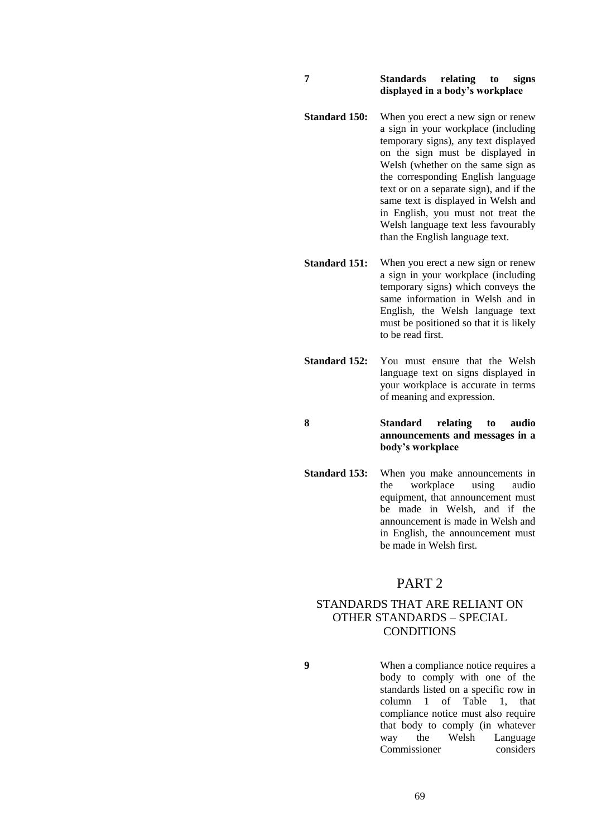#### **7 Standards relating to signs displayed in a body's workplace**

**Standard 150:** When you erect a new sign or renew a sign in your workplace (including temporary signs), any text displayed on the sign must be displayed in Welsh (whether on the same sign as the corresponding English language text or on a separate sign), and if the same text is displayed in Welsh and in English, you must not treat the Welsh language text less favourably than the English language text.

**Standard 151:** When you erect a new sign or renew a sign in your workplace (including temporary signs) which conveys the same information in Welsh and in English, the Welsh language text must be positioned so that it is likely to be read first.

**Standard 152:** You must ensure that the Welsh language text on signs displayed in your workplace is accurate in terms of meaning and expression.

**8 Standard relating to audio announcements and messages in a body's workplace**

**Standard 153:** When you make announcements in the workplace using audio equipment, that announcement must be made in Welsh, and if the announcement is made in Welsh and in English, the announcement must be made in Welsh first.

## PART 2

## STANDARDS THAT ARE RELIANT ON OTHER STANDARDS – SPECIAL CONDITIONS

**9** When a compliance notice requires a body to comply with one of the standards listed on a specific row in column 1 of Table 1, that compliance notice must also require that body to comply (in whatever way the Welsh Language Commissioner considers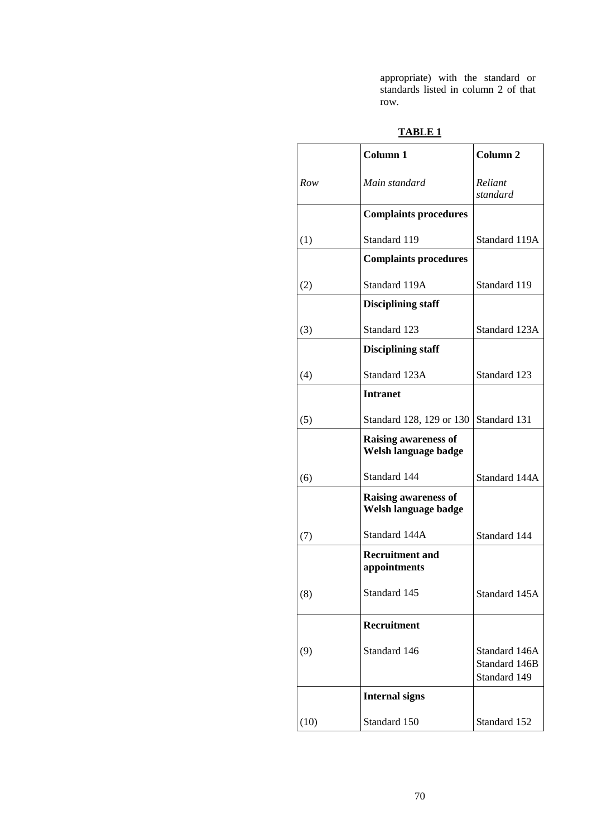appropriate) with the standard or standards listed in column 2 of that row.

|      | Column 1                                            | Column <sub>2</sub>                            |
|------|-----------------------------------------------------|------------------------------------------------|
| Row  | Main standard                                       | Reliant<br>standard                            |
|      | <b>Complaints procedures</b>                        |                                                |
| (1)  | Standard 119                                        | Standard 119A                                  |
|      | <b>Complaints procedures</b>                        |                                                |
| (2)  | Standard 119A                                       | Standard 119                                   |
|      | <b>Disciplining staff</b>                           |                                                |
| (3)  | Standard 123                                        | Standard 123A                                  |
|      | <b>Disciplining staff</b>                           |                                                |
| (4)  | Standard 123A                                       | Standard 123                                   |
|      | <b>Intranet</b>                                     |                                                |
| (5)  | Standard 128, 129 or 130                            | Standard 131                                   |
|      | <b>Raising awareness of</b><br>Welsh language badge |                                                |
| (6)  | Standard 144                                        | Standard 144A                                  |
|      | <b>Raising awareness of</b><br>Welsh language badge |                                                |
| (7)  | Standard 144A                                       | Standard 144                                   |
|      | <b>Recruitment and</b><br>appointments              |                                                |
| (8)  | Standard 145                                        | Standard 145A                                  |
|      | Recruitment                                         |                                                |
| (9)  | Standard 146                                        | Standard 146A<br>Standard 146B<br>Standard 149 |
|      | <b>Internal signs</b>                               |                                                |
| (10) | Standard 150                                        | Standard 152                                   |

## **TABLE 1**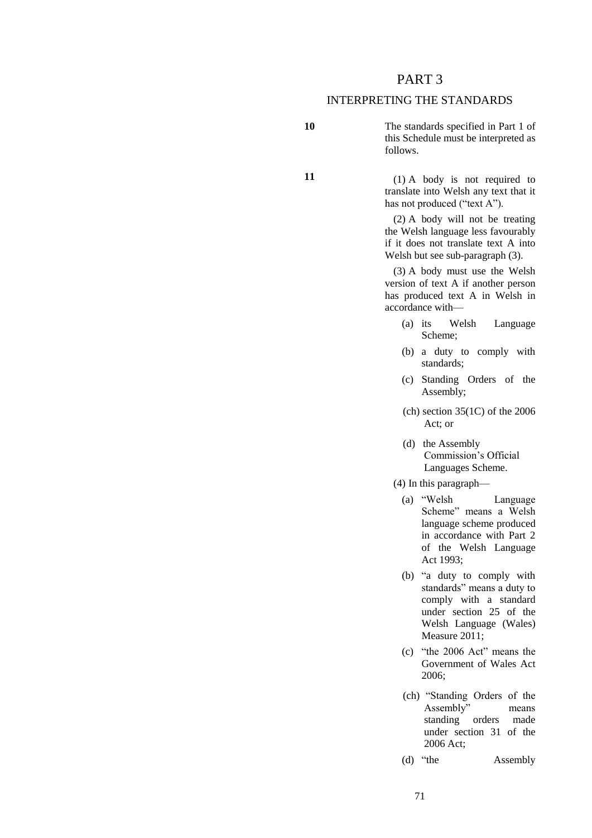## PART 3

## INTERPRETING THE STANDARDS

**10** The standards specified in Part 1 of this Schedule must be interpreted as follows.

**11** (1) A body is not required to translate into Welsh any text that it has not produced ("text A").

> (2) A body will not be treating the Welsh language less favourably if it does not translate text A into Welsh but see sub-paragraph (3).

> (3) A body must use the Welsh version of text A if another person has produced text A in Welsh in accordance with—

- (a) its Welsh Language Scheme;
- (b) a duty to comply with standards;
- (c) Standing Orders of the Assembly;
- $(ch)$  section 35(1C) of the 2006 Act; or
- (d) the Assembly Commission's Official Languages Scheme.
- (4) In this paragraph—
	- (a) "Welsh Language Scheme" means a Welsh language scheme produced in accordance with Part 2 of the Welsh Language Act 1993;
	- (b) "a duty to comply with standards" means a duty to comply with a standard under section 25 of the Welsh Language (Wales) Measure 2011;
	- (c) "the 2006 Act" means the Government of Wales Act 2006;
	- (ch) "Standing Orders of the Assembly" means standing orders made under section 31 of the 2006 Act;
	- (d) "the Assembly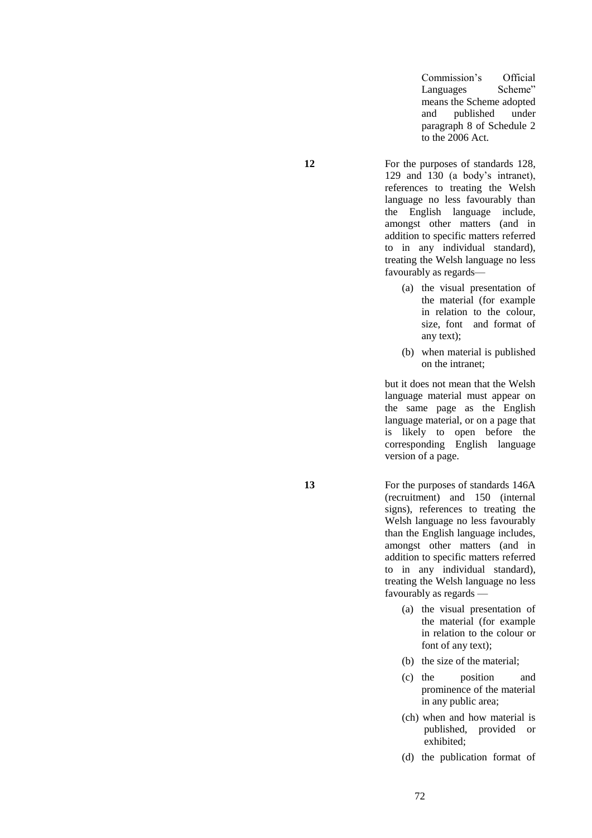Commission's Official Languages Scheme" means the Scheme adopted<br>and published under published paragraph 8 of Schedule 2 to the 2006 Act.

**12** For the purposes of standards 128, 129 and 130 (a body's intranet), references to treating the Welsh language no less favourably than the English language include, amongst other matters (and in addition to specific matters referred to in any individual standard), treating the Welsh language no less favourably as regards—

- (a) the visual presentation of the material (for example in relation to the colour, size, font and format of any text);
- (b) when material is published on the intranet;

but it does not mean that the Welsh language material must appear on the same page as the English language material, or on a page that is likely to open before the corresponding English language version of a page.

**13** For the purposes of standards 146A (recruitment) and 150 (internal signs), references to treating the Welsh language no less favourably than the English language includes, amongst other matters (and in addition to specific matters referred to in any individual standard), treating the Welsh language no less favourably as regards —

- (a) the visual presentation of the material (for example in relation to the colour or font of any text);
- (b) the size of the material;
- (c) the position and prominence of the material in any public area;
- (ch) when and how material is published, provided or exhibited;
- (d) the publication format of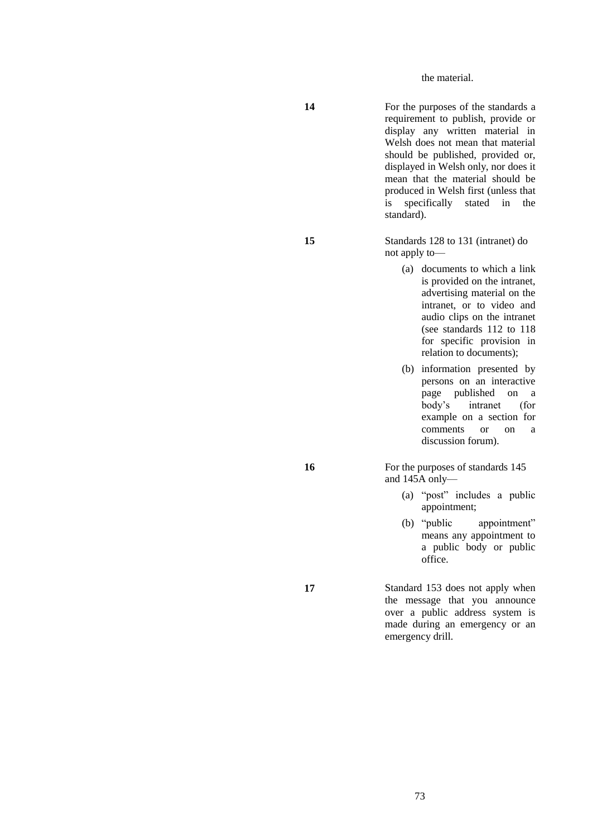the material.

**14** For the purposes of the standards a requirement to publish, provide or display any written material in Welsh does not mean that material should be published, provided or, displayed in Welsh only, nor does it mean that the material should be produced in Welsh first (unless that is specifically stated in the standard).

**15** Standards 128 to 131 (intranet) do not apply to—

- (a) documents to which a link is provided on the intranet, advertising material on the intranet, or to video and audio clips on the intranet (see standards 112 to 118 for specific provision in relation to documents);
- (b) information presented by persons on an interactive page published on a body's intranet (for example on a section for comments or on a discussion forum).

16 For the purposes of standards 145 and 145A only—

- (a) "post" includes a public appointment;
- (b) "public appointment" means any appointment to a public body or public office.

**17** Standard 153 does not apply when the message that you announce over a public address system is made during an emergency or an emergency drill.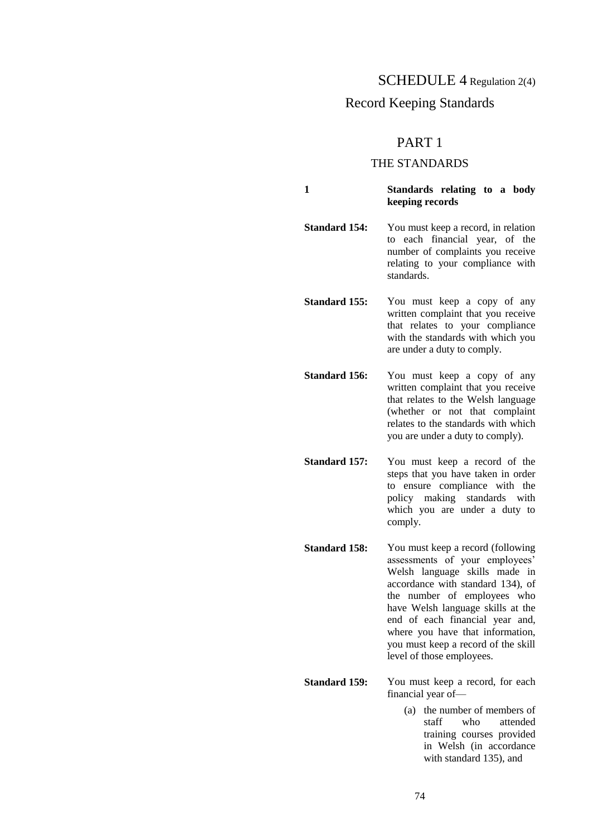SCHEDULE 4 Regulation 2(4)

# Record Keeping Standards

# PART 1

# THE STANDARDS

**1 Standards relating to a body keeping records**

**Standard 154:** You must keep a record, in relation to each financial year, of the number of complaints you receive relating to your compliance with standards.

**Standard 155:** You must keep a copy of any written complaint that you receive that relates to your compliance with the standards with which you are under a duty to comply.

**Standard 156:** You must keep a copy of any written complaint that you receive that relates to the Welsh language (whether or not that complaint relates to the standards with which you are under a duty to comply).

**Standard 157:** You must keep a record of the steps that you have taken in order to ensure compliance with the policy making standards with which you are under a duty to comply.

**Standard 158:** You must keep a record (following assessments of your employees' Welsh language skills made in accordance with standard 134), of the number of employees who have Welsh language skills at the end of each financial year and, where you have that information, you must keep a record of the skill level of those employees.

**Standard 159:** You must keep a record, for each financial year of—

> (a) the number of members of staff who attended training courses provided in Welsh (in accordance with standard 135), and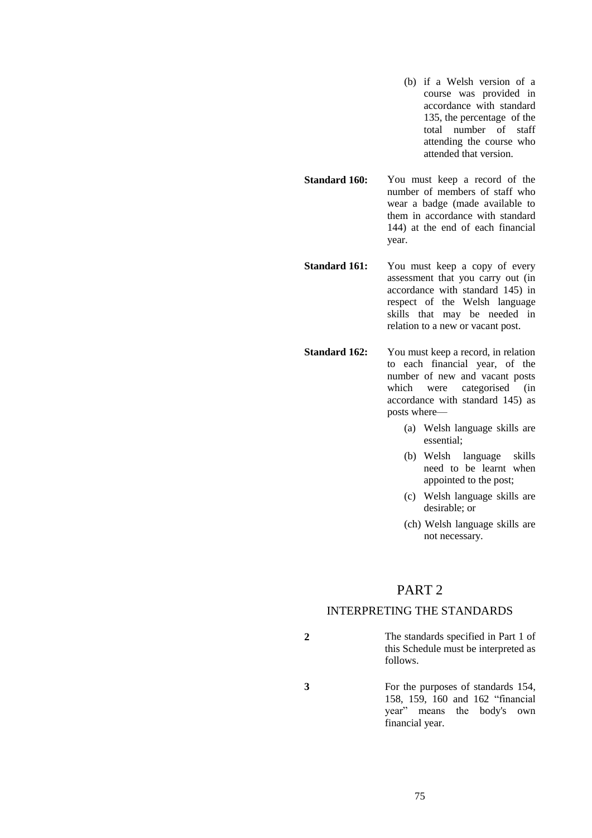- (b) if a Welsh version of a course was provided in accordance with standard 135, the percentage of the total number of staff attending the course who attended that version.
- **Standard 160:** You must keep a record of the number of members of staff who wear a badge (made available to them in accordance with standard 144) at the end of each financial year.
- **Standard 161:** You must keep a copy of every assessment that you carry out (in accordance with standard 145) in respect of the Welsh language skills that may be needed in relation to a new or vacant post.

**Standard 162:** You must keep a record, in relation to each financial year, of the number of new and vacant posts which were categorised (in accordance with standard 145) as posts where—

- (a) Welsh language skills are essential;
- (b) Welsh language skills need to be learnt when appointed to the post;
- (c) Welsh language skills are desirable; or
- (ch) Welsh language skills are not necessary.

# PART 2

# INTERPRETING THE STANDARDS

- **2** The standards specified in Part 1 of this Schedule must be interpreted as follows.
- **3** For the purposes of standards 154, 158, 159, 160 and 162 "financial year" means the body's own financial year.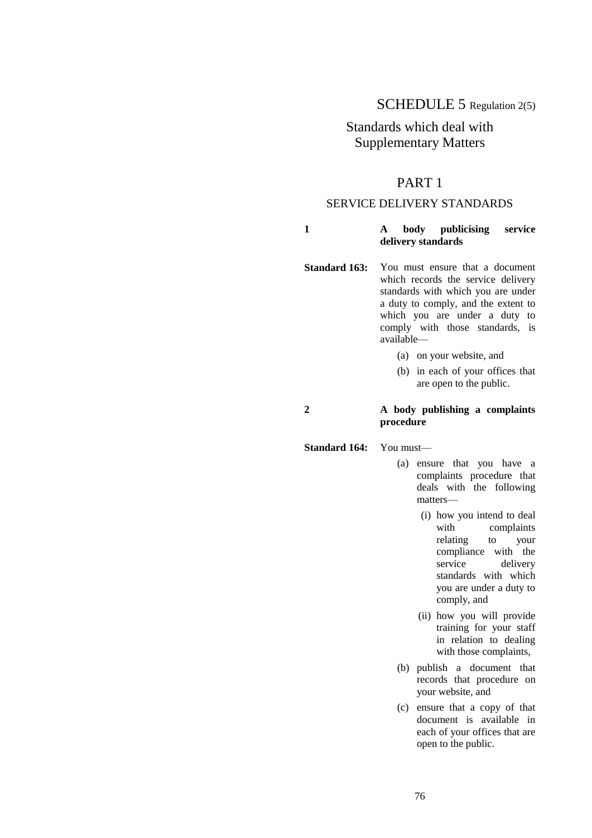# SCHEDULE 5 Regulation 2(5)

# Standards which deal with Supplementary Matters

# PART 1

# SERVICE DELIVERY STANDARDS

#### **1 A body publicising service delivery standards**

- **Standard 163:** You must ensure that a document which records the service delivery standards with which you are under a duty to comply, and the extent to which you are under a duty to comply with those standards, is available—
	- (a) on your website, and
	- (b) in each of your offices that are open to the public.

# **2 A body publishing a complaints procedure**

#### **Standard 164:** You must—

- (a) ensure that you have a complaints procedure that deals with the following matters—
	- (i) how you intend to deal with complaints relating to your compliance with the service delivery standards with which you are under a duty to comply, and
	- (ii) how you will provide training for your staff in relation to dealing with those complaints,
- (b) publish a document that records that procedure on your website, and
- (c) ensure that a copy of that document is available in each of your offices that are open to the public.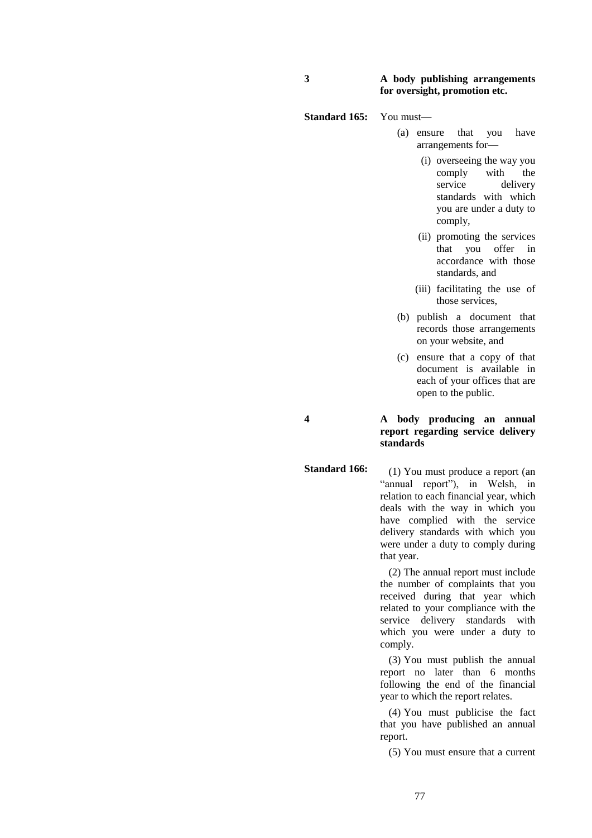### **3 A body publishing arrangements for oversight, promotion etc.**

**Standard 165:** You must—

**Standard 166:**

- (a) ensure that you have arrangements for—
	- (i) overseeing the way you comply with the service delivery standards with which you are under a duty to comply,
	- (ii) promoting the services that you offer in accordance with those standards, and
	- (iii) facilitating the use of those services,
- (b) publish a document that records those arrangements on your website, and
- (c) ensure that a copy of that document is available in each of your offices that are open to the public.

**4 A body producing an annual report regarding service delivery standards**

> (1) You must produce a report (an "annual report"), in Welsh, in relation to each financial year, which deals with the way in which you have complied with the service delivery standards with which you were under a duty to comply during that year.

(2) The annual report must include the number of complaints that you received during that year which related to your compliance with the service delivery standards with which you were under a duty to comply.

(3) You must publish the annual report no later than 6 months following the end of the financial year to which the report relates.

(4) You must publicise the fact that you have published an annual report.

(5) You must ensure that a current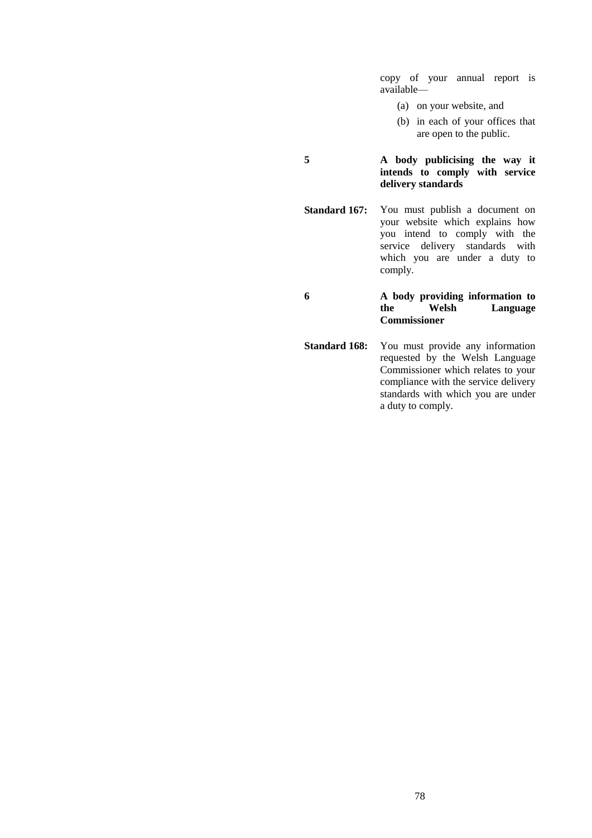copy of your annual report is available—

- (a) on your website, and
- (b) in each of your offices that are open to the public.

## **5 A body publicising the way it intends to comply with service delivery standards**

**Standard 167:** You must publish a document on your website which explains how you intend to comply with the service delivery standards with which you are under a duty to comply.

# **6 A body providing information to the Welsh Language Commissioner**

**Standard 168:** You must provide any information requested by the Welsh Language Commissioner which relates to your compliance with the service delivery standards with which you are under a duty to comply.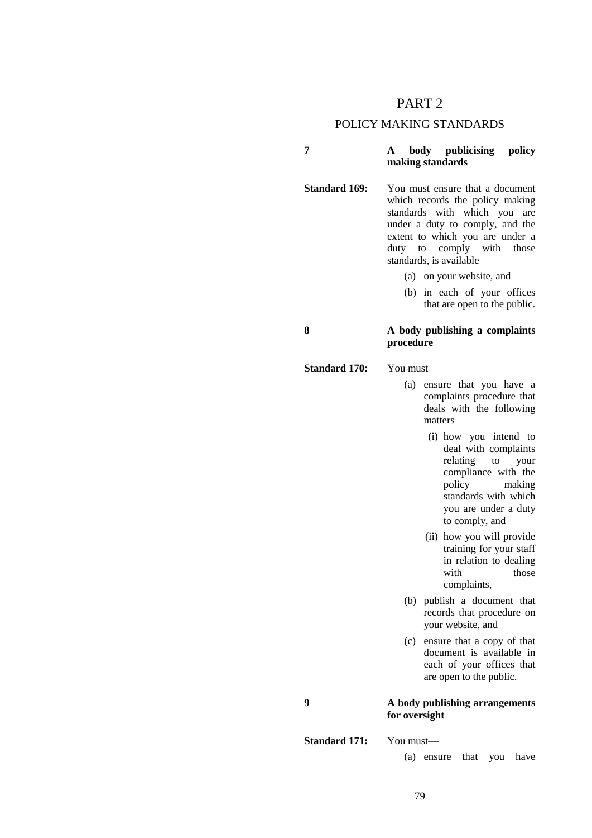# PART 2

## POLICY MAKING STANDARDS

## **7 A body publicising policy making standards**

**Standard 169:** You must ensure that a document which records the policy making standards with which you are under a duty to comply, and the extent to which you are under a duty to comply with those standards, is available—

- (a) on your website, and
- (b) in each of your offices that are open to the public.

#### **8 A body publishing a complaints procedure**

#### **Standard 170:** You must—

(a) ensure that you have a complaints procedure that deals with the following matters—

- (i) how you intend to deal with complaints relating to your compliance with the policy making making standards with which you are under a duty to comply, and
- (ii) how you will provide training for your staff in relation to dealing with those complaints,
- (b) publish a document that records that procedure on your website, and
- (c) ensure that a copy of that document is available in each of your offices that are open to the public.

# **9 A body publishing arrangements for oversight**

**Standard 171:** You must—

(a) ensure that you have

79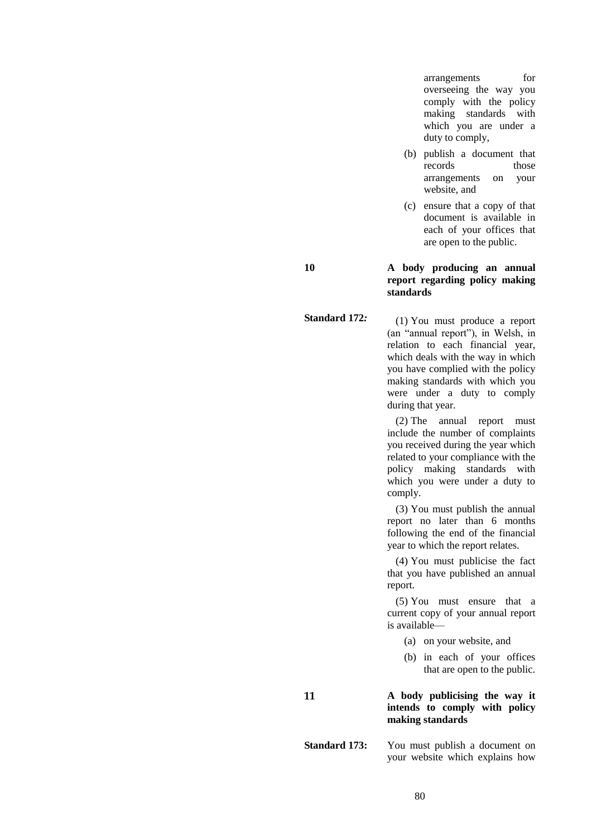arrangements for overseeing the way you comply with the policy making standards with which you are under a duty to comply,

- (b) publish a document that records those arrangements on your website, and
- (c) ensure that a copy of that document is available in each of your offices that are open to the public.

**10 A body producing an annual report regarding policy making standards**

> (1) You must produce a report (an "annual report"), in Welsh, in relation to each financial year, which deals with the way in which you have complied with the policy making standards with which you were under a duty to comply during that year.

> (2) The annual report must include the number of complaints you received during the year which related to your compliance with the policy making standards with which you were under a duty to comply.

> (3) You must publish the annual report no later than 6 months following the end of the financial year to which the report relates.

> (4) You must publicise the fact that you have published an annual report.

> (5) You must ensure that a current copy of your annual report is available—

- (a) on your website, and
- (b) in each of your offices that are open to the public.

### **11 A body publicising the way it intends to comply with policy making standards**

**Standard 173:** You must publish a document on your website which explains how

#### **Standard 172***:*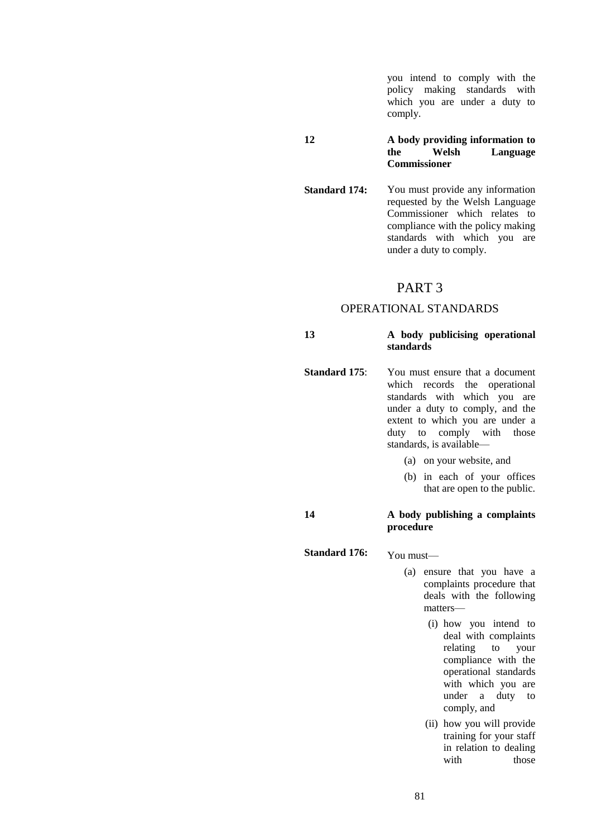you intend to comply with the policy making standards with which you are under a duty to comply.

### **12 A body providing information to the Welsh Language Commissioner**

**Standard 174:** You must provide any information requested by the Welsh Language Commissioner which relates to compliance with the policy making standards with which you are under a duty to comply.

# PART 3

# OPERATIONAL STANDARDS

# **13 A body publicising operational standards**

- **Standard 175:** You must ensure that a document which records the operational standards with which you are under a duty to comply, and the extent to which you are under a duty to comply with those standards, is available—
	- (a) on your website, and
	- (b) in each of your offices that are open to the public.

### **14 A body publishing a complaints procedure**

- Standard 176: You must-
	- (a) ensure that you have a complaints procedure that deals with the following matters—
		- (i) how you intend to deal with complaints relating to your compliance with the operational standards with which you are under a duty to comply, and
		- (ii) how you will provide training for your staff in relation to dealing with those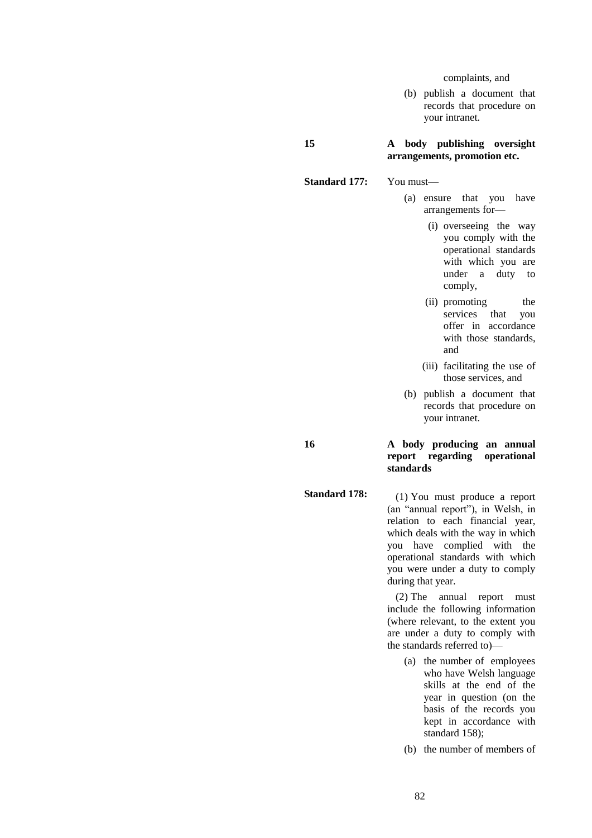complaints, and

(b) publish a document that records that procedure on your intranet.

#### **15 A body publishing oversight arrangements, promotion etc.**

- **Standard 177:** You must—
	- (a) ensure that you have arrangements for—
		- (i) overseeing the way you comply with the operational standards with which you are under a duty to comply,
		- (ii) promoting the services that you services that offer in accordance with those standards, and
		- (iii) facilitating the use of those services, and
	- (b) publish a document that records that procedure on your intranet.

## **16 A body producing an annual report regarding operational standards**

**Standard 178:**

(1) You must produce a report (an "annual report"), in Welsh, in relation to each financial year, which deals with the way in which you have complied with the operational standards with which you were under a duty to comply during that year.

(2) The annual report must include the following information (where relevant, to the extent you are under a duty to comply with the standards referred to)—

- (a) the number of employees who have Welsh language skills at the end of the year in question (on the basis of the records you kept in accordance with standard 158);
- (b) the number of members of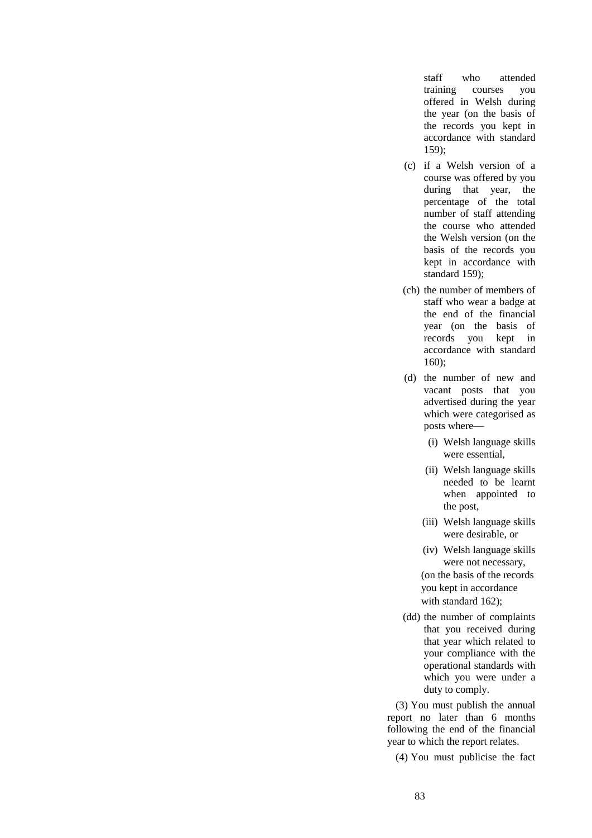staff who attended training courses you offered in Welsh during the year (on the basis of the records you kept in accordance with standard 159);

- (c) if a Welsh version of a course was offered by you during that year, the percentage of the total number of staff attending the course who attended the Welsh version (on the basis of the records you kept in accordance with standard 159);
- (ch) the number of members of staff who wear a badge at the end of the financial year (on the basis of records you kept in accordance with standard 160);
- (d) the number of new and vacant posts that you advertised during the year which were categorised as posts where—
	- (i) Welsh language skills were essential,
	- (ii) Welsh language skills needed to be learnt when appointed to the post,
	- (iii) Welsh language skills were desirable, or
	- (iv) Welsh language skills were not necessary,

 (on the basis of the records you kept in accordance with standard 162);

(dd) the number of complaints that you received during that year which related to your compliance with the operational standards with which you were under a duty to comply.

(3) You must publish the annual report no later than 6 months following the end of the financial year to which the report relates.

(4) You must publicise the fact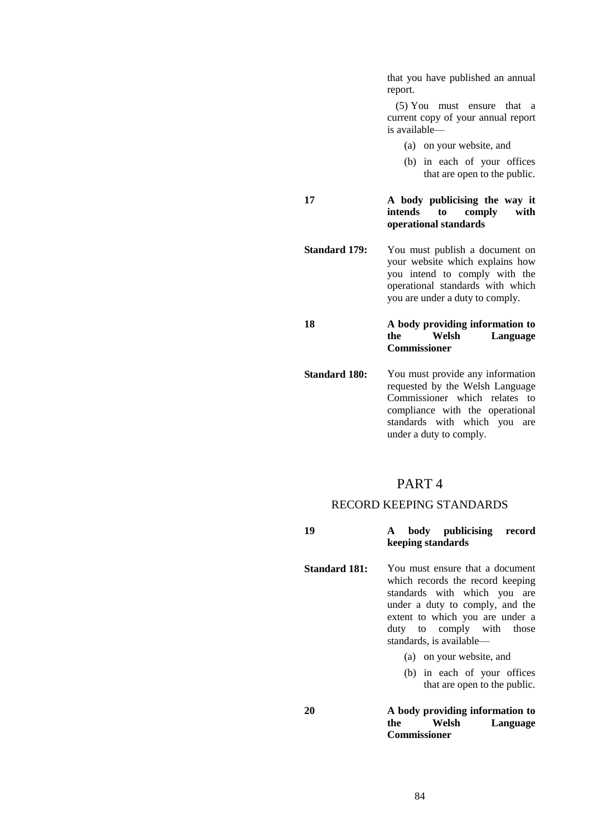that you have published an annual report.

(5) You must ensure that a current copy of your annual report is available—

(a) on your website, and

(b) in each of your offices that are open to the public.

**17 A body publicising the way it**  comply with **operational standards**

**Standard 179:** You must publish a document on your website which explains how you intend to comply with the operational standards with which you are under a duty to comply.

## **18 A body providing information to**  Language **Commissioner**

**Standard 180:** You must provide any information requested by the Welsh Language Commissioner which relates to compliance with the operational standards with which you are under a duty to comply.

# PART 4

#### RECORD KEEPING STANDARDS

| 19 |                   |  | body publicising record |  |
|----|-------------------|--|-------------------------|--|
|    | keeping standards |  |                         |  |

**Standard 181:** You must ensure that a document which records the record keeping standards with which you are under a duty to comply, and the extent to which you are under a duty to comply with those standards, is available—

- (a) on your website, and
- (b) in each of your offices that are open to the public.

## **20 A body providing information to the Welsh Language Commissioner**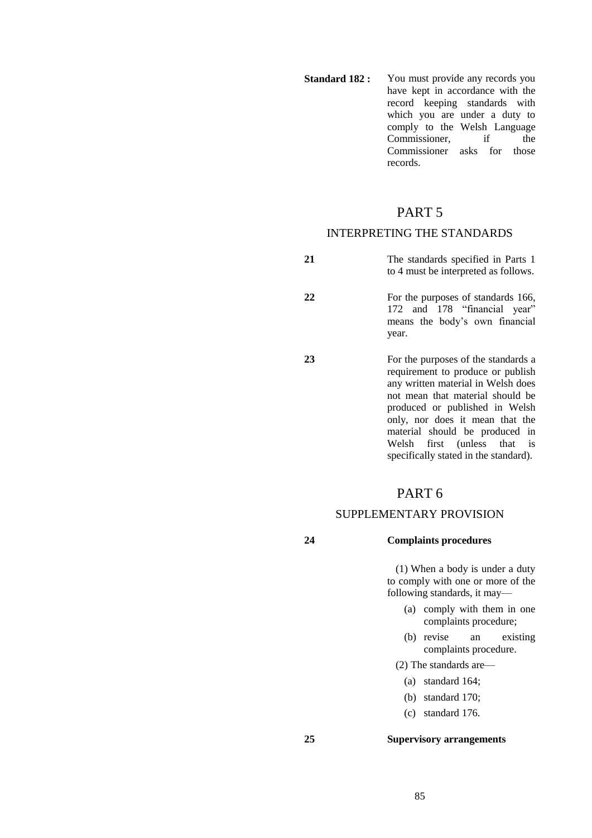**Standard 182 :** You must provide any records you have kept in accordance with the record keeping standards with which you are under a duty to comply to the Welsh Language<br>Commissioner if the Commissioner Commissioner asks for those records.

# PART 5

# INTERPRETING THE STANDARDS

- **21** The standards specified in Parts 1 to 4 must be interpreted as follows.
- **22** For the purposes of standards 166, 172 and 178 "financial year" means the body's own financial year.
- **23** For the purposes of the standards a requirement to produce or publish any written material in Welsh does not mean that material should be produced or published in Welsh only, nor does it mean that the material should be produced in<br>Welsh first (unless that is Welsh first (unless specifically stated in the standard).

# PART 6

## SUPPLEMENTARY PROVISION

## **24 Complaints procedures**

(1) When a body is under a duty to comply with one or more of the following standards, it may—

- (a) comply with them in one complaints procedure;
- (b) revise an existing complaints procedure.

(2) The standards are—

- (a) standard 164;
- (b) standard 170;
- (c) standard 176.

#### **25 Supervisory arrangements**

85